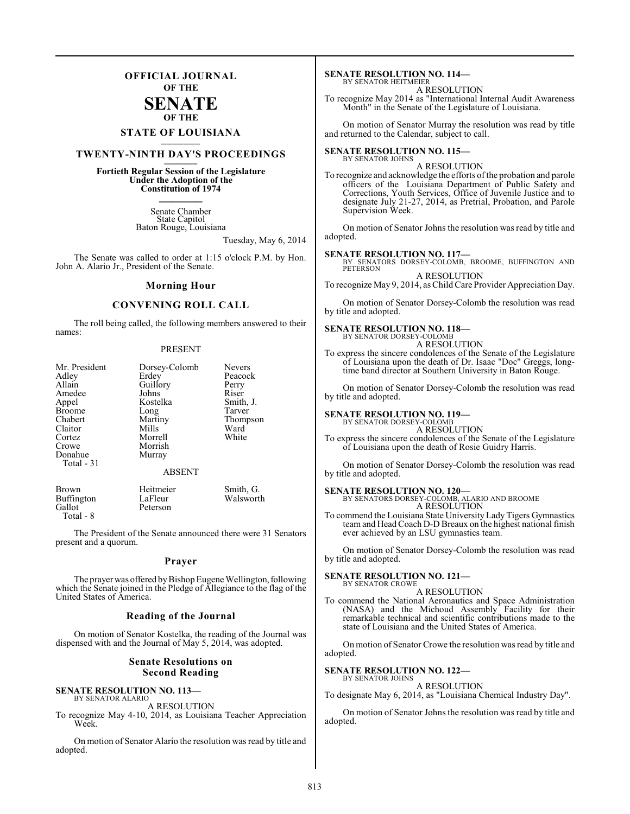### **OFFICIAL JOURNAL OF THE**

### **SENATE OF THE**

## **STATE OF LOUISIANA \_\_\_\_\_\_\_**

### **TWENTY-NINTH DAY'S PROCEEDINGS \_\_\_\_\_\_\_**

### **Fortieth Regular Session of the Legislature Under the Adoption of the Constitution of 1974 \_\_\_\_\_\_\_**

Senate Chamber State Capitol Baton Rouge, Louisiana

Tuesday, May 6, 2014

The Senate was called to order at 1:15 o'clock P.M. by Hon. John A. Alario Jr., President of the Senate.

#### **Morning Hour**

#### **CONVENING ROLL CALL**

The roll being called, the following members answered to their names:

#### PRESENT

Brown Heitmeier Smith, G.<br>Buffington LaFleur Walsworth Buffington LaFleur<br>Gallot Peterson Gallot<sup>'</sup> Total - 8

The President of the Senate announced there were 31 Senators present and a quorum.

#### **Prayer**

The prayer was offered by Bishop Eugene Wellington, following which the Senate joined in the Pledge of Allegiance to the flag of the United States of America.

#### **Reading of the Journal**

On motion of Senator Kostelka, the reading of the Journal was dispensed with and the Journal of May 5, 2014, was adopted.

#### **Senate Resolutions on Second Reading**

#### **SENATE RESOLUTION NO. 113—** BY SENATOR ALARIO

A RESOLUTION

To recognize May 4-10, 2014, as Louisiana Teacher Appreciation Week.

On motion of Senator Alario the resolution was read by title and adopted.

#### **SENATE RESOLUTION NO. 114—** BY SENATOR HEITMEIER

A RESOLUTION

To recognize May 2014 as "International Internal Audit Awareness Month" in the Senate of the Legislature of Louisiana.

On motion of Senator Murray the resolution was read by title and returned to the Calendar, subject to call.

#### **SENATE RESOLUTION NO. 115—** BY SENATOR JOHNS

A RESOLUTION

To recognize and acknowledge the efforts of the probation and parole officers of the Louisiana Department of Public Safety and Corrections, Youth Services, Office of Juvenile Justice and to designate July 21-27, 2014, as Pretrial, Probation, and Parole Supervision Week.

On motion of Senator Johns the resolution wasread by title and adopted.

**SENATE RESOLUTION NO. 117—** BY SENATORS DORSEY-COLOMB, BROOME, BUFFINGTON AND PETERSON A RESOLUTION

To recognize May 9, 2014, as Child Care Provider Appreciation Day.

On motion of Senator Dorsey-Colomb the resolution was read by title and adopted.

### **SENATE RESOLUTION NO. 118—** BY SENATOR DORSEY-COLOMB

A RESOLUTION

To express the sincere condolences of the Senate of the Legislature of Louisiana upon the death of Dr. Isaac "Doc" Greggs, longtime band director at Southern University in Baton Rouge.

On motion of Senator Dorsey-Colomb the resolution was read by title and adopted.

#### **SENATE RESOLUTION NO. 119—**

BY SENATOR DORSEY-COLOMB A RESOLUTION

To express the sincere condolences of the Senate of the Legislature of Louisiana upon the death of Rosie Guidry Harris.

On motion of Senator Dorsey-Colomb the resolution was read by title and adopted.

**SENATE RESOLUTION NO. 120—** BY SENATORS DORSEY-COLOMB, ALARIO AND BROOME

A RESOLUTION

To commend the Louisiana State UniversityLady Tigers Gymnastics team and Head Coach D-D Breaux on the highest national finish ever achieved by an LSU gymnastics team.

On motion of Senator Dorsey-Colomb the resolution was read by title and adopted.

#### **SENATE RESOLUTION NO. 121—**

BY SENATOR CROWE A RESOLUTION

To commend the National Aeronautics and Space Administration (NASA) and the Michoud Assembly Facility for their remarkable technical and scientific contributions made to the state of Louisiana and the United States of America.

On motion of Senator Crowe the resolution was read by title and adopted.

#### **SENATE RESOLUTION NO. 122—**

BY SENATOR JOHNS A RESOLUTION

To designate May 6, 2014, as "Louisiana Chemical Industry Day".

On motion of Senator Johns the resolution was read by title and adopted.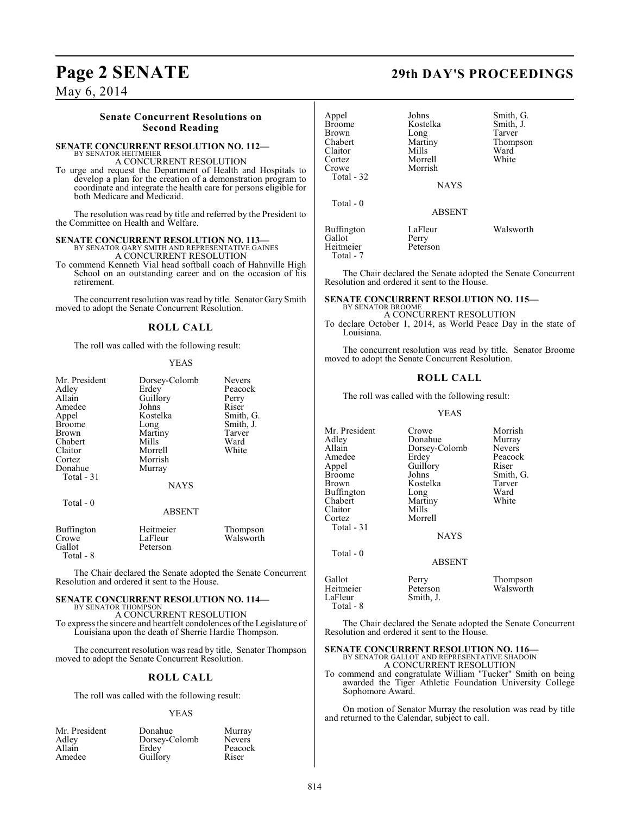May 6, 2014

### **Senate Concurrent Resolutions on Second Reading**

#### **SENATE CONCURRENT RESOLUTION NO. 112—** BY SENATOR HEITMEIER

A CONCURRENT RESOLUTION

To urge and request the Department of Health and Hospitals to develop a plan for the creation of a demonstration program to coordinate and integrate the health care for persons eligible for both Medicare and Medicaid.

The resolution was read by title and referred by the President to the Committee on Health and Welfare.

## **SENATE CONCURRENT RESOLUTION NO. 113—BY SENATOR GARY SMITH AND REPRESENTATIVE GAINES**

A CONCURRENT RESOLUTION

To commend Kenneth Vial head softball coach of Hahnville High School on an outstanding career and on the occasion of his retirement.

The concurrent resolution was read by title. Senator Gary Smith moved to adopt the Senate Concurrent Resolution.

### **ROLL CALL**

The roll was called with the following result:

#### YEAS

| Mr. President<br>Adley<br>Allain<br>Amedee<br>Appel<br><b>Broome</b><br>Brown<br>Chabert<br>Claitor<br>Cortez<br>Donahue<br>Total - 31<br>Total $-0$ | Dorsey-Colomb<br>Erdey<br>Guillory<br>Johns<br>Kostelka<br>Long<br>Martiny<br>Mills<br>Morrell<br>Morrish<br>Murray<br><b>NAYS</b> | <b>Nevers</b><br>Peacock<br>Perry<br>Riser<br>Smith, G.<br>Smith, J.<br>Tarver<br>Ward<br>White |
|------------------------------------------------------------------------------------------------------------------------------------------------------|------------------------------------------------------------------------------------------------------------------------------------|-------------------------------------------------------------------------------------------------|
|                                                                                                                                                      | <b>ABSENT</b>                                                                                                                      |                                                                                                 |
| <b>Buffington</b><br>Crowe<br>Gallot                                                                                                                 | Heitmeier<br>LaFleur<br>Peterson                                                                                                   | Thompson<br>Walsworth                                                                           |

The Chair declared the Senate adopted the Senate Concurrent Resolution and ordered it sent to the House.

#### **SENATE CONCURRENT RESOLUTION NO. 114—** BY SENATOR THOMPSON

Total - 8

A CONCURRENT RESOLUTION To expressthe sincere and heartfelt condolences of the Legislature of Louisiana upon the death of Sherrie Hardie Thompson.

The concurrent resolution was read by title. Senator Thompson moved to adopt the Senate Concurrent Resolution.

### **ROLL CALL**

The roll was called with the following result:

#### YEAS

| Mr. President | Donahue       | Murray        |
|---------------|---------------|---------------|
| Adley         | Dorsey-Colomb | <b>Nevers</b> |
| Allain        | Erdev         | Peacock       |
| Amedee        | Guillory      | Riser         |

**Page 2 SENATE 29th DAY'S PROCEEDINGS**

| Appel<br><b>Broome</b><br><b>Brown</b><br>Chabert<br>Claitor<br>Cortez<br>Crowe | Johns<br>Kostelka<br>Long<br>Martiny<br>Mills<br>Morrell<br>Morrish | Smith, G.<br>Smith, J.<br>Tarver<br>Thompson<br>Ward<br>White |
|---------------------------------------------------------------------------------|---------------------------------------------------------------------|---------------------------------------------------------------|
| Total $-32$                                                                     | <b>NAYS</b>                                                         |                                                               |
|                                                                                 |                                                                     |                                                               |
| Total $-0$                                                                      | <b>ABSENT</b>                                                       |                                                               |
| <b>Buffington</b><br>Gallot<br>Heitmeier<br>Total - 7                           | LaFleur<br>Perry<br>Peterson                                        | Walsworth                                                     |

The Chair declared the Senate adopted the Senate Concurrent Resolution and ordered it sent to the House.

#### **SENATE CONCURRENT RESOLUTION NO. 115—** BY SENATOR BROOME

A CONCURRENT RESOLUTION

To declare October 1, 2014, as World Peace Day in the state of Louisiana.

The concurrent resolution was read by title. Senator Broome moved to adopt the Senate Concurrent Resolution.

#### **ROLL CALL**

The roll was called with the following result:

#### YEAS

Dorsey-Colomb Nevers<br>Erdey Peacock

Mr. President Crowe Morrish<br>Adley Donahue Murray Adley Donahue Murray<br>
Allain Dorsey-Colomb Nevers Amedee Erdey Peaco<br>
Appel Guillory Riser Appel Guillory<br>Broome Johns Broome Johns Smith, G.<br>Brown Kostelka Tarver Buffington Long Ward<br>
Chabert Martiny White Claitor<br>Cortez Total - 31

Total - 0

Total - 8

Kostelka Tarve<br>Long Ward Martiny<br>Mills Morrell

**NAYS** 

ABSENT

| Gallot    | Perry     | Thompson  |
|-----------|-----------|-----------|
| Heitmeier | Peterson  | Walsworth |
| LaFleur   | Smith, J. |           |

The Chair declared the Senate adopted the Senate Concurrent Resolution and ordered it sent to the House.

## **SENATE CONCURRENT RESOLUTION NO. 116—**<br>BY SENATOR GALLOT AND REPRESENTATIVE SHADOIN

A CONCURRENT RESOLUTION

To commend and congratulate William "Tucker" Smith on being awarded the Tiger Athletic Foundation University College Sophomore Award.

On motion of Senator Murray the resolution was read by title and returned to the Calendar, subject to call.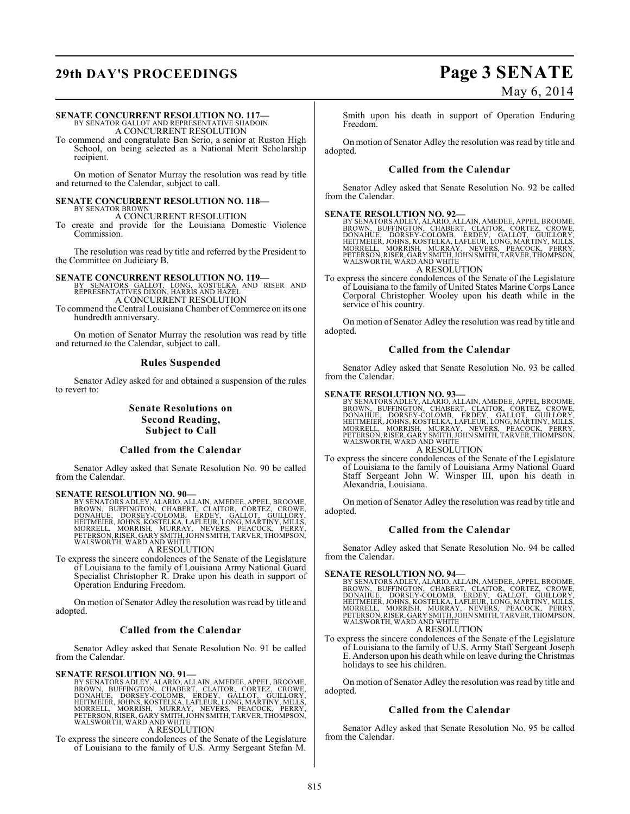## **29th DAY'S PROCEEDINGS Page 3 SENATE**

# May 6, 2014

#### **SENATE CONCURRENT RESOLUTION NO. 117—**

BY SENATOR GALLOT AND REPRESENTATIVE SHADOIN A CONCURRENT RESOLUTION

To commend and congratulate Ben Serio, a senior at Ruston High School, on being selected as a National Merit Scholarship recipient.

On motion of Senator Murray the resolution was read by title and returned to the Calendar, subject to call.

#### **SENATE CONCURRENT RESOLUTION NO. 118—** BY SENATOR BROWN

A CONCURRENT RESOLUTION

To create and provide for the Louisiana Domestic Violence Commission.

The resolution was read by title and referred by the President to the Committee on Judiciary B.

**SENATE CONCURRENT RESOLUTION NO. 119—**<br>BY SENATORS GALLOT, LONG, KOSTELKA AND RISER AND<br>REPRESENTATIVES DIXON, HARRIS AND HAZEL A CONCURRENT RESOLUTION

To commend the Central Louisiana Chamber of Commerce on its one hundredth anniversary.

On motion of Senator Murray the resolution was read by title and returned to the Calendar, subject to call.

### **Rules Suspended**

Senator Adley asked for and obtained a suspension of the rules to revert to:

### **Senate Resolutions on Second Reading, Subject to Call**

### **Called from the Calendar**

Senator Adley asked that Senate Resolution No. 90 be called from the Calendar.

SENATE RESOLUTION NO. 90—<br>BY SENATORS ADLEY, ALARIO, ALLAIN, AMEDEE, APPEL, BROOME, BROWN, BUFFINGTON, CHABERT, CLAITOR, CORTEZ, CROWE,<br>DONAHUE, DORSEY-COLOMB, ERDEY, GALLOT, GUILLORY,<br>HEITMEIER, JOHNS, KOSTELKA, LAFLEUR,

A RESOLUTION

To express the sincere condolences of the Senate of the Legislature of Louisiana to the family of Louisiana Army National Guard Specialist Christopher R. Drake upon his death in support of Operation Enduring Freedom.

On motion of Senator Adley the resolution was read by title and adopted.

### **Called from the Calendar**

Senator Adley asked that Senate Resolution No. 91 be called from the Calendar.

**SENATE RESOLUTION NO. 91—**<br>BY SENATORS ADLEY, ALARIO, ALLAIN, AMEDEE, APPEL, BROOME, BROOM, UFFINGTON, CHABERT, CLAITOR, CORTEZ, CROWE,<br>DONAHUE, DORSEY-COLOMB, ERDEY, GALLOT, GUILLORY,<br>HEITMEIER, JOHNS, KOSTELKA, LAFLEUR,

### A RESOLUTION

To express the sincere condolences of the Senate of the Legislature of Louisiana to the family of U.S. Army Sergeant Stefan M.

Smith upon his death in support of Operation Enduring Freedom.

On motion of Senator Adley the resolution was read by title and adopted.

### **Called from the Calendar**

Senator Adley asked that Senate Resolution No. 92 be called from the Calendar.

#### **SENATE RESOLUTION NO. 92—**

BY SENATORS ADLEY, ALARIO, ALLAIN, AMEDEE, APPEL, BROOME,<br>BROWN, BUFFINGTON, CHABERT, CLAITOR, CORTEZ, CROWE,<br>DONAHUE, DORSEY-COLOMB, ERDEY, GALLOT, GUILLORY,<br>HEITMEIER, JOHNS, KOSTELKA, LAFLEUR, LONG, MARTINY, MILLS,<br>MORR WALSWORTH, WARD AND WHITE A RESOLUTION

To express the sincere condolences of the Senate of the Legislature of Louisiana to the family of United States Marine Corps Lance Corporal Christopher Wooley upon his death while in the service of his country.

On motion of Senator Adley the resolution was read by title and adopted.

### **Called from the Calendar**

Senator Adley asked that Senate Resolution No. 93 be called from the Calendar.

SENATE RESOLUTION NO. 93—<br>BY SENATORS ADLEY, ALARIO, ALLAIN, AMEDEE, APPEL, BROOME, BROWN, BUFFINGTON, CHABERT, CLAITOR, CORTEZ, CROWE,<br>DONAHUE, DORSEY-COLOMB, ERDEY, GALLOT, GUILLORY,<br>HEITMEIER, JOHNS, KOSTELKA, LAFLEUR, A RESOLUTION

To express the sincere condolences of the Senate of the Legislature of Louisiana to the family of Louisiana Army National Guard Staff Sergeant John W. Winsper III, upon his death in Alexandria, Louisiana.

On motion of Senator Adley the resolution wasread by title and adopted.

#### **Called from the Calendar**

Senator Adley asked that Senate Resolution No. 94 be called from the Calendar.

SENATE RESOLUTION NO. 94—<br>BY SENATORS ADLEY, ALARIO, ALLAIN, AMEDEE, APPEL, BROOME, BROWN, BUFFINGTON, CHABERT, CLAITOR, CORTEZ, CROWE,<br>DONAHUE, DORSEY-COLOMB, ERDEY, GALLOT, GUILLORY,<br>HEITMEIER, JOHNS, KOSTELKA, LAFLEUR, A RESOLUTION

To express the sincere condolences of the Senate of the Legislature of Louisiana to the family of U.S. Army Staff Sergeant Joseph E. Anderson upon his death while on leave during the Christmas holidays to see his children.

On motion of Senator Adley the resolution was read by title and adopted.

### **Called from the Calendar**

Senator Adley asked that Senate Resolution No. 95 be called from the Calendar.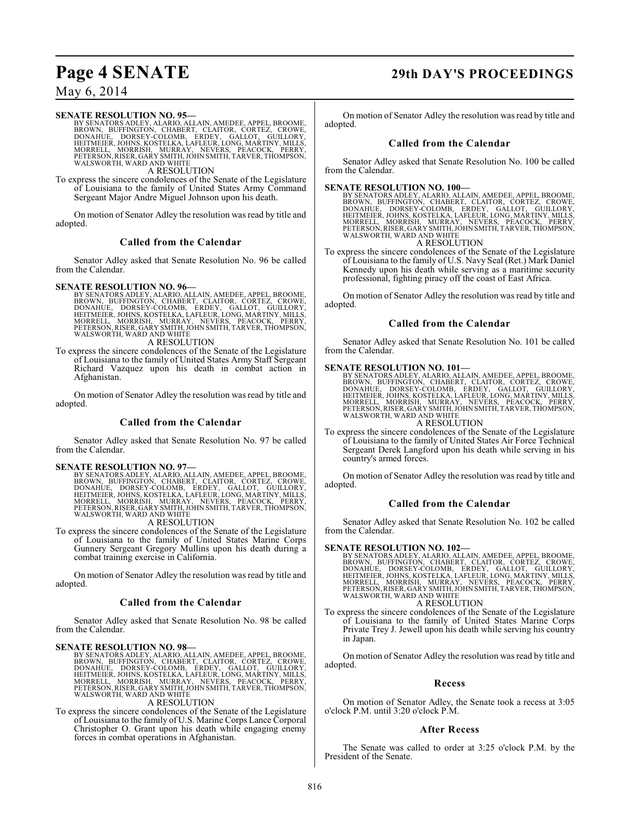## **Page 4 SENATE 29th DAY'S PROCEEDINGS**

### May 6, 2014

SENATE RESOLUTION NO. 95—<br>BY SENATORS ADLEY, ALARIO, ALLAIN, AMEDEE, APPEL, BROOME, BROWN, BUFFINGTON, CHABERT, CLAITOR, CORTEZ, CROWE,<br>DONAHUE, DORSEY-COLOMB, ERDEY, GALLOT, GUILLORY,<br>HEITMEIER, JOHNS, KOSTELKA, LAFLEUR,

A RESOLUTION

To express the sincere condolences of the Senate of the Legislature of Louisiana to the family of United States Army Command Sergeant Major Andre Miguel Johnson upon his death.

On motion of Senator Adley the resolution was read by title and adopted.

#### **Called from the Calendar**

Senator Adley asked that Senate Resolution No. 96 be called from the Calendar.

**SENATE RESOLUTION NO. 96—**<br>BY SENATORS ADLEY, ALARIO, ALLAIN, AMEDEE, APPEL, BROOME, BROWN, BUFFINGTON, CHABERT, CLAITOR, CORTEZ, CROWE,<br>DONAHUE, DORSEY-COLOMB, ERDEY, GALLOT, GUILLORY,<br>HEITMEIER, JOHNS, KOSTELKA, LAFLEUR

A RESOLUTION

To express the sincere condolences of the Senate of the Legislature of Louisiana to the family of United States Army Staff Sergeant Richard Vazquez upon his death in combat action in Afghanistan.

On motion of Senator Adley the resolution was read by title and adopted.

#### **Called from the Calendar**

Senator Adley asked that Senate Resolution No. 97 be called from the Calendar.

#### **SENATE RESOLUTION NO. 97—**

BY SENATORS ADLEY, ALARIO, ALLAIN, AMEDEE, APPEL, BROOME,<br>BROWN, BUFFINGTON, CHABERT, CLAITOR, CORTEZ, CROWE,<br>DONAHUE, DORSEY-COLOMB, ERDEY, GALLOT, GUILLORY,<br>HEITMEIER, JOHNS, KOSTELKA, LAFLEUR, LONG, MA MORRELL, MORRISH, MURRAY, NEVERS, PEACOCK, PERRY, PETERSON,RISER, GARY SMITH,JOHN SMITH, TARVER, THOMPSON, WALSWORTH, WARD AND WHITE

#### A RESOLUTION

To express the sincere condolences of the Senate of the Legislature of Louisiana to the family of United States Marine Corps Gunnery Sergeant Gregory Mullins upon his death during a combat training exercise in California.

On motion of Senator Adley the resolution was read by title and adopted.

#### **Called from the Calendar**

Senator Adley asked that Senate Resolution No. 98 be called from the Calendar.

SENATE RESOLUTION NO. 98—<br>BY SENATORS ADLEY, ALARIO, ALLAIN, AMEDEE, APPEL, BROOME, BROWN, BUFFINGTON, CHABERT, CLAITOR, CORTEZ, CROWE,<br>DONAHUE, DORSEY-COLOMB, ERDEY, GALLOT, GUILLORY,<br>HEITMEIER, JOHNS, KOSTELKA, LAFLEUR,

#### A RESOLUTION

To express the sincere condolences of the Senate of the Legislature of Louisiana to the family of U.S. Marine Corps Lance Corporal Christopher O. Grant upon his death while engaging enemy forces in combat operations in Afghanistan.

On motion of Senator Adley the resolution wasread by title and adopted.

#### **Called from the Calendar**

Senator Adley asked that Senate Resolution No. 100 be called from the Calendar.

**SENATE RESOLUTION NO. 100—**<br>BY SENATORS ADLEY, ALARIO, ALLAIN, AMEDEE, APPEL, BROOME, BROOM, BOFFINGTON, CHABERT, CLAITOR, CORTEZ, CROWE,<br>DONAHUE, DORSEY-COLOMB, ERDEY, GALLOT, GUILLORY,<br>HEITMEIER, JOHNS, KOSTELKA, LAFLEU

#### A RESOLUTION

To express the sincere condolences of the Senate of the Legislature of Louisiana to the family of U.S. Navy Seal (Ret.) Mark Daniel Kennedy upon his death while serving as a maritime security professional, fighting piracy off the coast of East Africa.

On motion of Senator Adley the resolution was read by title and adopted.

#### **Called from the Calendar**

Senator Adley asked that Senate Resolution No. 101 be called from the Calendar.

**SENATE RESOLUTION NO. 101—**<br>BY SENATORS ADLEY, ALARIO, ALLAIN, AMEDEE, APPEL, BROOME, BROOM, BUFFINGTON, CHABERT, CLAITOR, CORTEZ, CROWE,<br>DONAHUE, DORSEY-COLOMB, ERDEY, GALLOT, GUILLORY,<br>HEITMEIER, JOHNS, KOSTELKA, LAFLEU

#### A RESOLUTION

To express the sincere condolences of the Senate of the Legislature of Louisiana to the family of United States Air Force Technical Sergeant Derek Langford upon his death while serving in his country's armed forces.

On motion of Senator Adley the resolution was read by title and adopted.

#### **Called from the Calendar**

Senator Adley asked that Senate Resolution No. 102 be called from the Calendar.

#### **SENATE RESOLUTION NO. 102—**

BY SENATORS ADLEY, ALARIO, ALLAIN, AMEDEE, APPEL, BROOME,<br>BROWN, BUFFINGTON, CHABERT, CLAITOR, CORTEZ, CROWE,<br>DONAHUE, DORSEY-COLOMB, ERDEY, GALLOT, GUILLORY,<br>HEITMEIER, JOHNS, KOSTELKA, LAFLEUR, LONG, MARTINY, MILLS,<br>MORR WALSWORTH, WARD AND WHITE A RESOLUTION

To express the sincere condolences of the Senate of the Legislature of Louisiana to the family of United States Marine Corps Private Trey J. Jewell upon his death while serving his country in Japan.

On motion of Senator Adley the resolution was read by title and adopted.

#### **Recess**

On motion of Senator Adley, the Senate took a recess at 3:05 o'clock P.M. until 3:20 o'clock P.M.

#### **After Recess**

The Senate was called to order at 3:25 o'clock P.M. by the President of the Senate.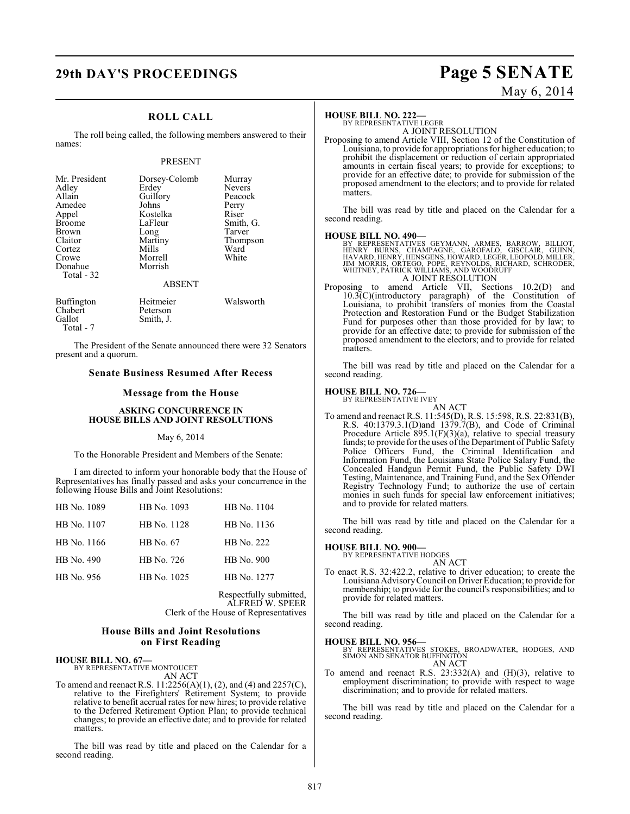## **29th DAY'S PROCEEDINGS Page 5 SENATE**

### **ROLL CALL**

The roll being called, the following members answered to their names:

#### PRESENT

| Mr. President<br>Adley<br>Allain<br>Amedee<br>Appel<br><b>Broome</b><br><b>Brown</b><br>Claitor<br>Cortez<br>Crowe<br>Donahue | Dorsey-Colomb<br>Erdey<br>Guillory<br>Johns<br>Kostelka<br>LaFleur<br>Long<br>Martiny<br>Mills<br>Morrell<br>Morrish | Murray<br><b>Nevers</b><br>Peacock<br>Perry<br>Riser<br>Smith, G.<br>Tarver<br>Thompson<br>Ward<br>White |
|-------------------------------------------------------------------------------------------------------------------------------|----------------------------------------------------------------------------------------------------------------------|----------------------------------------------------------------------------------------------------------|
| Total - 32                                                                                                                    | <b>ABSENT</b>                                                                                                        |                                                                                                          |
| Buffington<br>Chabert<br>Gallot                                                                                               | Heitmeier<br>Peterson<br>Smith, J.                                                                                   | Walsworth                                                                                                |

Total - 7

The President of the Senate announced there were 32 Senators present and a quorum.

#### **Senate Business Resumed After Recess**

#### **Message from the House**

#### **ASKING CONCURRENCE IN HOUSE BILLS AND JOINT RESOLUTIONS**

#### May 6, 2014

To the Honorable President and Members of the Senate:

I am directed to inform your honorable body that the House of Representatives has finally passed and asks your concurrence in the following House Bills and Joint Resolutions:

| HB No. 1089 | HB No. 1093 | HB No. 1104 |
|-------------|-------------|-------------|
| HB No. 1107 | HB No. 1128 | HB No. 1136 |
| HB No. 1166 | HB No. 67   | HB No. 222  |
| HB No. 490  | HB No. 726  | HB No. 900  |
| HB No. 956  | HB No. 1025 | HB No. 1277 |
|             |             |             |

Respectfully submitted, ALFRED W. SPEER Clerk of the House of Representatives

#### **House Bills and Joint Resolutions on First Reading**

## **HOUSE BILL NO. 67—** BY REPRESENTATIVE MONTOUCET

AN ACT

To amend and reenact R.S. 11:2256(A)(1), (2), and (4) and 2257(C), relative to the Firefighters' Retirement System; to provide relative to benefit accrual rates for new hires; to provide relative to the Deferred Retirement Option Plan; to provide technical changes; to provide an effective date; and to provide for related matters.

The bill was read by title and placed on the Calendar for a second reading.

#### **HOUSE BILL NO. 222—** BY REPRESENTATIVE LEGER

A JOINT RESOLUTION

Proposing to amend Article VIII, Section 12 of the Constitution of Louisiana, to provide for appropriations for higher education; to prohibit the displacement or reduction of certain appropriated amounts in certain fiscal years; to provide for exceptions; to provide for an effective date; to provide for submission of the proposed amendment to the electors; and to provide for related matters.

The bill was read by title and placed on the Calendar for a second reading.

#### **HOUSE BILL NO. 490—**

BY REPRESENTATIVES GEYMANN, ARMES, BARROW, BILLIOT,<br>HENRY BURNS, CHAMPAGNE, GAROFALO, GISCLAIR, GUINN,<br>HAVARD,HENRÝ,HENSGENS,HOWARD,LEGER,LEOPOLD,MILLER,<br>JIM MORRIS, ORTEGO, POPE, REYNOLDS, RICHARD, SCHRODER,<br>WHITNEY,PATRI A JOINT RESOLUTION

Proposing to amend Article VII, Sections 10.2(D) and 10.3(C)(introductory paragraph) of the Constitution of Louisiana, to prohibit transfers of monies from the Coastal Protection and Restoration Fund or the Budget Stabilization Fund for purposes other than those provided for by law; to provide for an effective date; to provide for submission of the proposed amendment to the electors; and to provide for related matters.

The bill was read by title and placed on the Calendar for a second reading.

#### **HOUSE BILL NO. 726—**

BY REPRESENTATIVE IVEY AN ACT

To amend and reenact R.S. 11:545(D), R.S. 15:598, R.S. 22:831(B), R.S. 40:1379.3.1(D)and 1379.7(B), and Code of Criminal Procedure Article 895.1(F)(3)(a), relative to special treasury funds; to provide for the uses of the Department of Public Safety Police Officers Fund, the Criminal Identification and Information Fund, the Louisiana State Police Salary Fund, the Concealed Handgun Permit Fund, the Public Safety DWI Testing, Maintenance, and Training Fund, and the Sex Offender Registry Technology Fund; to authorize the use of certain monies in such funds for special law enforcement initiatives; and to provide for related matters.

The bill was read by title and placed on the Calendar for a second reading.

#### **HOUSE BILL NO. 900—**

BY REPRESENTATIVE HODGES

AN ACT

To enact R.S. 32:422.2, relative to driver education; to create the Louisiana Advisory Council on Driver Education; to provide for membership; to provide for the council's responsibilities; and to provide for related matters.

The bill was read by title and placed on the Calendar for a second reading.

### **HOUSE BILL NO. 956—**

BY REPRESENTATIVES STOKES, BROADWATER, HODGES, AND SIMON AND SENATOR BUFFINGTON AN ACT

To amend and reenact R.S. 23:332(A) and (H)(3), relative to employment discrimination; to provide with respect to wage discrimination; and to provide for related matters.

The bill was read by title and placed on the Calendar for a second reading.

# May 6, 2014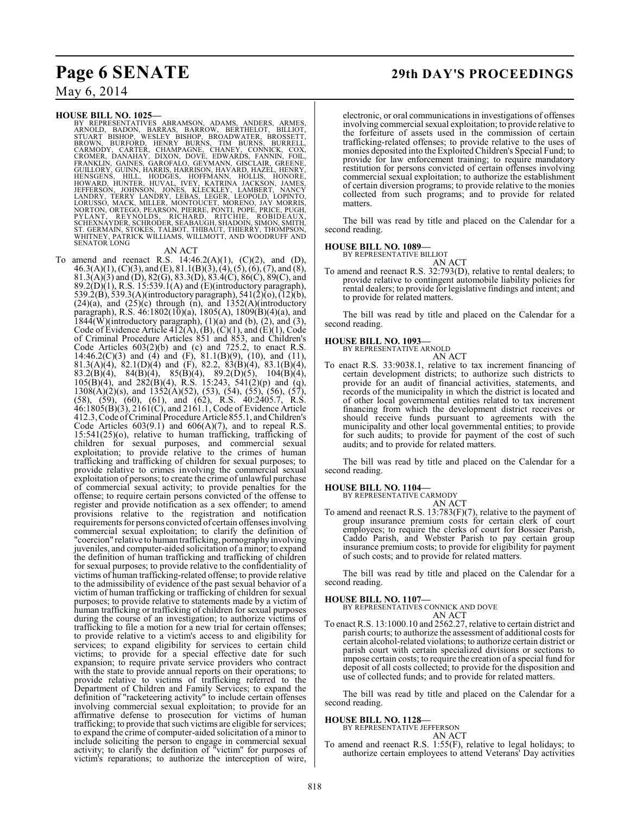## **Page 6 SENATE 29th DAY'S PROCEEDINGS**

### May 6, 2014

HOUSE BILL NO. 1025—<br>
BY REPRESENTATIVES ABRAMSON, ADAMS, ANDERS, ARMES, ARNOLD, BADON, BARRAS, BARROW, BERTHELOT, BILLIOT,<br>
STUART BISHOP, WESLEY BISHOP, BROADWATER, BROSSETT,<br>
BROWN, BURFORD, HENRY BURNS, TIM BURNS, BURR

#### AN ACT

To amend and reenact R.S.  $14:46.2(A)(1)$ ,  $(C)(2)$ , and  $(D)$ ,  $46.3(A)(1)$ , (C)(3), and (E), 81.1(B)(3), (4), (5), (6), (7), and (8), 81.3(A)(3) and (D), 82(G), 83.3(D), 83.4(C), 86(C), 89(C), and  $89.2(D)(1)$ , R.S. 15:539.1(A) and (E)(introductory paragraph), 539.2(B), 539.3(A)(introductory paragraph), 541(2)(o), (12)(b),  $(24)(a)$ , and  $(25)(c)$  through  $(n)$ , and  $1352(A)(introducing$ paragraph), R.S.  $46:1802(10)(a)$ ,  $1805(A)$ ,  $1809(B)(4)(a)$ , and  $1844(W)($ introductory paragraph),  $(1)(a)$  and  $(b)$ ,  $(2)$ , and  $(3)$ , Code of Evidence Article 412(A), (B), (C)(1), and (E)(1), Code of Criminal Procedure Articles 851 and 853, and Children's Code Articles  $603(2)(b)$  and (c) and 725.2, to enact R.S. 14:46.2(C)(3) and (4) and (F), 81.1(B)(9), (10), and (11), 81.3(A)(4), 82.1(D)(4) and (F), 82.2, 83(B)(4), 83.1(B)(4), 83.2(B)(4), 84(B)(4), 85(B)(4), 89.2(D)(5), 104(B)(4),  $105(B)(4)$ , and  $282(B)(4)$ , R.S. 15:243, 541(2)(p) and (q),  $1308(A)(2)(s)$ , and  $1352(A)(52)$ , (53), (54), (55), (56), (57), (58), (59), (60), (61), and (62), R.S. 40:2405.7, R.S. 46:1805(B)(3), 2161(C), and 2161.1, Code of Evidence Article 412.3, Code of Criminal Procedure Article 855.1, and Children's Code Articles  $603(9.1)$  and  $606(A)(7)$ , and to repeal R.S. 15:541(25)(o), relative to human trafficking, trafficking of children for sexual purposes, and commercial sexual exploitation; to provide relative to the crimes of human trafficking and trafficking of children for sexual purposes; to provide relative to crimes involving the commercial sexual exploitation of persons; to create the crime of unlawful purchase of commercial sexual activity; to provide penalties for the offense; to require certain persons convicted of the offense to register and provide notification as a sex offender; to amend provisions relative to the registration and notification requirements for persons convicted of certain offenses involving commercial sexual exploitation; to clarify the definition of "coercion" relative to human trafficking, pornography involving juveniles, and computer-aided solicitation of a minor; to expand the definition of human trafficking and trafficking of children for sexual purposes; to provide relative to the confidentiality of victims of human trafficking-related offense; to provide relative to the admissibility of evidence of the past sexual behavior of a victim of human trafficking or trafficking of children for sexual purposes; to provide relative to statements made by a victim of human trafficking or trafficking of children for sexual purposes during the course of an investigation; to authorize victims of trafficking to file a motion for a new trial for certain offenses; to provide relative to a victim's access to and eligibility for services; to expand eligibility for services to certain child victims; to provide for a special effective date for such expansion; to require private service providers who contract with the state to provide annual reports on their operations; to provide relative to victims of trafficking referred to the Department of Children and Family Services; to expand the definition of "racketeering activity" to include certain offenses involving commercial sexual exploitation; to provide for an affirmative defense to prosecution for victims of human trafficking; to provide that such victims are eligible for services; to expand the crime of computer-aided solicitation of a minor to include soliciting the person to engage in commercial sexual activity; to clarify the definition of "victim" for purposes of victim's reparations; to authorize the interception of wire,

electronic, or oral communications in investigations of offenses involving commercial sexual exploitation; to provide relative to the forfeiture of assets used in the commission of certain trafficking-related offenses; to provide relative to the uses of monies deposited into the Exploited Children's Special Fund; to provide for law enforcement training; to require mandatory restitution for persons convicted of certain offenses involving commercial sexual exploitation; to authorize the establishment of certain diversion programs; to provide relative to the monies collected from such programs; and to provide for related matters.

The bill was read by title and placed on the Calendar for a second reading.

#### **HOUSE BILL NO. 1089—**

BY REPRESENTATIVE BILLIOT

AN ACT To amend and reenact R.S. 32:793(D), relative to rental dealers; to provide relative to contingent automobile liability policies for rental dealers; to provide for legislative findings and intent; and to provide for related matters.

The bill was read by title and placed on the Calendar for a second reading.

## **HOUSE BILL NO. 1093—** BY REPRESENTATIVE ARNOLD

AN ACT To enact R.S. 33:9038.1, relative to tax increment financing of certain development districts; to authorize such districts to provide for an audit of financial activities, statements, and records of the municipality in which the district is located and of other local governmental entities related to tax increment financing from which the development district receives or should receive funds pursuant to agreements with the municipality and other local governmental entities; to provide for such audits; to provide for payment of the cost of such audits; and to provide for related matters.

The bill was read by title and placed on the Calendar for a second reading.

#### **HOUSE BILL NO. 1104—**

BY REPRESENTATIVE CARMODY AN ACT

To amend and reenact R.S. 13:783(F)(7), relative to the payment of group insurance premium costs for certain clerk of court employees; to require the clerks of court for Bossier Parish, Caddo Parish, and Webster Parish to pay certain group insurance premium costs; to provide for eligibility for payment of such costs; and to provide for related matters.

The bill was read by title and placed on the Calendar for a second reading.

#### **HOUSE BILL NO. 1107—**

BY REPRESENTATIVES CONNICK AND DOVE AN ACT

To enact R.S. 13:1000.10 and 2562.27, relative to certain district and parish courts; to authorize the assessment of additional costs for certain alcohol-related violations; to authorize certain district or parish court with certain specialized divisions or sections to impose certain costs; to require the creation of a special fund for deposit of all costs collected; to provide for the disposition and use of collected funds; and to provide for related matters.

The bill was read by title and placed on the Calendar for a second reading.

#### **HOUSE BILL NO. 1128—**

BY REPRESENTATIVE JEFFERSON AN ACT

To amend and reenact R.S. 1:55(F), relative to legal holidays; to authorize certain employees to attend Veterans' Day activities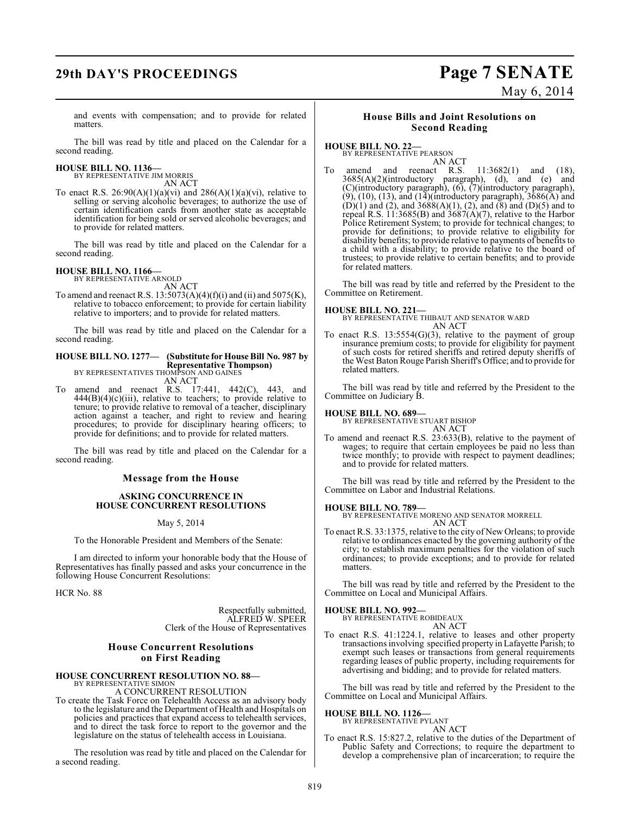## **29th DAY'S PROCEEDINGS Page 7 SENATE**

# May 6, 2014

and events with compensation; and to provide for related matters.

The bill was read by title and placed on the Calendar for a second reading.

## **HOUSE BILL NO. 1136—** BY REPRESENTATIVE JIM MORRIS

AN ACT To enact R.S.  $26:90(A)(1)(a)(vi)$  and  $286(A)(1)(a)(vi)$ , relative to selling or serving alcoholic beverages; to authorize the use of certain identification cards from another state as acceptable identification for being sold or served alcoholic beverages; and to provide for related matters.

The bill was read by title and placed on the Calendar for a second reading.

### **HOUSE BILL NO. 1166—**

BY REPRESENTATIVE ARNOLD AN ACT

To amend and reenact R.S.  $13:5073(A)(4)(f)(i)$  and (ii) and  $5075(K)$ , relative to tobacco enforcement; to provide for certain liability relative to importers; and to provide for related matters.

The bill was read by title and placed on the Calendar for a second reading.

### **HOUSE BILL NO. 1277— (Substitute for House Bill No. 987 by Representative Thompson)** BY REPRESENTATIVES THOMPSON AND GAINES

- AN ACT To amend and reenact R.S. 17:441, 442(C), 443, and
- $444(B)(4)(c)(iii)$ , relative to teachers; to provide relative to tenure; to provide relative to removal of a teacher, disciplinary action against a teacher, and right to review and hearing procedures; to provide for disciplinary hearing officers; to provide for definitions; and to provide for related matters.

The bill was read by title and placed on the Calendar for a second reading.

### **Message from the House**

#### **ASKING CONCURRENCE IN HOUSE CONCURRENT RESOLUTIONS**

#### May 5, 2014

To the Honorable President and Members of the Senate:

I am directed to inform your honorable body that the House of Representatives has finally passed and asks your concurrence in the following House Concurrent Resolutions:

HCR No. 88

Respectfully submitted, ALFRED W. SPEER Clerk of the House of Representatives

### **House Concurrent Resolutions on First Reading**

# **HOUSE CONCURRENT RESOLUTION NO. 88—**<br>BY REPRESENTATIVE SIMON<br>A CONCURRENT RESOLUTION

To create the Task Force on Telehealth Access as an advisory body to the legislature and the Department of Health and Hospitals on policies and practices that expand access to telehealth services, and to direct the task force to report to the governor and the legislature on the status of telehealth access in Louisiana.

The resolution was read by title and placed on the Calendar for a second reading.

#### **House Bills and Joint Resolutions on Second Reading**

### **HOUSE BILL NO. 22—**

BY REPRESENTATIVE PEARSON AN ACT

To amend and reenact R.S. 11:3682(1) and (18), 3685(A)(2)(introductory paragraph), (d), and (e) and (C)(introductory paragraph), (6), (7)(introductory paragraph),  $(9)$ ,  $(10)$ ,  $(13)$ , and  $(14)$ (introductory paragraph),  $3686(A)$  and  $(D)(1)$  and  $(2)$ , and  $3688(A)(1)$ ,  $(2)$ , and  $(8)$  and  $(D)(5)$  and to repeal R.S. 11:3685(B) and 3687(A)(7), relative to the Harbor Police Retirement System; to provide for technical changes; to provide for definitions; to provide relative to eligibility for disability benefits; to provide relative to payments of benefits to a child with a disability; to provide relative to the board of trustees; to provide relative to certain benefits; and to provide for related matters.

The bill was read by title and referred by the President to the Committee on Retirement.

**HOUSE BILL NO. 221—** BY REPRESENTATIVE THIBAUT AND SENATOR WARD AN ACT

To enact R.S. 13:5554(G)(3), relative to the payment of group insurance premium costs; to provide for eligibility for payment of such costs for retired sheriffs and retired deputy sheriffs of the West Baton Rouge Parish Sheriff's Office; and to provide for related matters.

The bill was read by title and referred by the President to the Committee on Judiciary B.

#### **HOUSE BILL NO. 689—**

BY REPRESENTATIVE STUART BISHOP AN ACT

To amend and reenact R.S. 23:633(B), relative to the payment of wages; to require that certain employees be paid no less than twice monthly; to provide with respect to payment deadlines; and to provide for related matters.

The bill was read by title and referred by the President to the Committee on Labor and Industrial Relations.

#### **HOUSE BILL NO. 789—**

BY REPRESENTATIVE MORENO AND SENATOR MORRELL AN ACT

To enact R.S. 33:1375, relative to the city of New Orleans; to provide relative to ordinances enacted by the governing authority of the city; to establish maximum penalties for the violation of such ordinances; to provide exceptions; and to provide for related matters.

The bill was read by title and referred by the President to the Committee on Local and Municipal Affairs.

#### **HOUSE BILL NO. 992—**

BY REPRESENTATIVE ROBIDEAUX

- AN ACT
- To enact R.S. 41:1224.1, relative to leases and other property transactions involving specified property in Lafayette Parish; to exempt such leases or transactions from general requirements regarding leases of public property, including requirements for advertising and bidding; and to provide for related matters.

The bill was read by title and referred by the President to the Committee on Local and Municipal Affairs.

#### **HOUSE BILL NO. 1126—** BY REPRESENTATIVE PYLANT

AN ACT

To enact R.S. 15:827.2, relative to the duties of the Department of Public Safety and Corrections; to require the department to develop a comprehensive plan of incarceration; to require the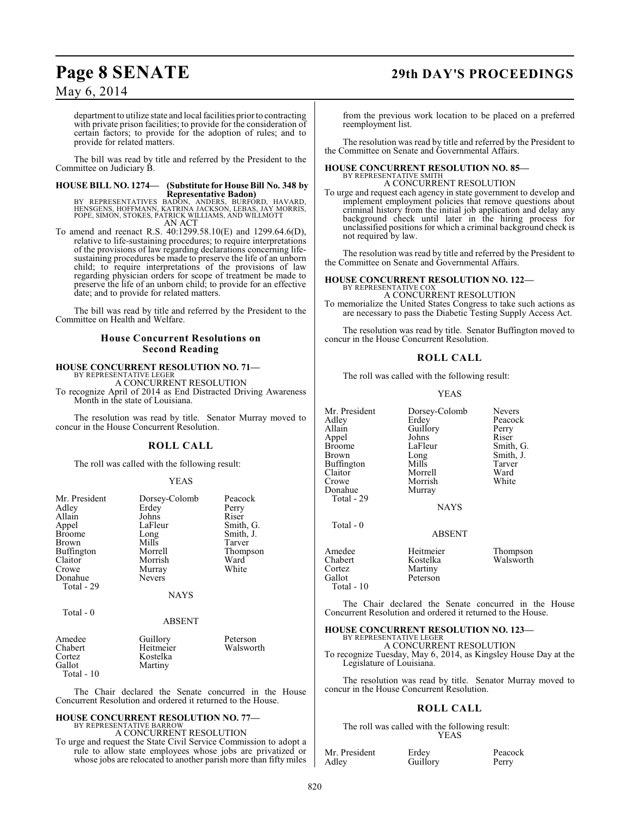## **Page 8 SENATE 29th DAY'S PROCEEDINGS**

May 6, 2014

department to utilize state and local facilities prior to contracting with private prison facilities; to provide for the consideration of certain factors; to provide for the adoption of rules; and to provide for related matters.

The bill was read by title and referred by the President to the Committee on Judiciary B.

#### **HOUSE BILL NO. 1274— (Substitute for House Bill No. 348 by Representative Badon)**

BY REPRESENTATIVES BADON, ANDERS, BURFORD, HAVARD,<br>HENSGENS, HOFFMANN, KATRINA JACKSON, LEBAS, JAY MORRIS,<br>POPE, SIMON, STOKES, PATRICK WILLIAMS, AND WILLMOTT<br>AN ACT

To amend and reenact R.S. 40:1299.58.10(E) and 1299.64.6(D), relative to life-sustaining procedures; to require interpretations of the provisions of law regarding declarations concerning lifesustaining procedures be made to preserve the life of an unborn child; to require interpretations of the provisions of law regarding physician orders for scope of treatment be made to preserve the life of an unborn child; to provide for an effective date; and to provide for related matters.

The bill was read by title and referred by the President to the Committee on Health and Welfare.

### **House Concurrent Resolutions on Second Reading**

## **HOUSE CONCURRENT RESOLUTION NO. 71—** BY REPRESENTATIVE LEGER

A CONCURRENT RESOLUTION To recognize April of 2014 as End Distracted Driving Awareness Month in the state of Louisiana.

The resolution was read by title. Senator Murray moved to concur in the House Concurrent Resolution.

#### **ROLL CALL**

The roll was called with the following result:

#### YEAS

| Mr. President | Dorsey-Colomb | Peacock   |
|---------------|---------------|-----------|
| Adley         | Erdey         | Perry     |
| Allain        | Johns         | Riser     |
| Appel         | LaFleur       | Smith, G. |
| Broome        | Long          | Smith, J. |
| Brown         | Mills         | Tarver    |
| Buffington    | Morrell       | Thompson  |
| Claitor       | Morrish       | Ward      |
| Crowe         |               | White     |
|               | Murray        |           |
| Donahue       | <b>Nevers</b> |           |
| Total - 29    |               |           |
|               | <b>NAYS</b>   |           |
|               |               |           |
| Total $-0$    |               |           |
|               | <b>ABSENT</b> |           |
| Amedee        | Guillory      | Peterson  |
| Chabert       | Heitmeier     | Walsworth |
| Cortez        |               |           |
|               | Kostelka      |           |

The Chair declared the Senate concurred in the House Concurrent Resolution and ordered it returned to the House.

## **HOUSE CONCURRENT RESOLUTION NO. 77—** BY REPRESENTATIVE BARROW

Martiny

Total - 10

A CONCURRENT RESOLUTION

To urge and request the State Civil Service Commission to adopt a rule to allow state employees whose jobs are privatized or whose jobs are relocated to another parish more than fifty miles from the previous work location to be placed on a preferred reemployment list.

The resolution was read by title and referred by the President to the Committee on Senate and Governmental Affairs.

#### **HOUSE CONCURRENT RESOLUTION NO. 85—** BY REPRESENTATIVE SMITH

A CONCURRENT RESOLUTION

To urge and request each agency in state government to develop and implement employment policies that remove questions about criminal history from the initial job application and delay any background check until later in the hiring process for unclassified positions for which a criminal background check is not required by law.

The resolution was read by title and referred by the President to the Committee on Senate and Governmental Affairs.

#### **HOUSE CONCURRENT RESOLUTION NO. 122—** BY REPRESENTATIVE COX

A CONCURRENT RESOLUTION To memorialize the United States Congress to take such actions as are necessary to pass the Diabetic Testing Supply Access Act.

The resolution was read by title. Senator Buffington moved to concur in the House Concurrent Resolution.

#### **ROLL CALL**

The roll was called with the following result:

#### YEAS

| Mr. President<br>Adley<br>Allain<br>Appel<br>Broome<br>Brown<br>Buffington<br>Claitor<br>Crowe<br>Donahue<br>Total - 29 | Dorsey-Colomb<br>Erdev<br>Guillory<br>Johns<br>LaFleur<br>Long<br>Mills<br>Morrell<br>Morrish<br>Murray<br><b>NAYS</b> | <b>Nevers</b><br>Peacock<br>Perry<br>Riser<br>Smith, G.<br>Smith, J.<br>Tarver<br>Ward<br>White |
|-------------------------------------------------------------------------------------------------------------------------|------------------------------------------------------------------------------------------------------------------------|-------------------------------------------------------------------------------------------------|
| Total - 0                                                                                                               | ABSENT                                                                                                                 |                                                                                                 |
| Amedee<br>Chabert<br>Cortez<br>Gallot<br>Total - 10                                                                     | Heitmeier<br>Kostelka<br>Martiny<br>Peterson                                                                           | Thompson<br>Walsworth                                                                           |

The Chair declared the Senate concurred in the House Concurrent Resolution and ordered it returned to the House.

#### **HOUSE CONCURRENT RESOLUTION NO. 123—**

BY REPRESENTATIVE LEGER A CONCURRENT RESOLUTION

To recognize Tuesday, May 6, 2014, as Kingsley House Day at the Legislature of Louisiana.

The resolution was read by title. Senator Murray moved to concur in the House Concurrent Resolution.

#### **ROLL CALL**

The roll was called with the following result: YEAS

Guillory

Mr. President Erdey Peacock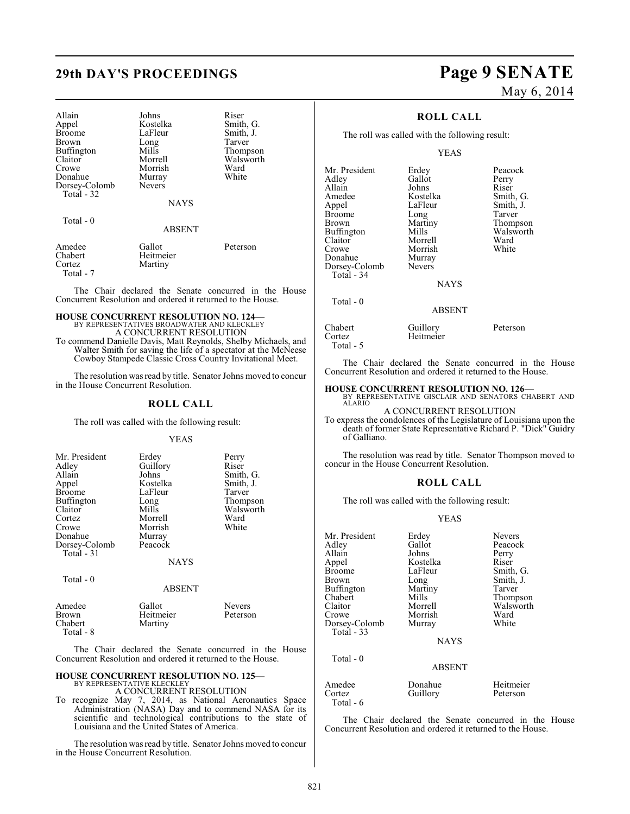## **29th DAY'S PROCEEDINGS Page 9 SENATE**

| Allain<br>Appel<br><b>Broome</b><br>Brown<br>Buffington<br>Claitor<br>Crowe<br>Donahue<br>Dorsey-Colomb<br>Total $-32$ | Johns<br>Kostelka<br>LaFleur<br>Long<br>Mills<br>Morrell<br>Morrish<br>Murray<br><b>Nevers</b> | Riser<br>Smith, G.<br>Smith, J.<br>Tarver<br>Thompson<br>Walsworth<br>Ward<br>White |
|------------------------------------------------------------------------------------------------------------------------|------------------------------------------------------------------------------------------------|-------------------------------------------------------------------------------------|
|                                                                                                                        | <b>NAYS</b>                                                                                    |                                                                                     |
| Total $-0$                                                                                                             | <b>ABSENT</b>                                                                                  |                                                                                     |
| Amedee<br>Chabert<br>Cortez<br>Total - 7                                                                               | Gallot<br>Heitmeier<br>Martiny                                                                 | Peterson                                                                            |

The Chair declared the Senate concurred in the House Concurrent Resolution and ordered it returned to the House.

#### **HOUSE CONCURRENT RESOLUTION NO. 124—** BY REPRESENTATIVES BROADWATER AND KLECKLEY

A CONCURRENT RESOLUTION To commend Danielle Davis, Matt Reynolds, Shelby Michaels, and Walter Smith for saving the life of a spectator at the McNeese Cowboy Stampede Classic Cross Country Invitational Meet.

The resolution was read by title. Senator Johns moved to concur in the House Concurrent Resolution.

#### **ROLL CALL**

The roll was called with the following result:

#### YEAS

| Mr. President<br>Adley<br>Allain<br>Appel<br><b>Broome</b><br>Buffington<br>Claitor<br>Cortez<br>Crowe<br>Donahue<br>Dorsey-Colomb | Erdey<br>Guillory<br>Johns<br>Kostelka<br>LaFleur<br>Long<br>Mills<br>Morrell<br>Morrish<br>Murray<br>Peacock | Perry<br>Riser<br>Smith, G.<br>Smith, J.<br>Tarver<br>Thompson<br>Walsworth<br>Ward<br>White |
|------------------------------------------------------------------------------------------------------------------------------------|---------------------------------------------------------------------------------------------------------------|----------------------------------------------------------------------------------------------|
| Total - 31<br>Total - 0                                                                                                            | <b>NAYS</b>                                                                                                   |                                                                                              |
| Amedee                                                                                                                             | <b>ABSENT</b><br>Gallot                                                                                       | Nevers                                                                                       |

| Amedee    | Gallot    | <b>Nevers</b> |
|-----------|-----------|---------------|
| Brown     | Heitmeier | Peterson      |
| Chabert   | Martiny   |               |
| Total - 8 |           |               |

The Chair declared the Senate concurred in the House Concurrent Resolution and ordered it returned to the House.

#### **HOUSE CONCURRENT RESOLUTION NO. 125—** BY REPRESENTATIVE KLECKLEY

A CONCURRENT RESOLUTION

To recognize May 7, 2014, as National Aeronautics Space Administration (NASA) Day and to commend NASA for its scientific and technological contributions to the state of Louisiana and the United States of America.

The resolution was read by title. Senator Johns moved to concur in the House Concurrent Resolution.

# May 6, 2014

### **ROLL CALL**

The roll was called with the following result:

### YEAS

|           | Mr. President<br>Adley<br>Allain<br>Amedee<br>Appel<br><b>Broome</b><br><b>Brown</b><br>Buffington<br>Claitor<br>Crowe<br>Donahue<br>Dorsey-Colomb<br>Total - 34 | Erdey<br>Gallot<br>Johns<br>Kostelka<br>LaFleur<br>Long<br>Martiny<br>Mills<br>Morrell<br>Morrish<br>Murray<br><b>Nevers</b><br><b>NAYS</b> | Peacock<br>Perry<br>Riser<br>Smith, G.<br>Smith, J.<br>Tarver<br>Thompson<br>Walsworth<br>Ward<br>White |
|-----------|------------------------------------------------------------------------------------------------------------------------------------------------------------------|---------------------------------------------------------------------------------------------------------------------------------------------|---------------------------------------------------------------------------------------------------------|
| Total - 0 |                                                                                                                                                                  |                                                                                                                                             |                                                                                                         |

#### ABSENT

| Chabert   | Guillory  | Peterson |
|-----------|-----------|----------|
| Cortez    | Heitmeier |          |
| Total - 5 |           |          |

The Chair declared the Senate concurred in the House Concurrent Resolution and ordered it returned to the House.

**HOUSE CONCURRENT RESOLUTION NO. 126—** BY REPRESENTATIVE GISCLAIR AND SENATORS CHABERT AND ALARIO

A CONCURRENT RESOLUTION

To express the condolences of the Legislature of Louisiana upon the death of former State Representative Richard P. "Dick" Guidry of Galliano.

The resolution was read by title. Senator Thompson moved to concur in the House Concurrent Resolution.

#### **ROLL CALL**

The roll was called with the following result:

#### YEAS

| Mr. President<br>Adley<br>Allain<br>Appel<br>Broome<br>Brown<br>Buffington<br>Chabert<br>Claitor<br>Crowe<br>Dorsey-Colomb<br>Total - 33 | Erdey<br>Gallot<br>Johns<br>Kostelka<br>LaFleur<br>Long<br>Martiny<br>Mills<br>Morrell<br>Morrish<br>Murray<br><b>NAYS</b> | <b>Nevers</b><br>Peacock<br>Perry<br>Riser<br>Smith, G.<br>Smith, J.<br>Tarver<br>Thompson<br>Walsworth<br>Ward<br>White |
|------------------------------------------------------------------------------------------------------------------------------------------|----------------------------------------------------------------------------------------------------------------------------|--------------------------------------------------------------------------------------------------------------------------|
| Total $-0$                                                                                                                               | <b>ABSENT</b>                                                                                                              |                                                                                                                          |

Amedee Donahue Heitmeier<br>Cortez Guillory Peterson Guillory Total - 6

The Chair declared the Senate concurred in the House Concurrent Resolution and ordered it returned to the House.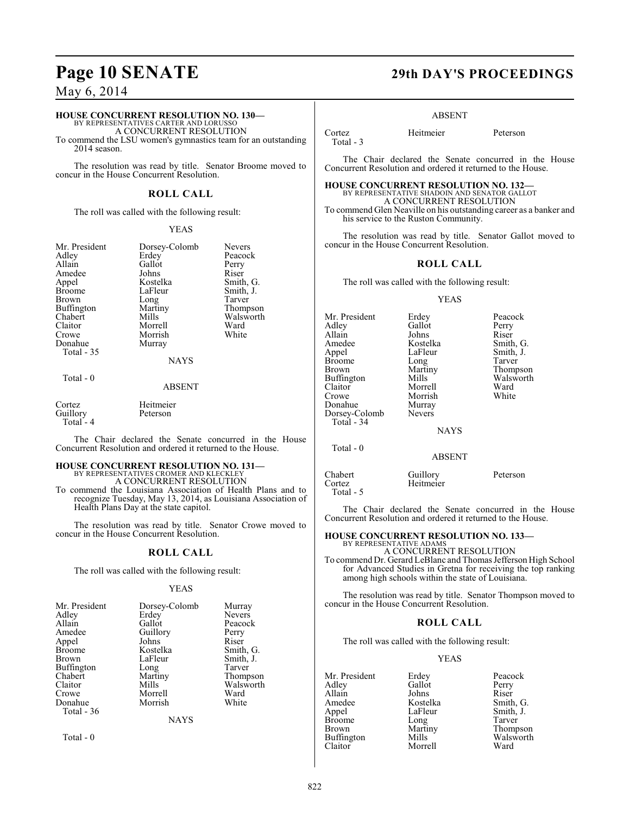## **Page 10 SENATE 29th DAY'S PROCEEDINGS**

May 6, 2014

### **HOUSE CONCURRENT RESOLUTION NO. 130—**

BY REPRESENTATIVES CARTER AND LORUSSO A CONCURRENT RESOLUTION

To commend the LSU women's gymnastics team for an outstanding 2014 season.

The resolution was read by title. Senator Broome moved to concur in the House Concurrent Resolution.

#### **ROLL CALL**

The roll was called with the following result:

#### YEAS

| Mr. President<br>Adley<br>Allain<br>Amedee<br>Appel<br><b>Broome</b><br>Brown<br>Buffington<br>Chabert<br>Claitor<br>Crowe<br>Donahue | Dorsey-Colomb<br>Erdey<br>Gallot<br>Johns<br>Kostelka<br>LaFleur<br>Long<br>Martiny<br>Mills<br>Morrell<br>Morrish<br>Murray | <b>Nevers</b><br>Peacock<br>Perry<br>Riser<br>Smith, G.<br>Smith, J.<br>Tarver<br>Thompson<br>Walsworth<br>Ward<br>White |
|---------------------------------------------------------------------------------------------------------------------------------------|------------------------------------------------------------------------------------------------------------------------------|--------------------------------------------------------------------------------------------------------------------------|
| Total - 35<br>$Total - 0$                                                                                                             | <b>NAYS</b>                                                                                                                  |                                                                                                                          |

#### ABSENT

Cortez Heitmeier Guillory Peterson Total - 4

The Chair declared the Senate concurred in the House Concurrent Resolution and ordered it returned to the House.

## **HOUSE CONCURRENT RESOLUTION NO. 131—** BY REPRESENTATIVES CROMER AND KLECKLEY

A CONCURRENT RESOLUTION

To commend the Louisiana Association of Health Plans and to recognize Tuesday, May 13, 2014, as Louisiana Association of Health Plans Day at the state capitol.

The resolution was read by title. Senator Crowe moved to concur in the House Concurrent Resolution.

#### **ROLL CALL**

The roll was called with the following result:

#### YEAS

| Mr. President | Dorsey-Colomb | Murray        |
|---------------|---------------|---------------|
| Adley         | Erdey         | <b>Nevers</b> |
| Allain        | Gallot        | Peacock       |
| Amedee        | Guillory      | Perry         |
| Appel         | Johns         | Riser         |
| <b>Broome</b> | Kostelka      | Smith, G.     |
| Brown         | LaFleur       | Smith, J.     |
| Buffington    | Long          | Tarver        |
| Chabert       | Martiny       | Thompson      |
| Claitor       | Mills         | Walsworth     |
| Crowe         | Morrell       | Ward          |
| Donahue       | Morrish       | White         |
| Total - 36    |               |               |
|               | NAYS          |               |

Total - 0

#### ABSENT

Total - 3

Cortez Heitmeier Peterson

The Chair declared the Senate concurred in the House Concurrent Resolution and ordered it returned to the House.

**HOUSE CONCURRENT RESOLUTION NO. 132—** BY REPRESENTATIVE SHADOIN AND SENATOR GALLOT

A CONCURRENT RESOLUTION To commend Glen Neaville on his outstanding career as a banker and his service to the Ruston Community.

The resolution was read by title. Senator Gallot moved to concur in the House Concurrent Resolution.

#### **ROLL CALL**

The roll was called with the following result:

#### YEAS

| Mr. President<br>Adlev<br>Allain<br>Amedee<br>Appel<br>Broome<br>Brown<br>Buffington<br>Claitor<br>Crowe<br>Donahue<br>Dorsey-Colomb | Erdey<br>Gallot<br>Johns<br>Kostelka<br>LaFleur<br>Long<br>Martiny<br>Mills<br>Morrell<br>Morrish<br>Murray<br><b>Nevers</b> | Peacock<br>Perry<br>Riser<br>Smith, G.<br>Smith, J.<br>Tarver<br>Thompson<br>Walsworth<br>Ward<br>White |
|--------------------------------------------------------------------------------------------------------------------------------------|------------------------------------------------------------------------------------------------------------------------------|---------------------------------------------------------------------------------------------------------|
|                                                                                                                                      |                                                                                                                              |                                                                                                         |
| Total $-34$                                                                                                                          |                                                                                                                              |                                                                                                         |
|                                                                                                                                      | <b>NAYS</b>                                                                                                                  |                                                                                                         |
| Total - 0                                                                                                                            |                                                                                                                              |                                                                                                         |
|                                                                                                                                      | ABSENT                                                                                                                       |                                                                                                         |

Chabert Guillory Peterson Heitmeier Total - 5

The Chair declared the Senate concurred in the House Concurrent Resolution and ordered it returned to the House.

## **HOUSE CONCURRENT RESOLUTION NO. 133—** BY REPRESENTATIVE ADAMS

A CONCURRENT RESOLUTION To commend Dr. Gerard LeBlanc and Thomas Jefferson High School for Advanced Studies in Gretna for receiving the top ranking among high schools within the state of Louisiana.

The resolution was read by title. Senator Thompson moved to concur in the House Concurrent Resolution.

#### **ROLL CALL**

The roll was called with the following result:

Morrell

#### YEAS

Mr. President Erdey Peacock<br>Adlev Gallot Perry Adley Gallot Perry<br>Allain Johns Riser Allain Johns<br>Amedee Kostelka Amedee Kostelka Smith, G.<br>Appel LaFleur Smith, J. Broome Long<br>Brown Martiny Buffington Mills Walsworth Walsworth Ward<br>Claitor Morrell Ward

Smith, J.<br>Tarver Martiny Thompson<br>Mills Walsworth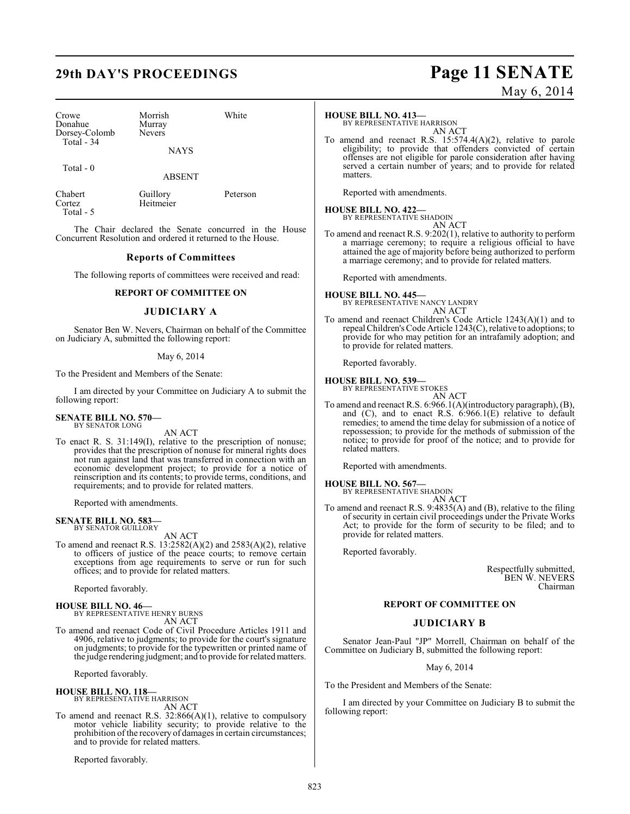| Crowe         |  |
|---------------|--|
| Donahue       |  |
| Dorsey-Colomb |  |
| Total - 34    |  |
|               |  |

Murray Nevers **NAYS** 

Morrish White

Total - 0

ABSENT

Total - 5

Chabert Guillory Peterson<br>
Cortez Heitmeier Heitmeier

The Chair declared the Senate concurred in the House Concurrent Resolution and ordered it returned to the House.

### **Reports of Committees**

The following reports of committees were received and read:

#### **REPORT OF COMMITTEE ON**

#### **JUDICIARY A**

Senator Ben W. Nevers, Chairman on behalf of the Committee on Judiciary A, submitted the following report:

#### May 6, 2014

To the President and Members of the Senate:

I am directed by your Committee on Judiciary A to submit the following report:

#### **SENATE BILL NO. 570—** BY SENATOR LONG

AN ACT

To enact R. S. 31:149(I), relative to the prescription of nonuse; provides that the prescription of nonuse for mineral rights does not run against land that was transferred in connection with an economic development project; to provide for a notice of reinscription and its contents; to provide terms, conditions, and requirements; and to provide for related matters.

Reported with amendments.

#### **SENATE BILL NO. 583** BY SENATOR GUILLORY

AN ACT

To amend and reenact R.S.  $13:2582(A)(2)$  and  $2583(A)(2)$ , relative to officers of justice of the peace courts; to remove certain exceptions from age requirements to serve or run for such offices; and to provide for related matters.

Reported favorably.

**HOUSE BILL NO. 46—** BY REPRESENTATIVE HENRY BURNS AN ACT

To amend and reenact Code of Civil Procedure Articles 1911 and 4906, relative to judgments; to provide for the court's signature on judgments; to provide for the typewritten or printed name of the judge rendering judgment; and to provide for related matters.

Reported favorably.

**HOUSE BILL NO. 118—** BY REPRESENTATIVE HARRISON AN ACT

To amend and reenact R.S. 32:866(A)(1), relative to compulsory motor vehicle liability security; to provide relative to the prohibition of the recovery of damages in certain circumstances; and to provide for related matters.

Reported favorably.

## **29th DAY'S PROCEEDINGS Page 11 SENATE** May 6, 2014

#### **HOUSE BILL NO. 413—**

BY REPRESENTATIVE HARRISON AN ACT

To amend and reenact R.S. 15:574.4(A)(2), relative to parole eligibility; to provide that offenders convicted of certain offenses are not eligible for parole consideration after having served a certain number of years; and to provide for related matters.

Reported with amendments.

## **HOUSE BILL NO. 422—** BY REPRESENTATIVE SHADOIN

AN ACT To amend and reenact R.S. 9:202(1), relative to authority to perform a marriage ceremony; to require a religious official to have attained the age of majority before being authorized to perform a marriage ceremony; and to provide for related matters.

Reported with amendments.

#### **HOUSE BILL NO. 445—** BY REPRESENTATIVE NANCY LANDRY

AN ACT To amend and reenact Children's Code Article 1243(A)(1) and to repeal Children's Code Article 1243(C), relative to adoptions; to provide for who may petition for an intrafamily adoption; and to provide for related matters.

Reported favorably.

## **HOUSE BILL NO. 539—** BY REPRESENTATIVE STOKES

AN ACT To amend and reenact R.S. 6:966.1(A)(introductory paragraph), (B), and (C), and to enact R.S. 6:966.1(E) relative to default remedies; to amend the time delay for submission of a notice of repossession; to provide for the methods of submission of the notice; to provide for proof of the notice; and to provide for related matters.

Reported with amendments.

## **HOUSE BILL NO. 567—** BY REPRESENTATIVE SHADOIN

AN ACT

To amend and reenact R.S. 9:4835(A) and (B), relative to the filing of security in certain civil proceedings under the Private Works Act; to provide for the form of security to be filed; and to provide for related matters.

Reported favorably.

Respectfully submitted, BEN W. NEVERS Chairman

#### **REPORT OF COMMITTEE ON**

### **JUDICIARY B**

Senator Jean-Paul "JP" Morrell, Chairman on behalf of the Committee on Judiciary B, submitted the following report:

May 6, 2014

To the President and Members of the Senate:

I am directed by your Committee on Judiciary B to submit the following report: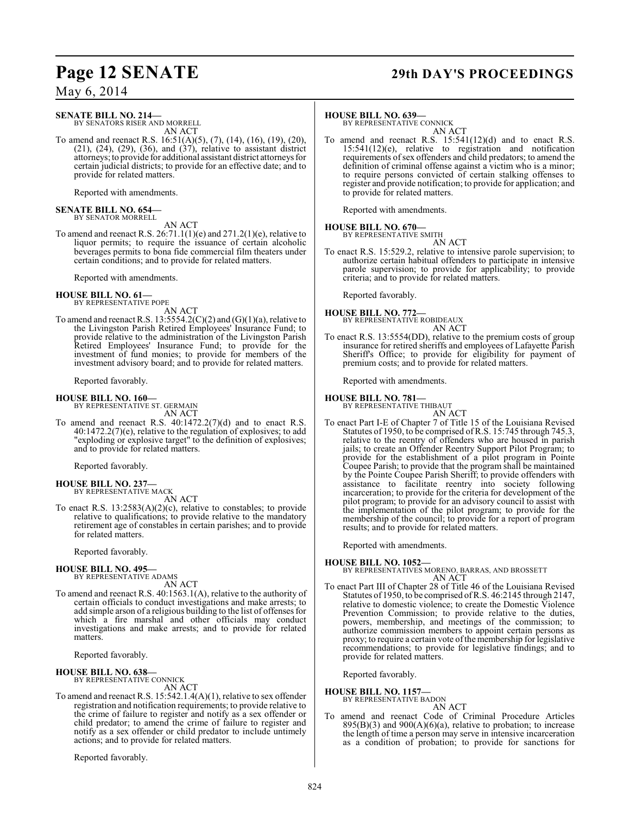## **Page 12 SENATE 29th DAY'S PROCEEDINGS**

### May 6, 2014

### **SENATE BILL NO. 214—**

BY SENATORS RISER AND MORRELL AN ACT

To amend and reenact R.S. 16:51(A)(5), (7), (14), (16), (19), (20), (21), (24), (29), (36), and (37), relative to assistant district attorneys; to provide for additional assistant district attorneys for certain judicial districts; to provide for an effective date; and to provide for related matters.

Reported with amendments.

#### **SENATE BILL NO. 654—** BY SENATOR MORRELL

AN ACT

To amend and reenact R.S. 26:71.1(1)(e) and 271.2(1)(e), relative to liquor permits; to require the issuance of certain alcoholic beverages permits to bona fide commercial film theaters under certain conditions; and to provide for related matters.

Reported with amendments.

#### **HOUSE BILL NO. 61—** BY REPRESENTATIVE POPE

AN ACT

To amend and reenact R.S.  $13:5554.2(C)(2)$  and  $(G)(1)(a)$ , relative to the Livingston Parish Retired Employees' Insurance Fund; to provide relative to the administration of the Livingston Parish Retired Employees' Insurance Fund; to provide for the investment of fund monies; to provide for members of the investment advisory board; and to provide for related matters.

Reported favorably.

#### **HOUSE BILL NO. 160—**

BY REPRESENTATIVE ST. GERMAIN AN ACT

To amend and reenact R.S. 40:1472.2(7)(d) and to enact R.S.  $40:1472.2(7)$ (e), relative to the regulation of explosives; to add "exploding or explosive target" to the definition of explosives; and to provide for related matters.

Reported favorably.

## **HOUSE BILL NO. 237—** BY REPRESENTATIVE MACK

AN ACT

To enact R.S. 13:2583(A)(2)(c), relative to constables; to provide relative to qualifications; to provide relative to the mandatory retirement age of constables in certain parishes; and to provide for related matters.

Reported favorably.

**HOUSE BILL NO. 495—**

BY REPRESENTATIVE ADAMS AN ACT

To amend and reenact R.S. 40:1563.1(A), relative to the authority of certain officials to conduct investigations and make arrests; to add simple arson of a religious building to the list of offenses for which a fire marshal and other officials may conduct investigations and make arrests; and to provide for related matters.

Reported favorably.

#### **HOUSE BILL NO. 638—**

BY REPRESENTATIVE CONNICK AN ACT

To amend and reenact R.S. 15:542.1.4(A)(1), relative to sex offender registration and notification requirements; to provide relative to the crime of failure to register and notify as a sex offender or child predator; to amend the crime of failure to register and notify as a sex offender or child predator to include untimely actions; and to provide for related matters.

Reported favorably.

#### **HOUSE BILL NO. 639—**

BY REPRESENTATIVE CONNICK AN ACT

To amend and reenact R.S. 15:541(12)(d) and to enact R.S. 15:541(12)(e), relative to registration and notification requirements of sex offenders and child predators; to amend the definition of criminal offense against a victim who is a minor; to require persons convicted of certain stalking offenses to register and provide notification; to provide for application; and to provide for related matters.

Reported with amendments.

### **HOUSE BILL NO. 670—**

BY REPRESENTATIVE SMITH

AN ACT To enact R.S. 15:529.2, relative to intensive parole supervision; to authorize certain habitual offenders to participate in intensive parole supervision; to provide for applicability; to provide criteria; and to provide for related matters.

Reported favorably.

## **HOUSE BILL NO. 772—** BY REPRESENTATIVE ROBIDEAUX

AN ACT

To enact R.S. 13:5554(DD), relative to the premium costs of group insurance for retired sheriffs and employees of Lafayette Parish Sheriff's Office; to provide for eligibility for payment of premium costs; and to provide for related matters.

Reported with amendments.

#### **HOUSE BILL NO. 781—**

BY REPRESENTATIVE THIBAUT AN ACT

To enact Part I-E of Chapter 7 of Title 15 of the Louisiana Revised Statutes of 1950, to be comprised of R.S. 15:745 through 745.3, relative to the reentry of offenders who are housed in parish jails; to create an Offender Reentry Support Pilot Program; to provide for the establishment of a pilot program in Pointe Coupee Parish; to provide that the program shall be maintained by the Pointe Coupee Parish Sheriff; to provide offenders with assistance to facilitate reentry into society following incarceration; to provide for the criteria for development of the pilot program; to provide for an advisory council to assist with the implementation of the pilot program; to provide for the membership of the council; to provide for a report of program results; and to provide for related matters.

Reported with amendments.

**HOUSE BILL NO. 1052—** BY REPRESENTATIVES MORENO, BARRAS, AND BROSSETT AN ACT

To enact Part III of Chapter 28 of Title 46 of the Louisiana Revised Statutes of 1950, to be comprised of R.S. 46:2145 through 2147, relative to domestic violence; to create the Domestic Violence Prevention Commission; to provide relative to the duties, powers, membership, and meetings of the commission; to authorize commission members to appoint certain persons as proxy; to require a certain vote of the membership for legislative recommendations; to provide for legislative findings; and to provide for related matters.

Reported favorably.

#### **HOUSE BILL NO. 1157—**

BY REPRESENTATIVE BADON AN ACT

To amend and reenact Code of Criminal Procedure Articles  $895(B)(3)$  and  $900(A)(6)(a)$ , relative to probation; to increase the length of time a person may serve in intensive incarceration as a condition of probation; to provide for sanctions for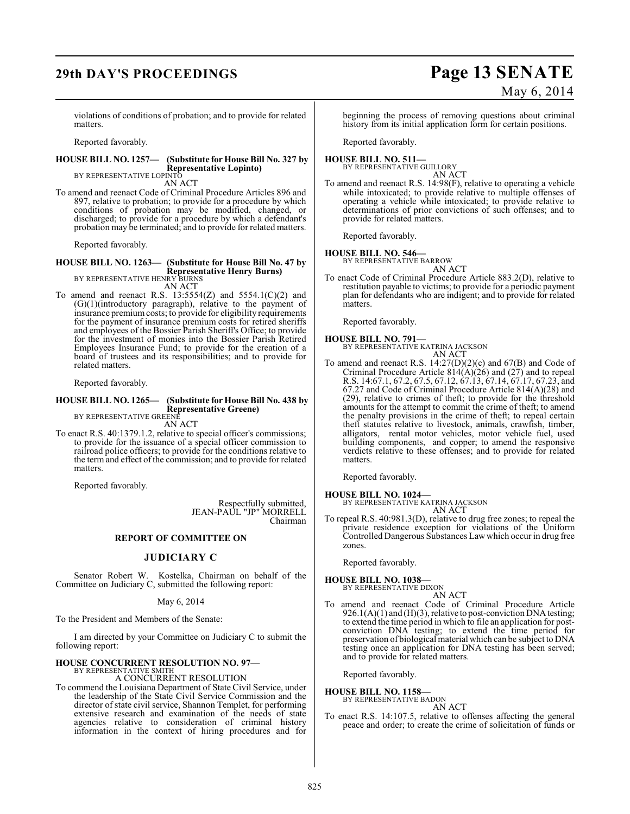## **29th DAY'S PROCEEDINGS Page 13 SENATE**

# May 6, 2014

violations of conditions of probation; and to provide for related matters.

Reported favorably.

### **HOUSE BILL NO. 1257— (Substitute for House Bill No. 327 by Representative Lopinto)** BY REPRESENTATIVE LOPINTO

AN ACT

To amend and reenact Code of Criminal Procedure Articles 896 and 897, relative to probation; to provide for a procedure by which conditions of probation may be modified, changed, or discharged; to provide for a procedure by which a defendant's probation may be terminated; and to provide for related matters.

Reported favorably.

#### **HOUSE BILL NO. 1263— (Substitute for House Bill No. 47 by Representative Henry Burns)** BY REPRESENTATIVE HENRY BURNS

AN ACT

To amend and reenact R.S.  $13:5554(Z)$  and  $5554.1(C)(2)$  and (G)(1)(introductory paragraph), relative to the payment of insurance premium costs; to provide for eligibility requirements for the payment of insurance premium costs for retired sheriffs and employees of the Bossier Parish Sheriff's Office; to provide for the investment of monies into the Bossier Parish Retired Employees Insurance Fund; to provide for the creation of a board of trustees and its responsibilities; and to provide for related matters.

Reported favorably.

#### **HOUSE BILL NO. 1265— (Substitute for House Bill No. 438 by Representative Greene)** BY REPRESENTATIVE GREENE

AN ACT

To enact R.S. 40:1379.1.2, relative to special officer's commissions; to provide for the issuance of a special officer commission to railroad police officers; to provide for the conditions relative to the term and effect of the commission; and to provide for related matters.

Reported favorably.

Respectfully submitted, JEAN-PAUL "JP" MORRELL Chairman

#### **REPORT OF COMMITTEE ON**

### **JUDICIARY C**

Senator Robert W. Kostelka, Chairman on behalf of the Committee on Judiciary C, submitted the following report:

#### May 6, 2014

To the President and Members of the Senate:

I am directed by your Committee on Judiciary C to submit the following report:

## **HOUSE CONCURRENT RESOLUTION NO. 97—** BY REPRESENTATIVE SMITH

### A CONCURRENT RESOLUTION

To commend the Louisiana Department of State Civil Service, under the leadership of the State Civil Service Commission and the director of state civil service, Shannon Templet, for performing extensive research and examination of the needs of state agencies relative to consideration of criminal history information in the context of hiring procedures and for

beginning the process of removing questions about criminal history from its initial application form for certain positions.

Reported favorably.

#### **HOUSE BILL NO. 511—** BY REPRESENTATIVE GUILLORY

AN ACT

To amend and reenact R.S. 14:98(F), relative to operating a vehicle while intoxicated; to provide relative to multiple offenses of operating a vehicle while intoxicated; to provide relative to determinations of prior convictions of such offenses; and to provide for related matters.

Reported favorably.

## **HOUSE BILL NO. 546—** BY REPRESENTATIVE BARROW

AN ACT

To enact Code of Criminal Procedure Article 883.2(D), relative to restitution payable to victims; to provide for a periodic payment plan for defendants who are indigent; and to provide for related **matters** 

Reported favorably.

### **HOUSE BILL NO. 791—**

BY REPRESENTATIVE KATRINA JACKSON AN ACT

To amend and reenact R.S. 14:27(D)(2)(c) and 67(B) and Code of Criminal Procedure Article  $814(A)(26)$  and  $(27)$  and to repeal R.S. 14:67.1, 67.2, 67.5, 67.12, 67.13, 67.14, 67.17, 67.23, and 67.27 and Code of Criminal Procedure Article 814(A)(28) and (29), relative to crimes of theft; to provide for the threshold amounts for the attempt to commit the crime of theft; to amend the penalty provisions in the crime of theft; to repeal certain theft statutes relative to livestock, animals, crawfish, timber, alligators, rental motor vehicles, motor vehicle fuel, used building components, and copper; to amend the responsive verdicts relative to these offenses; and to provide for related matters.

Reported favorably.

## **HOUSE BILL NO. 1024—** BY REPRESENTATIVE KATRINA JACKSON

AN ACT

To repeal R.S. 40:981.3(D), relative to drug free zones; to repeal the private residence exception for violations of the Uniform Controlled Dangerous Substances Law which occur in drug free zones.

Reported favorably.

**HOUSE BILL NO. 1038—** BY REPRESENTATIVE DIXON AN ACT

To amend and reenact Code of Criminal Procedure Article 926.1(A)(1) and (H)(3), relative to post-conviction DNA testing; to extend the time period in which to file an application for postconviction DNA testing; to extend the time period for preservation of biological material which can be subject to DNA testing once an application for DNA testing has been served; and to provide for related matters.

Reported favorably.

#### **HOUSE BILL NO. 1158—**

BY REPRESENTATIVE BADON AN ACT

To enact R.S. 14:107.5, relative to offenses affecting the general peace and order; to create the crime of solicitation of funds or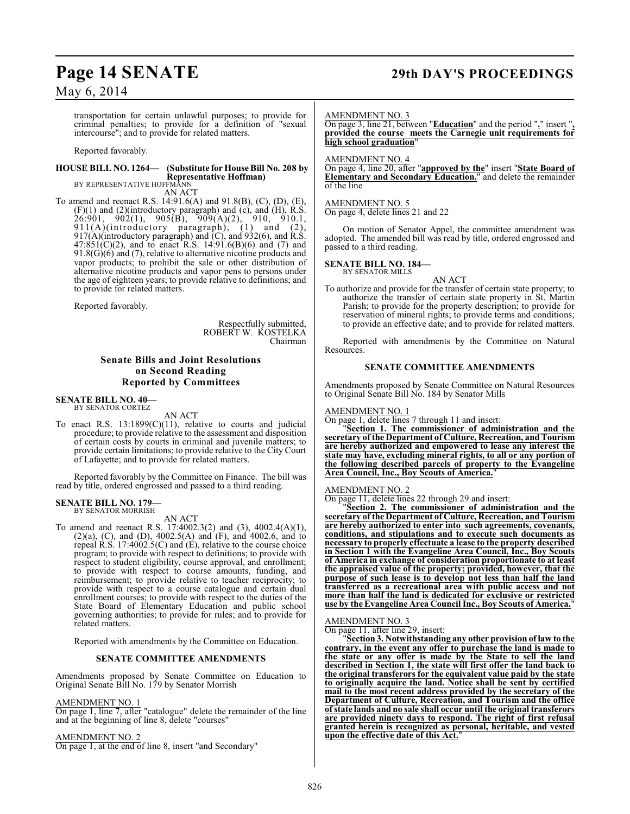## **Page 14 SENATE 29th DAY'S PROCEEDINGS**

May 6, 2014

transportation for certain unlawful purposes; to provide for criminal penalties; to provide for a definition of "sexual intercourse"; and to provide for related matters.

Reported favorably.

#### **HOUSE BILL NO. 1264— (Substitute for House Bill No. 208 by Representative Hoffman)**

BY REPRESENTATIVE HOFFMANN AN ACT

To amend and reenact R.S. 14:91.6(A) and 91.8(B), (C), (D), (E),  $(F)(1)$  and  $(2)$ (introductory paragraph) and  $(c)$ , and  $(H)$ , R.S.  $26:901, 902(1), 905(B), 909(A)(2), 910, 910.1,$ 911(A)(introductory paragraph), (1) and (2), 917(A)(introductory paragraph) and (C), and 932(6), and R.S.  $47:851(C)(2)$ , and to enact R.S. 14:91.6(B)(6) and (7) and 91.8(G)( $6$ ) and (7), relative to alternative nicotine products and vapor products; to prohibit the sale or other distribution of alternative nicotine products and vapor pens to persons under the age of eighteen years; to provide relative to definitions; and to provide for related matters.

Reported favorably.

Respectfully submitted, ROBERT W. KOSTELKA Chairman

### **Senate Bills and Joint Resolutions on Second Reading Reported by Committees**

### **SENATE BILL NO. 40—** BY SENATOR CORTEZ

AN ACT

To enact R.S. 13:1899(C)(11), relative to courts and judicial procedure; to provide relative to the assessment and disposition of certain costs by courts in criminal and juvenile matters; to provide certain limitations; to provide relative to the City Court of Lafayette; and to provide for related matters.

Reported favorably by the Committee on Finance. The bill was read by title, ordered engrossed and passed to a third reading.

### **SENATE BILL NO. 179—** BY SENATOR MORRISH

AN ACT

To amend and reenact R.S. 17:4002.3(2) and (3), 4002.4(A)(1), (2)(a), (C), and (D), 4002.5(A) and (F), and 4002.6, and to repeal R.S. 17:4002.5(C) and  $(E)$ , relative to the course choice program; to provide with respect to definitions; to provide with respect to student eligibility, course approval, and enrollment; to provide with respect to course amounts, funding, and reimbursement; to provide relative to teacher reciprocity; to provide with respect to a course catalogue and certain dual enrollment courses; to provide with respect to the duties of the State Board of Elementary Education and public school governing authorities; to provide for rules; and to provide for related matters.

Reported with amendments by the Committee on Education.

#### **SENATE COMMITTEE AMENDMENTS**

Amendments proposed by Senate Committee on Education to Original Senate Bill No. 179 by Senator Morrish

#### AMENDMENT NO. 1

On page 1, line 7, after "catalogue" delete the remainder of the line and at the beginning of line 8, delete "courses"

#### AMENDMENT NO. 2

On page 1, at the end of line 8, insert "and Secondary"

#### AMENDMENT NO. 3

On page 3, line 21, between "**Education**" and the period "**.**" insert "**, provided the course meets the Carnegie unit requirements for high school graduation**"

AMENDMENT NO. 4

On page 4, line 20, after "**approved by the**" insert "**State Board of Elementary and Secondary Education.**" and delete the remainder of the line

### AMENDMENT NO. 5

On page 4, delete lines 21 and 22

On motion of Senator Appel, the committee amendment was adopted. The amended bill was read by title, ordered engrossed and passed to a third reading.

#### **SENATE BILL NO. 184—** BY SENATOR MILLS

AN ACT

To authorize and provide for the transfer of certain state property; to authorize the transfer of certain state property in St. Martin Parish; to provide for the property description; to provide for reservation of mineral rights; to provide terms and conditions; to provide an effective date; and to provide for related matters.

Reported with amendments by the Committee on Natural Resources.

#### **SENATE COMMITTEE AMENDMENTS**

Amendments proposed by Senate Committee on Natural Resources to Original Senate Bill No. 184 by Senator Mills

#### AMENDMENT NO. 1

On page 1, delete lines 7 through 11 and insert:

"**Section 1. The commissioner of administration and the secretary of the Department of Culture, Recreation, and Tourism are hereby authorized and empowered to lease any interest the state may have, excluding mineral rights, to all or any portion of the following described parcels of property to the Evangeline Area Council, Inc., Boy Scouts of America.**"

#### AMENDMENT NO. 2

On page 11, delete lines 22 through 29 and insert:

"**Section 2. The commissioner of administration and the secretary of the Department of Culture, Recreation, and Tourism are hereby authorized to enter into such agreements, covenants, conditions, and stipulations and to execute such documents as necessary to properly effectuate a lease to the property described in Section 1 with the Evangeline Area Council, Inc., Boy Scouts of America in exchange of consideration proportionate to at least the appraised value of the property; provided, however, that the purpose of such lease is to develop not less than half the land transferred as a recreational area with public access and not more than half the land is dedicated for exclusive or restricted use by the Evangeline Area Council Inc., Boy Scouts of America.**"

#### AMENDMENT NO. 3

On page 11, after line 29, insert:

"**Section 3. Notwithstanding any other provision of law to the contrary, in the event any offer to purchase the land is made to the state or any offer is made by the State to sell the land described in Section 1, the state will first offer the land back to the original transferors for the equivalent value paid by the state to originally acquire the land. Notice shall be sent by certified mail to the most recent address provided by the secretary of the Department of Culture, Recreation, and Tourism and the office of state lands and no sale shall occur until the original transferors are provided ninety days to respond. The right of first refusal granted herein is recognized as personal, heritable, and vested upon the effective date of this Act.**"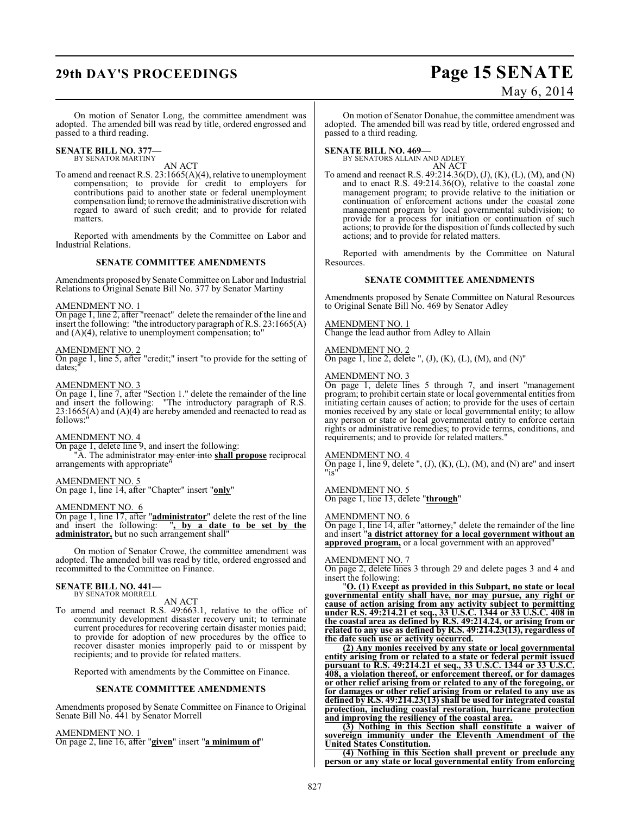## **29th DAY'S PROCEEDINGS Page 15 SENATE**

# May 6, 2014

On motion of Senator Long, the committee amendment was adopted. The amended bill was read by title, ordered engrossed and passed to a third reading.

#### **SENATE BILL NO. 377—** BY SENATOR MARTINY

AN ACT

To amend and reenact R.S. 23:1665(A)(4), relative to unemployment compensation; to provide for credit to employers for contributions paid to another state or federal unemployment compensation fund; to remove the administrative discretion with regard to award of such credit; and to provide for related matters.

Reported with amendments by the Committee on Labor and Industrial Relations.

#### **SENATE COMMITTEE AMENDMENTS**

Amendments proposed by Senate Committee on Labor and Industrial Relations to Original Senate Bill No. 377 by Senator Martiny

#### AMENDMENT NO. 1

On page 1, line 2, after "reenact" delete the remainder of the line and insert the following: "the introductory paragraph of R.S. 23:1665(A) and (A)(4), relative to unemployment compensation; to"

#### AMENDMENT NO. 2

On page 1, line 5, after "credit;" insert "to provide for the setting of dates;"

#### AMENDMENT NO. 3

On page 1, line 7, after "Section 1." delete the remainder of the line and insert the following: "The introductory paragraph of R.S. 23:1665(A) and (A)(4) are hereby amended and reenacted to read as follows:"

#### AMENDMENT NO. 4

On page 1, delete line 9, and insert the following: "A. The administrator may enter into **shall propose** reciprocal arrangements with appropriate"

### AMENDMENT NO. 5

On page 1, line 14, after "Chapter" insert "**only**"

#### AMENDMENT NO. 6

On page 1, line 17, after "**administrator**" delete the rest of the line and insert the following: "**, by a date to be set by the administrator,** but no such arrangement shall"

On motion of Senator Crowe, the committee amendment was adopted. The amended bill was read by title, ordered engrossed and recommitted to the Committee on Finance.

### **SENATE BILL NO. 441—** BY SENATOR MORRELL

AN ACT

To amend and reenact R.S. 49:663.1, relative to the office of community development disaster recovery unit; to terminate current procedures for recovering certain disaster monies paid; to provide for adoption of new procedures by the office to recover disaster monies improperly paid to or misspent by recipients; and to provide for related matters.

Reported with amendments by the Committee on Finance.

#### **SENATE COMMITTEE AMENDMENTS**

Amendments proposed by Senate Committee on Finance to Original Senate Bill No. 441 by Senator Morrell

AMENDMENT NO. 1 On page 2, line 16, after "**given**" insert "**a minimum of**"

On motion of Senator Donahue, the committee amendment was adopted. The amended bill was read by title, ordered engrossed and passed to a third reading.

**SENATE BILL NO. 469—** BY SENATORS ALLAIN AND ADLEY AN ACT

To amend and reenact R.S. 49:214.36(D), (J), (K), (L), (M), and (N) and to enact R.S. 49:214.36(O), relative to the coastal zone management program; to provide relative to the initiation or continuation of enforcement actions under the coastal zone management program by local governmental subdivision; to provide for a process for initiation or continuation of such actions; to provide for the disposition of funds collected by such actions; and to provide for related matters.

Reported with amendments by the Committee on Natural Resources.

#### **SENATE COMMITTEE AMENDMENTS**

Amendments proposed by Senate Committee on Natural Resources to Original Senate Bill No. 469 by Senator Adley

AMENDMENT NO. 1

Change the lead author from Adley to Allain

#### AMENDMENT NO. 2

On page 1, line 2, delete ",  $(J)$ ,  $(K)$ ,  $(L)$ ,  $(M)$ , and  $(N)$ "

#### AMENDMENT NO. 3

On page 1, delete lines 5 through 7, and insert "management program; to prohibit certain state or local governmental entities from initiating certain causes of action; to provide for the uses of certain monies received by any state or local governmental entity; to allow any person or state or local governmental entity to enforce certain rights or administrative remedies; to provide terms, conditions, and requirements; and to provide for related matters."

AMENDMENT NO. 4

On page 1, line 9, delete ", (J), (K), (L), (M), and (N) are" and insert "is"

AMENDMENT NO. 5 On page 1, line 13, delete "**through**"

#### AMENDMENT NO. 6

On page 1, line 14, after "attorney," delete the remainder of the line and insert "**a district attorney for a local government without an approved program,** or a local government with an approved"

#### AMENDMENT NO. 7

On page 2, delete lines 3 through 29 and delete pages 3 and 4 and insert the following:

"**O. (1) Except as provided in this Subpart, no state or local governmental entity shall have, nor may pursue, any right or cause of action arising from any activity subject to permitting under R.S. 49:214.21 et seq., 33 U.S.C. 1344 or 33 U.S.C. 408 in the coastal area as defined by R.S. 49:214.24, or arising from or related to any use as defined by R.S. 49:214.23(13), regardless of the date such use or activity occurred.**

**(2) Any monies received by any state or local governmental entity arising from or related to a state or federal permit issued pursuant to R.S. 49:214.21 et seq., 33 U.S.C. 1344 or 33 U.S.C. 408, a violation thereof, or enforcement thereof, or for damages or other relief arising from or related to any of the foregoing, or for damages or other relief arising from or related to any use as defined by R.S. 49:214.23(13) shall be used for integrated coastal protection, including coastal restoration, hurricane protection and improving the resiliency of the coastal area.**

**(3) Nothing in this Section shall constitute a waiver of sovereign immunity under the Eleventh Amendment of the United States Constitution.**

**(4) Nothing in this Section shall prevent or preclude any person or any state or local governmental entity from enforcing**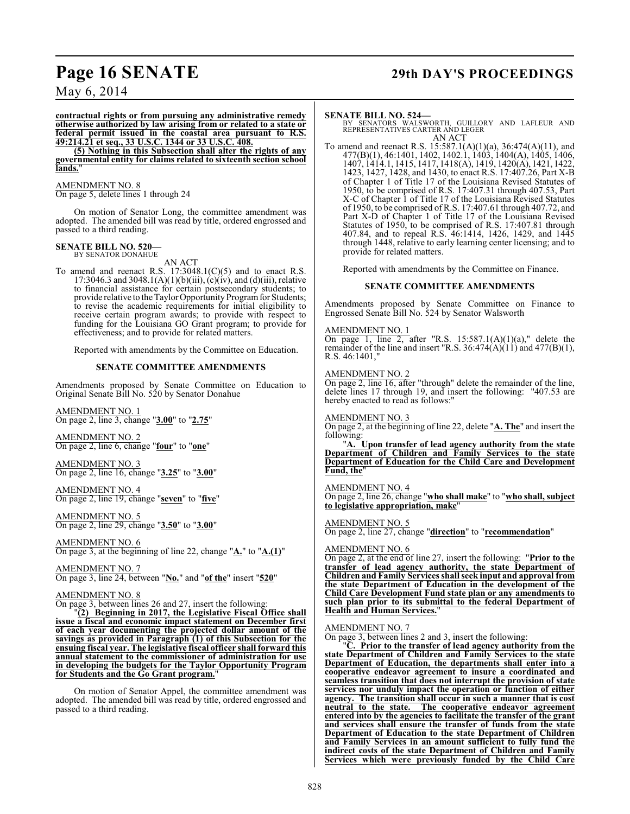## **Page 16 SENATE 29th DAY'S PROCEEDINGS**

May 6, 2014

**contractual rights or from pursuing any administrative remedy otherwise authorized by law arising from or related to a state or federal permit issued in the coastal area pursuant to R.S. 49:214.21 et seq., 33 U.S.C. 1344 or 33 U.S.C. 408.**

**(5) Nothing in this Subsection shall alter the rights of any governmental entity for claims related to sixteenth section school lands.**"

#### AMENDMENT NO. 8

On page 5, delete lines 1 through 24

On motion of Senator Long, the committee amendment was adopted. The amended bill was read by title, ordered engrossed and passed to a third reading.

#### **SENATE BILL NO. 520—** BY SENATOR DONAHUE

AN ACT

To amend and reenact R.S. 17:3048.1(C)(5) and to enact R.S. 17:3046.3 and 3048.1(A)(1)(b)(iii), (c)(iv), and (d)(iii), relative to financial assistance for certain postsecondary students; to provide relative to the Taylor Opportunity Program for Students; to revise the academic requirements for initial eligibility to receive certain program awards; to provide with respect to funding for the Louisiana GO Grant program; to provide for effectiveness; and to provide for related matters.

Reported with amendments by the Committee on Education.

#### **SENATE COMMITTEE AMENDMENTS**

Amendments proposed by Senate Committee on Education to Original Senate Bill No. 520 by Senator Donahue

AMENDMENT NO. 1 On page 2, line 3, change "**3.00**" to "**2.75**"

AMENDMENT NO. 2 On page 2, line 6, change "**four**" to "**one**"

AMENDMENT NO. 3 On page 2, line 16, change "**3.25**" to "**3.00**"

AMENDMENT NO. 4 On page 2, line 19, change "**seven**" to "**five**"

AMENDMENT NO. 5 On page 2, line 29, change "**3.50**" to "**3.00**"

AMENDMENT NO. 6 On page 3, at the beginning of line 22, change "**A.**" to "**A.(1)**"

AMENDMENT NO. 7 On page 3, line 24, between "**No.**" and "**of the**" insert "**520**"

#### AMENDMENT NO. 8

On page 3, between lines 26 and 27, insert the following:

"**(2) Beginning in 2017, the Legislative Fiscal Office shall issue a fiscal and economic impact statement on December first of each year documenting the projected dollar amount of the savings as provided in Paragraph (1) of this Subsection for the ensuing fiscal year.The legislative fiscal officer shall forward this annual statement to the commissioner of administration for use in developing the budgets for the Taylor Opportunity Program for Students and the Go Grant program.**"

On motion of Senator Appel, the committee amendment was adopted. The amended bill was read by title, ordered engrossed and passed to a third reading.

**SENATE BILL NO. 524—**<br>BY SENATORS WALSWORTH, GUILLORY AND LAFLEUR AND<br>REPRESENTATIVES CARTER AND LEGER AN ACT

To amend and reenact R.S. 15:587.1(A)(1)(a), 36:474(A)(11), and 477(B)(1), 46:1401, 1402, 1402.1, 1403, 1404(A), 1405, 1406, 1407, 1414.1, 1415, 1417, 1418(A), 1419, 1420(A), 1421, 1422, 1423, 1427, 1428, and 1430, to enact R.S. 17:407.26, Part X-B of Chapter 1 of Title 17 of the Louisiana Revised Statutes of 1950, to be comprised of R.S. 17:407.31 through 407.53, Part X-C of Chapter 1 of Title 17 of the Louisiana Revised Statutes of 1950, to be comprised of R.S. 17:407.61 through 407.72, and Part X-D of Chapter 1 of Title 17 of the Louisiana Revised Statutes of 1950, to be comprised of R.S. 17:407.81 through 407.84, and to repeal R.S. 46:1414, 1426, 1429, and 1445 through 1448, relative to early learning center licensing; and to provide for related matters.

Reported with amendments by the Committee on Finance.

#### **SENATE COMMITTEE AMENDMENTS**

Amendments proposed by Senate Committee on Finance to Engrossed Senate Bill No. 524 by Senator Walsworth

#### AMENDMENT NO. 1

On page 1, line 2, after "R.S.  $15:587.1(A)(1)(a)$ ," delete the remainder of the line and insert "R.S.  $36:474(A)(11)$  and  $477(B)(1)$ , R.S. 46:1401,"

#### AMENDMENT NO. 2

On page 2, line 16, after "through" delete the remainder of the line, delete lines 17 through 19, and insert the following: "407.53 are hereby enacted to read as follows:"

#### AMENDMENT NO. 3

On page 2, at the beginning of line 22, delete "**A. The**" and insert the following:

"**A. Upon transfer of lead agency authority from the state Department of Children and Family Services to the state Department of Education for the Child Care and Development Fund, the** 

#### AMENDMENT NO. 4

On page 2, line 26, change "**who shall make**" to "**who shall, subject to legislative appropriation, make**"

#### AMENDMENT NO. 5

On page 2, line 27, change "**direction**" to "**recommendation**"

#### AMENDMENT NO. 6

On page 2, at the end of line 27, insert the following: "**Prior to the transfer of lead agency authority, the state Department of Children and Family Services shall seek input and approval from the state Department of Education in the development of the Child Care Development Fund state plan or any amendments to such plan prior to its submittal to the federal Department of Health and Human Services.**"

#### AMENDMENT NO. 7

On page 3, between lines 2 and 3, insert the following:

"**C. Prior to the transfer of lead agency authority from the state Department of Children and Family Services to the state Department of Education, the departments shall enter into a cooperative endeavor agreement to insure a coordinated and seamless transition that does not interrupt the provision of state services nor unduly impact the operation or function of either agency. The transition shall occur in such a manner that is cost neutral to the state. The cooperative endeavor agreement entered into by the agencies to facilitate the transfer of the grant and services shall ensure the transfer of funds from the state Department of Education to the state Department of Children and Family Services in an amount sufficient to fully fund the indirect costs of the state Department of Children and Family Services which were previously funded by the Child Care**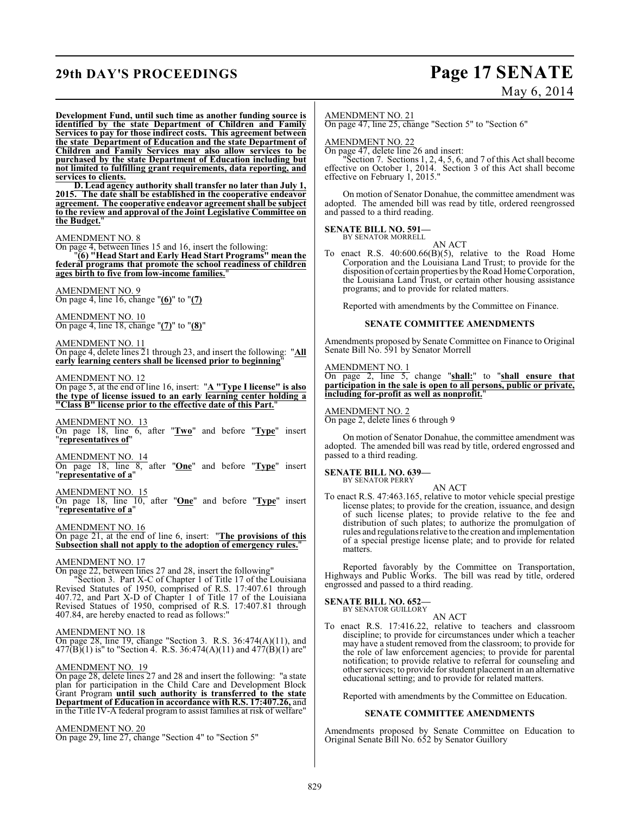## **29th DAY'S PROCEEDINGS Page 17 SENATE**

# May 6, 2014

**Development Fund, until such time as another funding source is identified by the state Department of Children and Family Services to pay for those indirect costs. This agreement between the state Department of Education and the state Department of Children and Family Services may also allow services to be purchased by the state Department of Education including but not limited to fulfilling grant requirements, data reporting, and services to clients.**

**D. Lead agency authority shall transfer no later than July 1, 2015. The date shall be established in the cooperative endeavor agreement. The cooperative endeavor agreement shall be subject to the review and approval of the Joint Legislative Committee on the Budget.**"

#### AMENDMENT NO. 8

On page 4, between lines 15 and 16, insert the following:

"**(6) "Head Start and Early Head Start Programs" mean the federal programs that promote the school readiness of children ages birth to five from low-income families.**"

#### AMENDMENT NO. 9

On page 4, line 16, change "**(6)**" to "**(7)**

#### AMENDMENT NO. 10

On page 4, line 18, change "**(7)**" to "**(8)**"

#### AMENDMENT NO. 11

On page 4, delete lines 21 through 23, and insert the following: "**All early learning centers shall be licensed prior to beginning**"

#### AMENDMENT NO. 12

On page 5, at the end of line 16, insert: "**A "Type I license" is also the type of license issued to an early learning center holding a "Class B" license prior to the effective date of this Part.**"

#### AMENDMENT NO. 13

On page 18, line 6, after "**Two**" and before "**Type**" insert "**representatives of**"

### AMENDMENT NO. 14

On page 18, line 8, after "**One**" and before "**Type**" insert "**representative of a**"

#### AMENDMENT NO. 15

On page 18, line 10, after "**One**" and before "**Type**" insert "**representative of a**"

#### AMENDMENT NO. 16

On page 21, at the end of line 6, insert: "**The provisions of this Subsection shall not apply to the adoption of emergency rules.**"

#### AMENDMENT NO. 17

On page 22, between lines 27 and 28, insert the following"

"Section 3. Part X-C of Chapter 1 of Title 17 of the Louisiana Revised Statutes of 1950, comprised of R.S. 17:407.61 through 407.72, and Part X-D of Chapter 1 of Title 17 of the Louisiana Revised Statues of 1950, comprised of R.S. 17:407.81 through 407.84, are hereby enacted to read as follows:"

#### AMENDMENT NO. 18

On page 28, line 19, change "Section 3. R.S. 36:474(A)(11), and  $477(B)(1)$  is" to "Section 4. R.S. 36:474(A)(11) and  $477(B)(1)$  are"

#### AMENDMENT NO. 19

On page 28, delete lines 27 and 28 and insert the following: "a state plan for participation in the Child Care and Development Block Grant Program **until such authority is transferred to the state Department of Education in accordance with R.S. 17:407.26,** and in the Title IV-A federal program to assist families at risk of welfare"

### AMENDMENT NO. 20

On page 29, line 27, change "Section 4" to "Section 5"

#### AMENDMENT NO. 21

On page 47, line 25, change "Section 5" to "Section 6"

#### AMENDMENT NO. 22

On page 47, delete line 26 and insert:

"Section 7. Sections 1, 2, 4, 5, 6, and 7 of this Act shall become effective on October 1, 2014. Section 3 of this Act shall become effective on February 1, 2015."

On motion of Senator Donahue, the committee amendment was adopted. The amended bill was read by title, ordered reengrossed and passed to a third reading.

#### **SENATE BILL NO. 591—** BY SENATOR MORRELL

AN ACT

To enact R.S. 40:600.66(B)(5), relative to the Road Home Corporation and the Louisiana Land Trust; to provide for the disposition of certain properties by the Road Home Corporation, the Louisiana Land Trust, or certain other housing assistance programs; and to provide for related matters.

Reported with amendments by the Committee on Finance.

#### **SENATE COMMITTEE AMENDMENTS**

Amendments proposed by Senate Committee on Finance to Original Senate Bill No. 591 by Senator Morrell

### AMENDMENT NO. 1

On page 2, line 5, change "**shall:**" to "**shall ensure that participation in the sale is open to all persons, public or private, including for-profit as well as nonprofit.**"

### AMENDMENT NO. 2

On page 2, delete lines 6 through 9

On motion of Senator Donahue, the committee amendment was adopted. The amended bill was read by title, ordered engrossed and passed to a third reading.

#### **SENATE BILL NO. 639—** BY SENATOR PERRY

AN ACT

To enact R.S. 47:463.165, relative to motor vehicle special prestige license plates; to provide for the creation, issuance, and design of such license plates; to provide relative to the fee and distribution of such plates; to authorize the promulgation of rules and regulationsrelative to the creation and implementation of a special prestige license plate; and to provide for related matters.

Reported favorably by the Committee on Transportation, Highways and Public Works. The bill was read by title, ordered engrossed and passed to a third reading.

## **SENATE BILL NO. 652—**<br>BY SENATOR GUILLORY

AN ACT

To enact R.S. 17:416.22, relative to teachers and classroom discipline; to provide for circumstances under which a teacher may have a student removed from the classroom; to provide for the role of law enforcement agencies; to provide for parental notification; to provide relative to referral for counseling and other services; to provide for student placement in an alternative educational setting; and to provide for related matters.

Reported with amendments by the Committee on Education.

#### **SENATE COMMITTEE AMENDMENTS**

Amendments proposed by Senate Committee on Education to Original Senate Bill No. 652 by Senator Guillory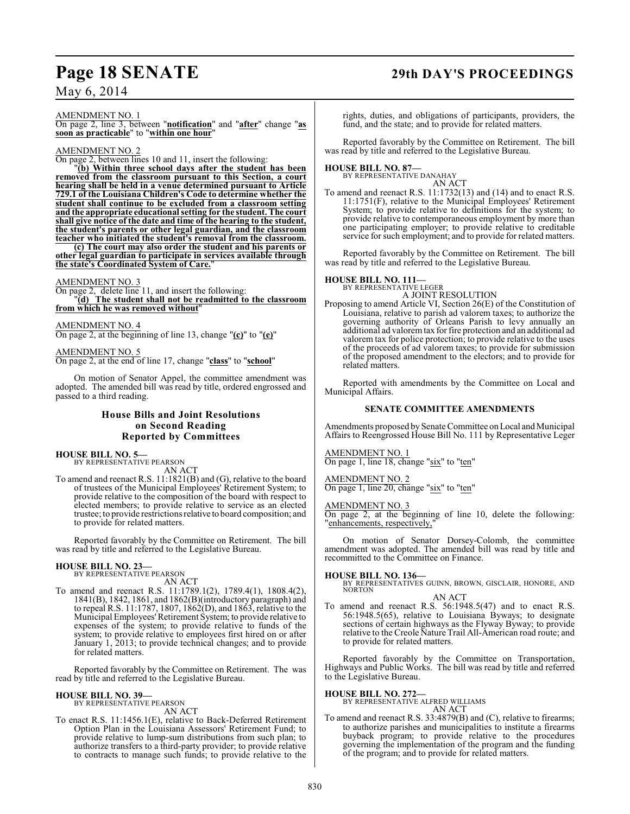## **Page 18 SENATE 29th DAY'S PROCEEDINGS**

### May 6, 2014

AMENDMENT NO. 1

On page 2, line 3, between "**notification**" and "**after**" change "**as soon as practicable**" to "**within one hour**"

#### AMENDMENT NO. 2

On page 2, between lines 10 and 11, insert the following:

"**(b) Within three school days after the student has been removed from the classroom pursuant to this Section, a court hearing shall be held in a venue determined pursuant to Article 729.1 of the Louisiana Children's Code to determine whether the student shall continue to be excluded from a classroom setting and the appropriate educational setting for the student. The court shall give notice of the date and time of the hearing to the student, the student's parents or other legal guardian, and the classroom teacher who initiated the student's removal from the classroom.**

**(c) The court may also order the student and his parents or other legal guardian to participate in services available through the state's Coordinated System of Care.**"

#### AMENDMENT NO. 3

On page 2, delete line 11, and insert the following: "**(d) The student shall not be readmitted to the classroom from which he was removed without**"

AMENDMENT NO. 4 On page 2, at the beginning of line 13, change "**(c)**" to "**(e)**"

#### AMENDMENT NO. 5

On page 2, at the end of line 17, change "**class**" to "**school**"

On motion of Senator Appel, the committee amendment was adopted. The amended bill was read by title, ordered engrossed and passed to a third reading.

### **House Bills and Joint Resolutions on Second Reading Reported by Committees**

## **HOUSE BILL NO. 5—** BY REPRESENTATIVE PEARSON

AN ACT To amend and reenact R.S. 11:1821(B) and (G), relative to the board of trustees of the Municipal Employees' Retirement System; to provide relative to the composition of the board with respect to elected members; to provide relative to service as an elected trustee; to provide restrictions relative to board composition; and to provide for related matters.

Reported favorably by the Committee on Retirement. The bill was read by title and referred to the Legislative Bureau.

#### **HOUSE BILL NO. 23—**

BY REPRESENTATIVE PEARSON AN ACT

To amend and reenact R.S. 11:1789.1(2), 1789.4(1), 1808.4(2), 1841(B), 1842, 1861, and 1862(B)(introductory paragraph) and to repeal R.S. 11:1787, 1807, 1862(D), and 1863, relative to the Municipal Employees' Retirement System; to provide relative to expenses of the system; to provide relative to funds of the system; to provide relative to employees first hired on or after January 1, 2013; to provide technical changes; and to provide for related matters.

Reported favorably by the Committee on Retirement. The was read by title and referred to the Legislative Bureau.

## **HOUSE BILL NO. 39—** BY REPRESENTATIVE PEARSON

AN ACT

To enact R.S. 11:1456.1(E), relative to Back-Deferred Retirement Option Plan in the Louisiana Assessors' Retirement Fund; to provide relative to lump-sum distributions from such plan; to authorize transfers to a third-party provider; to provide relative to contracts to manage such funds; to provide relative to the

rights, duties, and obligations of participants, providers, the fund, and the state; and to provide for related matters.

Reported favorably by the Committee on Retirement. The bill was read by title and referred to the Legislative Bureau.

## **HOUSE BILL NO. 87—** BY REPRESENTATIVE DANAHAY

AN ACT

To amend and reenact R.S. 11:1732(13) and (14) and to enact R.S. 11:1751(F), relative to the Municipal Employees' Retirement System; to provide relative to definitions for the system; to provide relative to contemporaneous employment by more than one participating employer; to provide relative to creditable service for such employment; and to provide for related matters.

Reported favorably by the Committee on Retirement. The bill was read by title and referred to the Legislative Bureau.

#### **HOUSE BILL NO. 111—**

BY REPRESENTATIVE LEGER A JOINT RESOLUTION

Proposing to amend Article VI, Section 26(E) of the Constitution of Louisiana, relative to parish ad valorem taxes; to authorize the governing authority of Orleans Parish to levy annually an additional ad valorem tax for fire protection and an additional ad valorem tax for police protection; to provide relative to the uses of the proceeds of ad valorem taxes; to provide for submission of the proposed amendment to the electors; and to provide for related matters.

Reported with amendments by the Committee on Local and Municipal Affairs.

#### **SENATE COMMITTEE AMENDMENTS**

Amendments proposed by Senate Committee on Local and Municipal Affairs to Reengrossed House Bill No. 111 by Representative Leger

### AMENDMENT NO. 1

On page 1, line 18, change "six" to "ten"

AMENDMENT NO. 2 On page 1, line 20, change "six" to "ten"

#### AMENDMENT NO. 3

On page 2, at the beginning of line 10, delete the following: "enhancements, respectively,

On motion of Senator Dorsey-Colomb, the committee amendment was adopted. The amended bill was read by title and recommitted to the Committee on Finance.

**HOUSE BILL NO. 136—** BY REPRESENTATIVES GUINN, BROWN, GISCLAIR, HONORE, AND NORTON

### AN ACT

To amend and reenact R.S. 56:1948.5(47) and to enact R.S. 56:1948.5(65), relative to Louisiana Byways; to designate sections of certain highways as the Flyway Byway; to provide relative to the Creole Nature Trail All-American road route; and to provide for related matters.

Reported favorably by the Committee on Transportation, Highways and Public Works. The bill was read by title and referred to the Legislative Bureau.

### **HOUSE BILL NO. 272—**

BY REPRESENTATIVE ALFRED WILLIAMS AN ACT

To amend and reenact R.S. 33:4879(B) and (C), relative to firearms; to authorize parishes and municipalities to institute a firearms buyback program; to provide relative to the procedures governing the implementation of the program and the funding of the program; and to provide for related matters.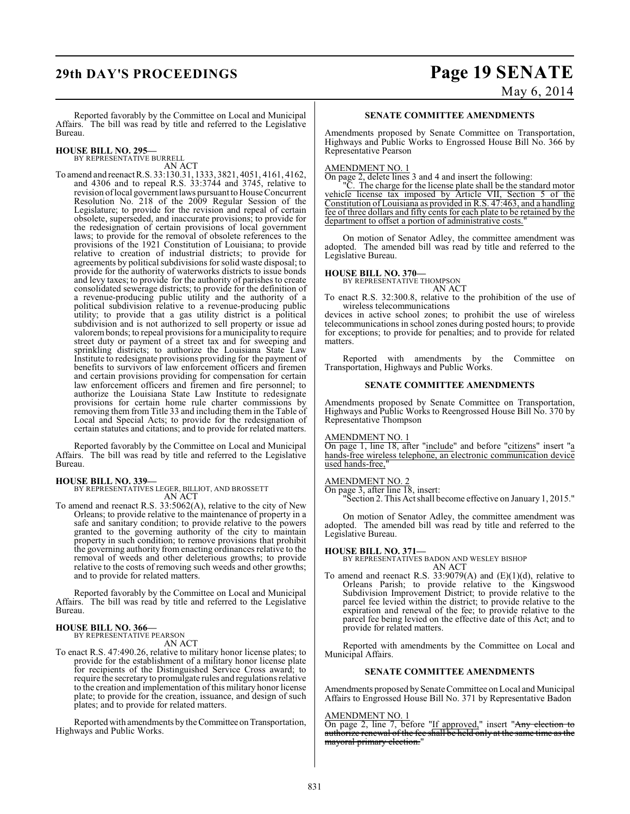# **29th DAY'S PROCEEDINGS Page 19 SENATE**

May 6, 2014

Reported favorably by the Committee on Local and Municipal Affairs. The bill was read by title and referred to the Legislative Bureau.

**HOUSE BILL NO. 295—** BY REPRESENTATIVE BURRELL

AN ACT

To amend and reenactR.S. 33:130.31, 1333, 3821, 4051, 4161, 4162, and 4306 and to repeal R.S. 33:3744 and 3745, relative to revision of local government laws pursuant to House Concurrent Resolution No. 218 of the 2009 Regular Session of the Legislature; to provide for the revision and repeal of certain obsolete, superseded, and inaccurate provisions; to provide for the redesignation of certain provisions of local government laws; to provide for the removal of obsolete references to the provisions of the 1921 Constitution of Louisiana; to provide relative to creation of industrial districts; to provide for agreements by political subdivisions for solid waste disposal; to provide for the authority of waterworks districts to issue bonds and levy taxes; to provide for the authority of parishes to create consolidated sewerage districts; to provide for the definition of a revenue-producing public utility and the authority of a political subdivision relative to a revenue-producing public utility; to provide that a gas utility district is a political subdivision and is not authorized to sell property or issue ad valorem bonds; to repeal provisions for a municipality to require street duty or payment of a street tax and for sweeping and sprinkling districts; to authorize the Louisiana State Law Institute to redesignate provisions providing for the payment of benefits to survivors of law enforcement officers and firemen and certain provisions providing for compensation for certain law enforcement officers and firemen and fire personnel; to authorize the Louisiana State Law Institute to redesignate provisions for certain home rule charter commissions by removing them from Title 33 and including them in the Table of Local and Special Acts; to provide for the redesignation of certain statutes and citations; and to provide for related matters.

Reported favorably by the Committee on Local and Municipal Affairs. The bill was read by title and referred to the Legislative Bureau.

#### **HOUSE BILL NO. 339—**

BY REPRESENTATIVES LEGER, BILLIOT, AND BROSSETT AN ACT

To amend and reenact R.S. 33:5062(A), relative to the city of New Orleans; to provide relative to the maintenance of property in a safe and sanitary condition; to provide relative to the powers granted to the governing authority of the city to maintain property in such condition; to remove provisions that prohibit the governing authority from enacting ordinances relative to the removal of weeds and other deleterious growths; to provide relative to the costs of removing such weeds and other growths; and to provide for related matters.

Reported favorably by the Committee on Local and Municipal Affairs. The bill was read by title and referred to the Legislative Bureau.

#### **HOUSE BILL NO. 366—** BY REPRESENTATIVE PEARSON

AN ACT

To enact R.S. 47:490.26, relative to military honor license plates; to provide for the establishment of a military honor license plate for recipients of the Distinguished Service Cross award; to require the secretary to promulgate rules and regulations relative to the creation and implementation of this military honor license plate; to provide for the creation, issuance, and design of such plates; and to provide for related matters.

Reported with amendments by the Committee on Transportation, Highways and Public Works.

#### **SENATE COMMITTEE AMENDMENTS**

Amendments proposed by Senate Committee on Transportation, Highways and Public Works to Engrossed House Bill No. 366 by Representative Pearson

#### AMENDMENT NO. 1

On page 2, delete lines 3 and 4 and insert the following:

"C. The charge for the license plate shall be the standard motor vehicle license tax imposed by Article VII, Section 5 of the Constitution of Louisiana as provided in R.S. 47:463, and a handling fee of three dollars and fifty cents for each plate to be retained by the department to offset a portion of administrative costs.

On motion of Senator Adley, the committee amendment was adopted. The amended bill was read by title and referred to the Legislative Bureau.

#### **HOUSE BILL NO. 370—**

BY REPRESENTATIVE THOMPSON AN ACT

To enact R.S. 32:300.8, relative to the prohibition of the use of wireless telecommunications

devices in active school zones; to prohibit the use of wireless telecommunications in school zones during posted hours; to provide for exceptions; to provide for penalties; and to provide for related matters.

Reported with amendments by the Committee on Transportation, Highways and Public Works.

#### **SENATE COMMITTEE AMENDMENTS**

Amendments proposed by Senate Committee on Transportation, Highways and Public Works to Reengrossed House Bill No. 370 by Representative Thompson

MENDMENT NO. 1

On page 1, line 18, after "include" and before "citizens" insert "a hands-free wireless telephone, an electronic communication device used hands-free,"

#### AMENDMENT NO. 2

On page 3, after line 18, insert:

"Section 2. This Actshall become effective on January 1, 2015."

On motion of Senator Adley, the committee amendment was adopted. The amended bill was read by title and referred to the Legislative Bureau.

#### **HOUSE BILL NO. 371—**

BY REPRESENTATIVES BADON AND WESLEY BISHOP AN ACT

To amend and reenact R.S. 33:9079(A) and  $(E)(1)(d)$ , relative to Orleans Parish; to provide relative to the Kingswood Subdivision Improvement District; to provide relative to the parcel fee levied within the district; to provide relative to the expiration and renewal of the fee; to provide relative to the parcel fee being levied on the effective date of this Act; and to provide for related matters.

Reported with amendments by the Committee on Local and Municipal Affairs.

#### **SENATE COMMITTEE AMENDMENTS**

Amendments proposed by Senate Committee on Local and Municipal Affairs to Engrossed House Bill No. 371 by Representative Badon

#### AMENDMENT NO. 1

On page 2, line 7, before "If approved," insert "Any election to authorize renewal of the fee shall be held only at the same time as the mayoral primary election."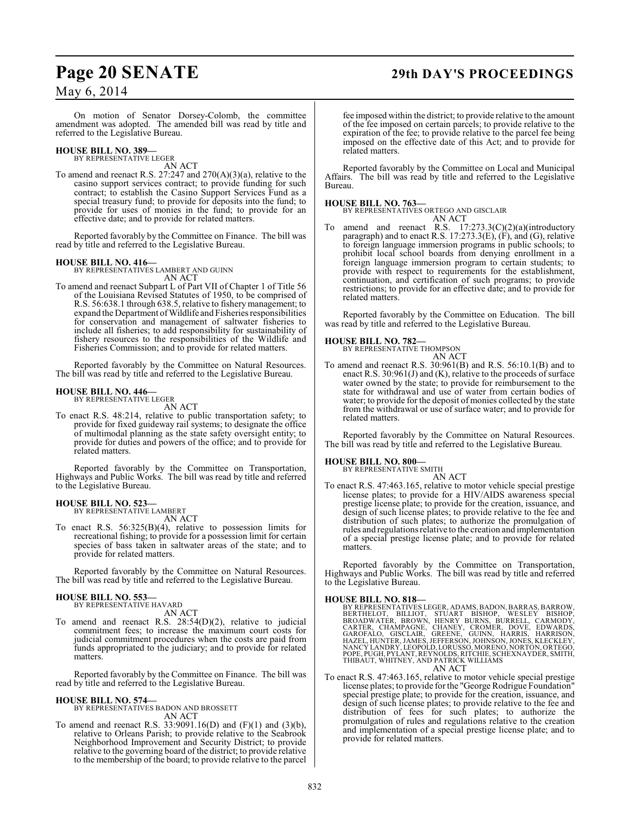## **Page 20 SENATE 29th DAY'S PROCEEDINGS**

May 6, 2014

On motion of Senator Dorsey-Colomb, the committee amendment was adopted. The amended bill was read by title and referred to the Legislative Bureau.

#### **HOUSE BILL NO. 389—** BY REPRESENTATIVE LEGER

AN ACT

To amend and reenact R.S. 27:247 and 270(A)(3)(a), relative to the casino support services contract; to provide funding for such contract; to establish the Casino Support Services Fund as a special treasury fund; to provide for deposits into the fund; to provide for uses of monies in the fund; to provide for an effective date; and to provide for related matters.

Reported favorably by the Committee on Finance. The bill was read by title and referred to the Legislative Bureau.

#### **HOUSE BILL NO. 416—**

BY REPRESENTATIVES LAMBERT AND GUINN AN ACT

To amend and reenact Subpart L of Part VII of Chapter 1 of Title 56 of the Louisiana Revised Statutes of 1950, to be comprised of R.S. 56:638.1 through 638.5, relative to fishery management; to expand the Department of Wildlife and Fisheries responsibilities for conservation and management of saltwater fisheries to include all fisheries; to add responsibility for sustainability of fishery resources to the responsibilities of the Wildlife and Fisheries Commission; and to provide for related matters.

Reported favorably by the Committee on Natural Resources. The bill was read by title and referred to the Legislative Bureau.

#### **HOUSE BILL NO. 446—** BY REPRESENTATIVE LEGER

AN ACT

To enact R.S. 48:214, relative to public transportation safety; to provide for fixed guideway rail systems; to designate the office of multimodal planning as the state safety oversight entity; to provide for duties and powers of the office; and to provide for related matters.

Reported favorably by the Committee on Transportation, Highways and Public Works. The bill was read by title and referred to the Legislative Bureau.

## **HOUSE BILL NO. 523—** BY REPRESENTATIVE LAMBERT

AN ACT

To enact R.S. 56:325(B)(4), relative to possession limits for recreational fishing; to provide for a possession limit for certain species of bass taken in saltwater areas of the state; and to provide for related matters.

Reported favorably by the Committee on Natural Resources. The bill was read by title and referred to the Legislative Bureau.

#### **HOUSE BILL NO. 553—**

BY REPRESENTATIVE HAVARD AN ACT

To amend and reenact R.S. 28:54(D)(2), relative to judicial commitment fees; to increase the maximum court costs for judicial commitment procedures when the costs are paid from funds appropriated to the judiciary; and to provide for related matters.

Reported favorably by the Committee on Finance. The bill was read by title and referred to the Legislative Bureau.

**HOUSE BILL NO. 574—** BY REPRESENTATIVES BADON AND BROSSETT AN ACT

To amend and reenact R.S. 33:9091.16(D) and (F)(1) and (3)(b), relative to Orleans Parish; to provide relative to the Seabrook Neighborhood Improvement and Security District; to provide relative to the governing board of the district; to provide relative to the membership of the board; to provide relative to the parcel

fee imposed within the district; to provide relative to the amount of the fee imposed on certain parcels; to provide relative to the expiration of the fee; to provide relative to the parcel fee being imposed on the effective date of this Act; and to provide for related matters.

Reported favorably by the Committee on Local and Municipal Affairs. The bill was read by title and referred to the Legislative Bureau.

#### **HOUSE BILL NO. 763—**

BY REPRESENTATIVES ORTEGO AND GISCLAIR AN ACT

To amend and reenact R.S. 17:273.3(C)(2)(a)(introductory paragraph) and to enact R.S. 17:273.3(E), (F), and (G), relative to foreign language immersion programs in public schools; to prohibit local school boards from denying enrollment in a foreign language immersion program to certain students; to provide with respect to requirements for the establishment, continuation, and certification of such programs; to provide restrictions; to provide for an effective date; and to provide for related matters.

Reported favorably by the Committee on Education. The bill was read by title and referred to the Legislative Bureau.

## **HOUSE BILL NO. 782—** BY REPRESENTATIVE THOMPSON

AN ACT To amend and reenact R.S. 30:961(B) and R.S. 56:10.1(B) and to enact R.S.  $30:961(J)$  and (K), relative to the proceeds of surface water owned by the state; to provide for reimbursement to the state for withdrawal and use of water from certain bodies of water; to provide for the deposit of monies collected by the state from the withdrawal or use of surface water; and to provide for related matters.

Reported favorably by the Committee on Natural Resources. The bill was read by title and referred to the Legislative Bureau.

## **HOUSE BILL NO. 800—** BY REPRESENTATIVE SMITH

AN ACT

To enact R.S. 47:463.165, relative to motor vehicle special prestige license plates; to provide for a HIV/AIDS awareness special prestige license plate; to provide for the creation, issuance, and design of such license plates; to provide relative to the fee and distribution of such plates; to authorize the promulgation of rules and regulationsrelative to the creation and implementation of a special prestige license plate; and to provide for related matters.

Reported favorably by the Committee on Transportation, Highways and Public Works. The bill was read by title and referred to the Legislative Bureau.

#### **HOUSE BILL NO. 818—**

BY REPRESENTATIVES LEGER, ADAMS, BADON, BARRAS, BARROW,<br>BERTHELOT, BILLIOT, STUART BISHOP, WESLEY BISHOP,<br>BROADWATER, BROWN, HENRY BURNS, BURRELL, CARMOPY,<br>CARTER, CHAMPAGNE, CHANEY, CROMER, DOVE, EDWARDS,<br>GAROFALO, GISCLA AN ACT

To enact R.S. 47:463.165, relative to motor vehicle special prestige license plates; to provide for the "George Rodrigue Foundation" special prestige plate; to provide for the creation, issuance, and design of such license plates; to provide relative to the fee and distribution of fees for such plates; to authorize the promulgation of rules and regulations relative to the creation and implementation of a special prestige license plate; and to provide for related matters.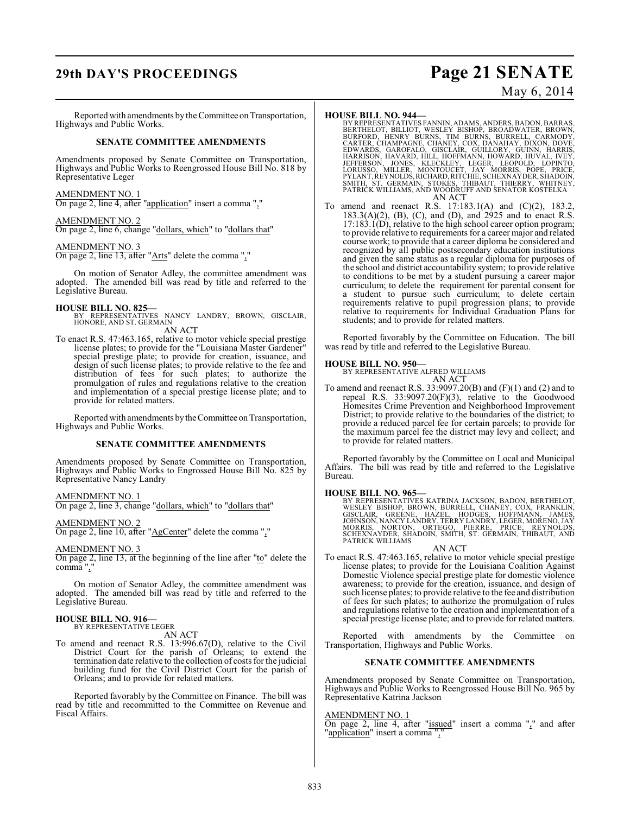## **29th DAY'S PROCEEDINGS Page 21 SENATE**

May 6, 2014

Reported with amendments by the Committee on Transportation, Highways and Public Works.

#### **SENATE COMMITTEE AMENDMENTS**

Amendments proposed by Senate Committee on Transportation, Highways and Public Works to Reengrossed House Bill No. 818 by Representative Leger

#### AMENDMENT NO. 1

On page 2, line 4, after "application" insert a comma ","

#### AMENDMENT NO. 2

On page 2, line 6, change "dollars, which" to "dollars that"

#### AMENDMENT NO. 3

On page 2, line 13, after "Arts" delete the comma ","

On motion of Senator Adley, the committee amendment was adopted. The amended bill was read by title and referred to the Legislative Bureau.

**HOUSE BILL NO. 825—** BY REPRESENTATIVES NANCY LANDRY, BROWN, GISCLAIR, HONORE, AND ST. GERMAIN AN ACT

To enact R.S. 47:463.165, relative to motor vehicle special prestige license plates; to provide for the "Louisiana Master Gardener" special prestige plate; to provide for creation, issuance, and design of such license plates; to provide relative to the fee and distribution of fees for such plates; to authorize the promulgation of rules and regulations relative to the creation and implementation of a special prestige license plate; and to provide for related matters.

Reported with amendments by the Committee on Transportation, Highways and Public Works.

#### **SENATE COMMITTEE AMENDMENTS**

Amendments proposed by Senate Committee on Transportation, Highways and Public Works to Engrossed House Bill No. 825 by Representative Nancy Landry

#### AMENDMENT NO. 1

On page 2, line 3, change "dollars, which" to "dollars that"

#### AMENDMENT NO. 2

On page 2, line 10, after "AgCenter" delete the comma ","

### AMENDMENT NO. 3

On page 2, line 13, at the beginning of the line after "to" delete the comma ","

On motion of Senator Adley, the committee amendment was adopted. The amended bill was read by title and referred to the Legislative Bureau.

#### **HOUSE BILL NO. 916—** BY REPRESENTATIVE LEGER

AN ACT

To amend and reenact R.S. 13:996.67(D), relative to the Civil District Court for the parish of Orleans; to extend the termination date relative to the collection of costs for the judicial building fund for the Civil District Court for the parish of Orleans; and to provide for related matters.

Reported favorably by the Committee on Finance. The bill was read by title and recommitted to the Committee on Revenue and Fiscal Affairs.

#### **HOUSE BILL NO. 944—**

- BY REPRESENTATIVES FANNIN, ADAMS, ANDERS, BADON, BARRAS,<br>BERTHELOT, BILLIOT, WESLEY BISHOP, BROADWATER, BROWN,<br>BURFORD, HENRY BURNS, TIM BURNS, BURRELL, CARMONY,<br>CARTER, CHAMPAGNE, CHANEY, COX, DANAHAY, DIXON, DOVE,<br>EDWARD SMITH, ST. GERMAIN, STOKES, THIBAUT, THIERRY, WHITNEY, PATRICK WILLIAMS, AND WOODRUFF AND SENATOR KOSTELKA AN ACT
- To amend and reenact R.S. 17:183.1(A) and (C)(2), 183.2, 183.3(A)(2), (B), (C), and (D), and 2925 and to enact R.S. 17:183.1(D), relative to the high school career option program; to provide relative to requirements for a career major and related course work; to provide that a career diploma be considered and recognized by all public postsecondary education institutions and given the same status as a regular diploma for purposes of the school and district accountability system; to provide relative to conditions to be met by a student pursuing a career major curriculum; to delete the requirement for parental consent for a student to pursue such curriculum; to delete certain requirements relative to pupil progression plans; to provide relative to requirements for Individual Graduation Plans for students; and to provide for related matters.

Reported favorably by the Committee on Education. The bill was read by title and referred to the Legislative Bureau.

**HOUSE BILL NO. 950—** BY REPRESENTATIVE ALFRED WILLIAMS AN ACT

To amend and reenact R.S. 33:9097.20(B) and (F)(1) and (2) and to repeal R.S. 33:9097.20(F)(3), relative to the Goodwood Homesites Crime Prevention and Neighborhood Improvement District; to provide relative to the boundaries of the district; to provide a reduced parcel fee for certain parcels; to provide for the maximum parcel fee the district may levy and collect; and to provide for related matters.

Reported favorably by the Committee on Local and Municipal Affairs. The bill was read by title and referred to the Legislative Bureau.

**HOUSE BILL NO. 965—**<br>BY REPRESENTATIVES KATRINA JACKSON, BADON, BERTHELOT, WESLEY BISHOP, BROWN, BURRELL, CHANEY, COX, FRANKLIN,<br>GISCLAIR, GREENE, HAZEL, HODGES, HOFFMANN, JAMES,<br>JOHNSON, NANCY LANDRY, TERRY LANDRY, LEGER

#### AN ACT

To enact R.S. 47:463.165, relative to motor vehicle special prestige license plates; to provide for the Louisiana Coalition Against Domestic Violence special prestige plate for domestic violence awareness; to provide for the creation, issuance, and design of such license plates; to provide relative to the fee and distribution of fees for such plates; to authorize the promulgation of rules and regulations relative to the creation and implementation of a special prestige license plate; and to provide for related matters.

Reported with amendments by the Committee on Transportation, Highways and Public Works.

#### **SENATE COMMITTEE AMENDMENTS**

Amendments proposed by Senate Committee on Transportation, Highways and Public Works to Reengrossed House Bill No. 965 by Representative Katrina Jackson

### AMENDMENT NO. 1

On page 2, line 4, after "issued" insert a comma "," and after "application" insert a comma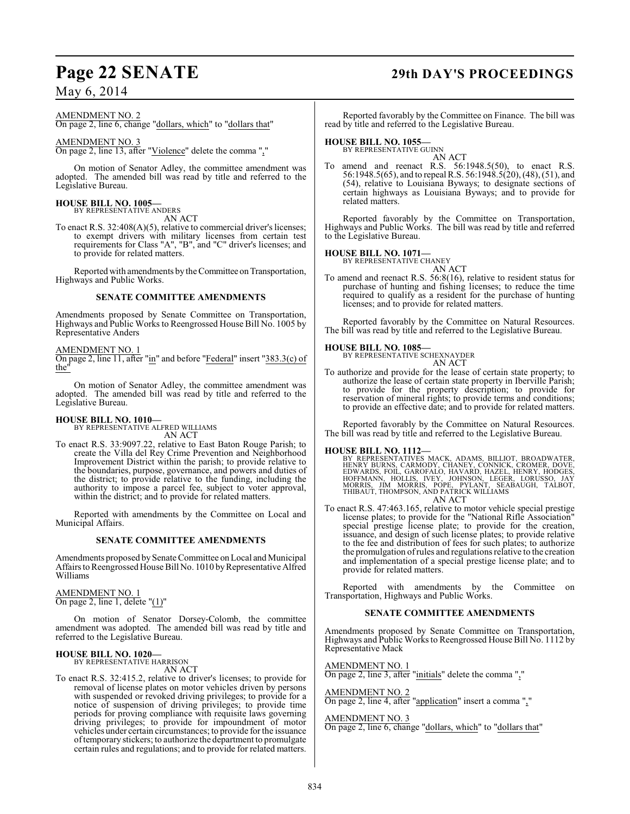### May 6, 2014

#### AMENDMENT NO. 2

On page 2, line 6, change "dollars, which" to "dollars that"

#### AMENDMENT NO. 3

On page 2, line 13, after "Violence" delete the comma ","

On motion of Senator Adley, the committee amendment was adopted. The amended bill was read by title and referred to the Legislative Bureau.

#### **HOUSE BILL NO. 1005—** BY REPRESENTATIVE ANDERS

AN ACT

To enact R.S. 32:408(A)(5), relative to commercial driver's licenses; to exempt drivers with military licenses from certain test requirements for Class "A", "B", and "C" driver's licenses; and to provide for related matters.

Reported with amendments by the Committee on Transportation, Highways and Public Works.

#### **SENATE COMMITTEE AMENDMENTS**

Amendments proposed by Senate Committee on Transportation, Highways and Public Works to Reengrossed House Bill No. 1005 by Representative Anders

#### AMENDMENT NO. 1

On page 2, line 11, after "in" and before "Federal" insert "383.3(c) of the"

On motion of Senator Adley, the committee amendment was adopted. The amended bill was read by title and referred to the Legislative Bureau.

#### **HOUSE BILL NO. 1010—**

BY REPRESENTATIVE ALFRED WILLIAMS AN ACT

To enact R.S. 33:9097.22, relative to East Baton Rouge Parish; to create the Villa del Rey Crime Prevention and Neighborhood Improvement District within the parish; to provide relative to the boundaries, purpose, governance, and powers and duties of the district; to provide relative to the funding, including the authority to impose a parcel fee, subject to voter approval, within the district; and to provide for related matters.

Reported with amendments by the Committee on Local and Municipal Affairs.

#### **SENATE COMMITTEE AMENDMENTS**

Amendments proposed by Senate Committee on Local and Municipal Affairs to Reengrossed House Bill No. 1010 by Representative Alfred Williams

AMENDMENT NO. 1 On page 2, line 1, delete " $(1)$ "

On motion of Senator Dorsey-Colomb, the committee amendment was adopted. The amended bill was read by title and referred to the Legislative Bureau.

#### **HOUSE BILL NO. 1020—** BY REPRESENTATIVE HARRISON

AN ACT

To enact R.S. 32:415.2, relative to driver's licenses; to provide for removal of license plates on motor vehicles driven by persons with suspended or revoked driving privileges; to provide for a notice of suspension of driving privileges; to provide time periods for proving compliance with requisite laws governing driving privileges; to provide for impoundment of motor vehicles under certain circumstances; to provide for the issuance of temporary stickers; to authorize the department to promulgate certain rules and regulations; and to provide for related matters.

## **Page 22 SENATE 29th DAY'S PROCEEDINGS**

Reported favorably by the Committee on Finance. The bill was read by title and referred to the Legislative Bureau.

## **HOUSE BILL NO. 1055—** BY REPRESENTATIVE GUINN

AN ACT To amend and reenact R.S.  $56:1948.5(50)$ , to enact R.S. 56:1948.5(65), and to repeal R.S. 56:1948.5(20), (48), (51), and (54), relative to Louisiana Byways; to designate sections of certain highways as Louisiana Byways; and to provide for related matters.

Reported favorably by the Committee on Transportation, Highways and Public Works. The bill was read by title and referred to the Legislative Bureau.

**HOUSE BILL NO. 1071—** BY REPRESENTATIVE CHANEY

AN ACT

To amend and reenact R.S. 56:8(16), relative to resident status for purchase of hunting and fishing licenses; to reduce the time required to qualify as a resident for the purchase of hunting licenses; and to provide for related matters.

Reported favorably by the Committee on Natural Resources. The bill was read by title and referred to the Legislative Bureau.

#### **HOUSE BILL NO. 1085—**

BY REPRESENTATIVE SCHEXNAYDER AN ACT

To authorize and provide for the lease of certain state property; to authorize the lease of certain state property in Iberville Parish; to provide for the property description; to provide for reservation of mineral rights; to provide terms and conditions; to provide an effective date; and to provide for related matters.

Reported favorably by the Committee on Natural Resources. The bill was read by title and referred to the Legislative Bureau.

#### **HOUSE BILL NO. 1112—**

BY REPRESENTATIVES MACK, ADAMS, BILLIOT, BROADWATER,<br>HENRY BURNS, CARMODY, CHANEY, CONNICK, CROMER, DOVE,<br>EDWARDS, FOIL, GAROFALO, HAVARD, HAZEL, HENRY, HODGES,<br>HOFFMANN, HOLLIS, IVEY, JOHNSON, LEGER, LORUSSO, JAY<br>MORRIS, AN ACT

To enact R.S. 47:463.165, relative to motor vehicle special prestige license plates; to provide for the "National Rifle Association" special prestige license plate; to provide for the creation, issuance, and design of such license plates; to provide relative to the fee and distribution of fees for such plates; to authorize the promulgation of rules and regulations relative to the creation and implementation of a special prestige license plate; and to provide for related matters.

Reported with amendments by the Committee on Transportation, Highways and Public Works.

#### **SENATE COMMITTEE AMENDMENTS**

Amendments proposed by Senate Committee on Transportation, Highways and Public Works to Reengrossed House Bill No. 1112 by Representative Mack

AMENDMENT NO. 1 On page 2, line 3, after "initials" delete the comma ","

AMENDMENT NO. 2 On page 2, line 4, after "application" insert a comma ","

#### AMENDMENT NO. 3

On page 2, line 6, change "dollars, which" to "dollars that"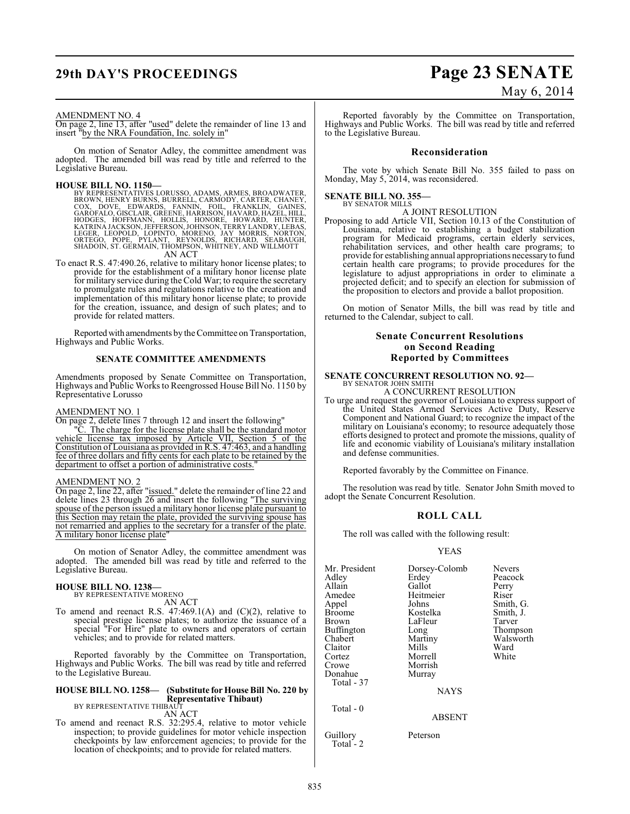## **29th DAY'S PROCEEDINGS Page 23 SENATE**

# May 6, 2014

#### AMENDMENT NO. 4

On page 2, line 13, after "used" delete the remainder of line 13 and insert "by the NRA Foundation, Inc. solely in"

On motion of Senator Adley, the committee amendment was adopted. The amended bill was read by title and referred to the Legislative Bureau.

**HOUSE BILL NO. 1150**<br>BY REPRESENTATIVES LORUSSO, ADAMS, ARMES, BROADWATER,<br>BROWN, HENRY BURNS, BURRELL, CARMODY, CARTER, CHANEY,<br>COX, DOVE, EDWARDS, FANNIN, FOIL, FRANKLIN, GAINES,<br>GAROFALO, GISCLAIR, GREENE, HARRISON, HA

To enact R.S. 47:490.26, relative to military honor license plates; to provide for the establishment of a military honor license plate for military service during theCold War; to require the secretary to promulgate rules and regulations relative to the creation and implementation of this military honor license plate; to provide for the creation, issuance, and design of such plates; and to provide for related matters.

Reported with amendments by the Committee on Transportation, Highways and Public Works.

#### **SENATE COMMITTEE AMENDMENTS**

Amendments proposed by Senate Committee on Transportation, Highways and Public Works to Reengrossed House Bill No. 1150 by Representative Lorusso

#### AMENDMENT NO. 1

On page 2, delete lines 7 through 12 and insert the following"

"C. The charge for the license plate shall be the standard motor vehicle license tax imposed by Article VII, Section 5 of the Constitution of Louisiana as provided in R.S. 47:463, and a handling fee of three dollars and fifty cents for each plate to be retained by the department to offset a portion of administrative costs.

#### AMENDMENT NO. 2

On page 2, line 22, after "issued." delete the remainder of line 22 and delete lines 23 through 26 and insert the following "The surviving spouse of the person issued a military honor license plate pursuant to this Section may retain the plate, provided the surviving spouse has not remarried and applies to the secretary for a transfer of the plate. A military honor license plate"

On motion of Senator Adley, the committee amendment was adopted. The amended bill was read by title and referred to the Legislative Bureau.

### **HOUSE BILL NO. 1238—** BY REPRESENTATIVE MORENO

AN ACT

To amend and reenact R.S.  $47:469.1(A)$  and  $(C)(2)$ , relative to special prestige license plates; to authorize the issuance of a special "For Hire" plate to owners and operators of certain vehicles; and to provide for related matters.

Reported favorably by the Committee on Transportation, Highways and Public Works. The bill was read by title and referred to the Legislative Bureau.

#### **HOUSE BILL NO. 1258— (Substitute for House Bill No. 220 by Representative Thibaut)** BY REPRESENTATIVE THIBAUT

AN ACT

To amend and reenact R.S. 32:295.4, relative to motor vehicle inspection; to provide guidelines for motor vehicle inspection checkpoints by law enforcement agencies; to provide for the location of checkpoints; and to provide for related matters.

Reported favorably by the Committee on Transportation, Highways and Public Works. The bill was read by title and referred to the Legislative Bureau.

#### **Reconsideration**

The vote by which Senate Bill No. 355 failed to pass on Monday, May 5, 2014, was reconsidered.

### **SENATE BILL NO. 355—** BY SENATOR MILLS

A JOINT RESOLUTION

Proposing to add Article VII, Section 10.13 of the Constitution of Louisiana, relative to establishing a budget stabilization program for Medicaid programs, certain elderly services, rehabilitation services, and other health care programs; to provide for establishing annual appropriations necessary to fund certain health care programs; to provide procedures for the legislature to adjust appropriations in order to eliminate a projected deficit; and to specify an election for submission of the proposition to electors and provide a ballot proposition.

On motion of Senator Mills, the bill was read by title and returned to the Calendar, subject to call.

#### **Senate Concurrent Resolutions on Second Reading Reported by Committees**

#### **SENATE CONCURRENT RESOLUTION NO. 92—**

BY SENATOR JOHN SMITH A CONCURRENT RESOLUTION

To urge and request the governor of Louisiana to express support of the United States Armed Services Active Duty, Reserve Component and National Guard; to recognize the impact of the military on Louisiana's economy; to resource adequately those efforts designed to protect and promote the missions, quality of life and economic viability of Louisiana's military installation and defense communities.

Reported favorably by the Committee on Finance.

The resolution was read by title. Senator John Smith moved to adopt the Senate Concurrent Resolution.

#### **ROLL CALL**

The roll was called with the following result:

#### YEAS

| Mr. President<br>Adlev<br>Allain<br>Amedee<br>Appel<br>Broome<br>Brown<br>Buffington<br>Chabert<br>Claitor<br>Cortez<br>Crowe<br>Donahue<br>Total - 37<br>Total $-0$ | Dorsey-Colomb<br>Erdey<br>Gallot<br>Heitmeier<br>Johns<br>Kostelka<br>LaFleur<br>Long<br>Martiny<br>Mills<br>Morrell<br>Morrish<br>Murray<br><b>NAYS</b><br><b>ABSENT</b> | <b>Nevers</b><br>Peacock<br>Perry<br>Riser<br>Smith, G.<br>Smith, J.<br>Tarver<br>Thompson<br>Walsworth<br>Ward<br>White |
|----------------------------------------------------------------------------------------------------------------------------------------------------------------------|---------------------------------------------------------------------------------------------------------------------------------------------------------------------------|--------------------------------------------------------------------------------------------------------------------------|
| Guillory                                                                                                                                                             | Peterson                                                                                                                                                                  |                                                                                                                          |
|                                                                                                                                                                      |                                                                                                                                                                           |                                                                                                                          |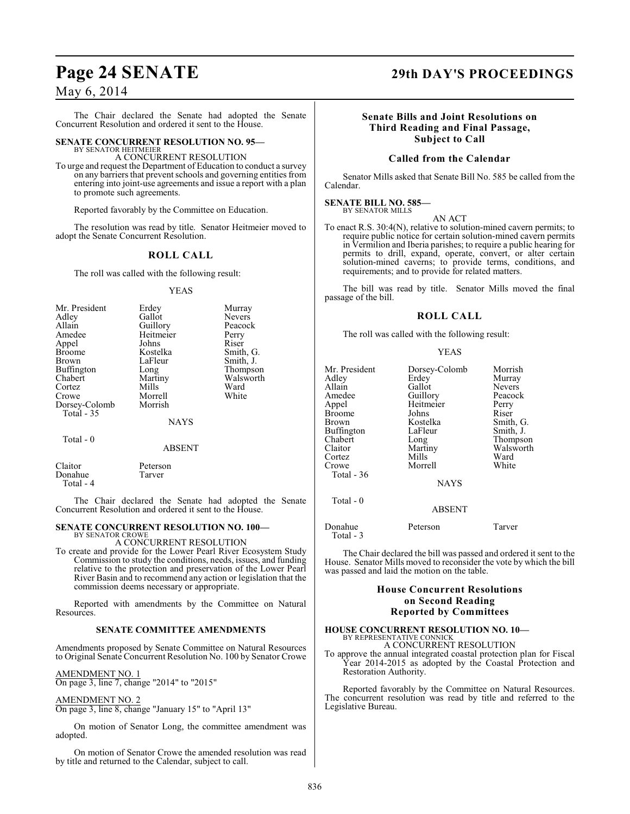### May 6, 2014

The Chair declared the Senate had adopted the Senate Concurrent Resolution and ordered it sent to the House.

## **SENATE CONCURRENT RESOLUTION NO. 95—** BY SENATOR HEITMEIER

A CONCURRENT RESOLUTION

To urge and request the Department of Education to conduct a survey on any barriers that prevent schools and governing entities from entering into joint-use agreements and issue a report with a plan to promote such agreements.

Reported favorably by the Committee on Education.

The resolution was read by title. Senator Heitmeier moved to adopt the Senate Concurrent Resolution.

### **ROLL CALL**

The roll was called with the following result:

#### YEAS

| Mr. President<br>Adley<br>Allain<br>Amedee<br>Appel<br><b>Broome</b><br><b>Brown</b><br><b>Buffington</b><br>Chabert<br>Cortez<br>Crowe<br>Dorsey-Colomb | Erdey<br>Gallot<br>Guillory<br>Heitmeier<br>Johns<br>Kostelka<br>LaFleur<br>Long<br>Martiny<br>Mills<br>Morrell<br>Morrish | Murray<br><b>Nevers</b><br>Peacock<br>Perry<br>Riser<br>Smith, G.<br>Smith, J.<br>Thompson<br>Walsworth<br>Ward<br>White |
|----------------------------------------------------------------------------------------------------------------------------------------------------------|----------------------------------------------------------------------------------------------------------------------------|--------------------------------------------------------------------------------------------------------------------------|
| <b>Total - 35</b>                                                                                                                                        | <b>NAYS</b>                                                                                                                |                                                                                                                          |
| Total - 0                                                                                                                                                | <b>ABSENT</b>                                                                                                              |                                                                                                                          |

|                                 | . . <i>.</i>       |  |
|---------------------------------|--------------------|--|
| Claitor<br>Donahue<br>Total - 4 | Peterson<br>Tarver |  |
|                                 |                    |  |

The Chair declared the Senate had adopted the Senate Concurrent Resolution and ordered it sent to the House.

#### **SENATE CONCURRENT RESOLUTION NO. 100—** BY SENATOR CROWE

#### A CONCURRENT RESOLUTION

To create and provide for the Lower Pearl River Ecosystem Study Commission to study the conditions, needs, issues, and funding relative to the protection and preservation of the Lower Pearl River Basin and to recommend any action or legislation that the commission deems necessary or appropriate.

Reported with amendments by the Committee on Natural Resources.

#### **SENATE COMMITTEE AMENDMENTS**

Amendments proposed by Senate Committee on Natural Resources to Original Senate Concurrent Resolution No. 100 by Senator Crowe

AMENDMENT NO. 1 On page 3, line 7, change "2014" to "2015"

#### AMENDMENT NO. 2

On page 3, line 8, change "January 15" to "April 13"

On motion of Senator Long, the committee amendment was adopted.

#### On motion of Senator Crowe the amended resolution was read by title and returned to the Calendar, subject to call.

### **Page 24 SENATE 29th DAY'S PROCEEDINGS**

#### **Senate Bills and Joint Resolutions on Third Reading and Final Passage, Subject to Call**

#### **Called from the Calendar**

Senator Mills asked that Senate Bill No. 585 be called from the Calendar.

#### **SENATE BILL NO. 585—** BY SENATOR MILLS

#### AN ACT

To enact R.S. 30:4(N), relative to solution-mined cavern permits; to require public notice for certain solution-mined cavern permits in Vermilion and Iberia parishes; to require a public hearing for permits to drill, expand, operate, convert, or alter certain solution-mined caverns; to provide terms, conditions, and requirements; and to provide for related matters.

The bill was read by title. Senator Mills moved the final passage of the bill.

#### **ROLL CALL**

The roll was called with the following result:

#### YEAS

| Mr. President<br>Adley<br>Allain<br>Amedee<br>Appel<br><b>Broome</b><br>Brown<br>Buffington<br>Chabert<br>Claitor<br>Cortez<br>Crowe<br>Total - 36 | Dorsey-Colomb<br>Erdey<br>Gallot<br>Guillory<br>Heitmeier<br>Johns<br>Kostelka<br>LaFleur<br>Long<br>Martiny<br>Mills<br>Morrell | Morrish<br>Murray<br><b>Nevers</b><br>Peacock<br>Perry<br>Riser<br>Smith, G.<br>Smith, J.<br>Thompson<br>Walsworth<br>Ward<br>White |
|----------------------------------------------------------------------------------------------------------------------------------------------------|----------------------------------------------------------------------------------------------------------------------------------|-------------------------------------------------------------------------------------------------------------------------------------|
|                                                                                                                                                    | <b>NAYS</b>                                                                                                                      |                                                                                                                                     |
| Total - 0                                                                                                                                          | <b>ABSENT</b>                                                                                                                    |                                                                                                                                     |

Donahue Peterson Tarver Total - 3

The Chair declared the bill was passed and ordered it sent to the House. Senator Mills moved to reconsider the vote by which the bill was passed and laid the motion on the table.

#### **House Concurrent Resolutions on Second Reading Reported by Committees**

### **HOUSE CONCURRENT RESOLUTION NO. 10—**

BY REPRESENTATIVE CONNICK A CONCURRENT RESOLUTION

To approve the annual integrated coastal protection plan for Fiscal Year 2014-2015 as adopted by the Coastal Protection and Restoration Authority.

Reported favorably by the Committee on Natural Resources. The concurrent resolution was read by title and referred to the Legislative Bureau.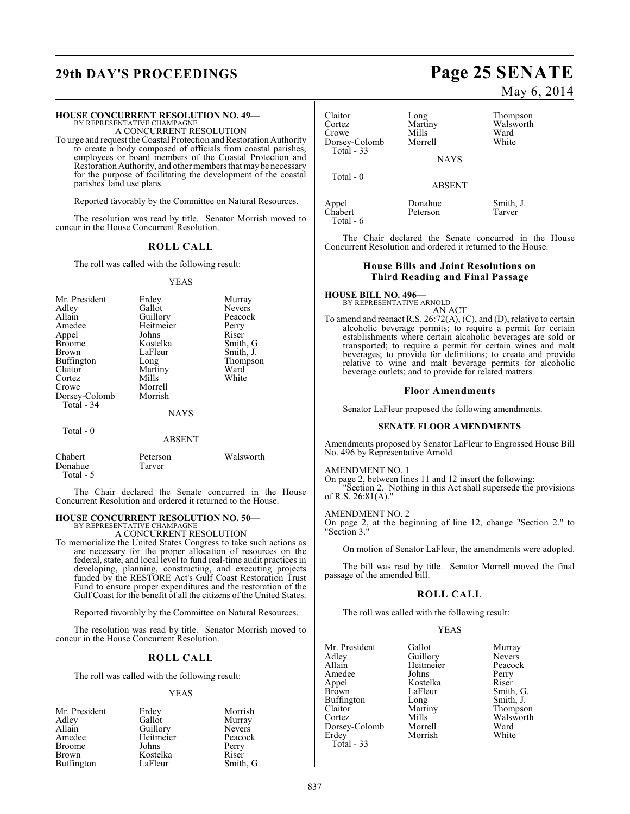## **29th DAY'S PROCEEDINGS Page 25 SENATE**

#### **HOUSE CONCURRENT RESOLUTION NO. 49—**

BY REPRESENTATIVE CHAMPAGNE A CONCURRENT RESOLUTION

To urge and request the Coastal Protection and Restoration Authority to create a body composed of officials from coastal parishes, employees or board members of the Coastal Protection and Restoration Authority, and other members that may be necessary for the purpose of facilitating the development of the coastal parishes' land use plans.

Reported favorably by the Committee on Natural Resources.

The resolution was read by title. Senator Morrish moved to concur in the House Concurrent Resolution.

#### **ROLL CALL**

The roll was called with the following result:

#### YEAS

| Mr. President<br>Adley<br>Allain<br>Amedee<br>Appel<br><b>Broome</b><br>Brown<br>Buffington<br>Claitor<br>Cortez<br>Crowe<br>Dorsey-Colomb<br>Total - 34 | Erdey<br>Gallot<br>Guillory<br>Heitmeier<br>Johns<br>Kostelka<br>LaFleur<br>Long<br>Martiny<br>Mills<br>Morrell<br>Morrish<br><b>NAYS</b> | Murray<br><b>Nevers</b><br>Peacock<br>Perry<br>Riser<br>Smith, G.<br>Smith, J.<br>Thompson<br>Ward<br>White |
|----------------------------------------------------------------------------------------------------------------------------------------------------------|-------------------------------------------------------------------------------------------------------------------------------------------|-------------------------------------------------------------------------------------------------------------|
| Total $-0$                                                                                                                                               | <b>ABSENT</b>                                                                                                                             |                                                                                                             |
| Chabert                                                                                                                                                  | Peterson                                                                                                                                  | Walsworth                                                                                                   |

The Chair declared the Senate concurred in the House Concurrent Resolution and ordered it returned to the House.

### **HOUSE CONCURRENT RESOLUTION NO. 50—**

Donahue Tarver

Total - 5

BY REPRESENTATIVE CHAMPAGNE A CONCURRENT RESOLUTION

To memorialize the United States Congress to take such actions as are necessary for the proper allocation of resources on the federal, state, and local level to fund real-time audit practices in developing, planning, constructing, and executing projects funded by the RESTORE Act's Gulf Coast Restoration Trust Fund to ensure proper expenditures and the restoration of the Gulf Coast for the benefit of all the citizens of the United States.

Reported favorably by the Committee on Natural Resources.

The resolution was read by title. Senator Morrish moved to concur in the House Concurrent Resolution.

### **ROLL CALL**

The roll was called with the following result:

#### YEAS

| Mr. President     | Erdey     | Morrish       |
|-------------------|-----------|---------------|
| Adley             | Gallot    | Murray        |
| Allain            | Guillory  | <b>Nevers</b> |
| Amedee            | Heitmeier | Peacock       |
| <b>Broome</b>     | Johns     | Perry         |
| Brown             | Kostelka  | Riser         |
| <b>Buffington</b> | LaFleur   | Smith, G.     |

May 6, 2014

| Claitor<br>Cortez<br>Crowe<br>Dorsey-Colomb<br>Total $-33$ | Long<br>Martiny<br>Mills<br>Morrell | Thompson<br>Walsworth<br>Ward<br>White |
|------------------------------------------------------------|-------------------------------------|----------------------------------------|
|                                                            | <b>NAYS</b>                         |                                        |
| Total - 0                                                  |                                     |                                        |

Total - 6

Appel **Smith, J.**<br>Chabert Peterson Tarver Peterson

The Chair declared the Senate concurred in the House Concurrent Resolution and ordered it returned to the House.

ABSENT

#### **House Bills and Joint Resolutions on Third Reading and Final Passage**

**HOUSE BILL NO. 496—** BY REPRESENTATIVE ARNOLD

AN ACT

To amend and reenact R.S. 26:72(A), (C), and (D), relative to certain alcoholic beverage permits; to require a permit for certain establishments where certain alcoholic beverages are sold or transported; to require a permit for certain wines and malt beverages; to provide for definitions; to create and provide relative to wine and malt beverage permits for alcoholic beverage outlets; and to provide for related matters.

#### **Floor Amendments**

Senator LaFleur proposed the following amendments.

#### **SENATE FLOOR AMENDMENTS**

Amendments proposed by Senator LaFleur to Engrossed House Bill No. 496 by Representative Arnold

AMENDMENT NO. 1

On page 2, between lines 11 and 12 insert the following: "Section 2. Nothing in this Act shall supersede the provisions of R.S. 26:81(A)."

AMENDMENT NO. 2

On page 2, at the beginning of line 12, change "Section 2." to "Section 3."

On motion of Senator LaFleur, the amendments were adopted.

The bill was read by title. Senator Morrell moved the final passage of the amended bill.

#### **ROLL CALL**

The roll was called with the following result:

#### YEAS

| Gallot   | Murray                |
|----------|-----------------------|
|          | <b>Nevers</b>         |
|          | Peacocl               |
| Johns    | Perry                 |
| Kostelka | Riser                 |
| LaFleur  | Smith,                |
| Long     | Smith, .              |
| Martiny  | Thomps                |
| Mills    | Walswo                |
| Morrell  | Ward                  |
| Morrish  | White                 |
|          |                       |
|          | Guillory<br>Heitmeier |

Peacock Perry<br>Riser Smith, G. Smith, J. Thompson Walsworth<br>Ward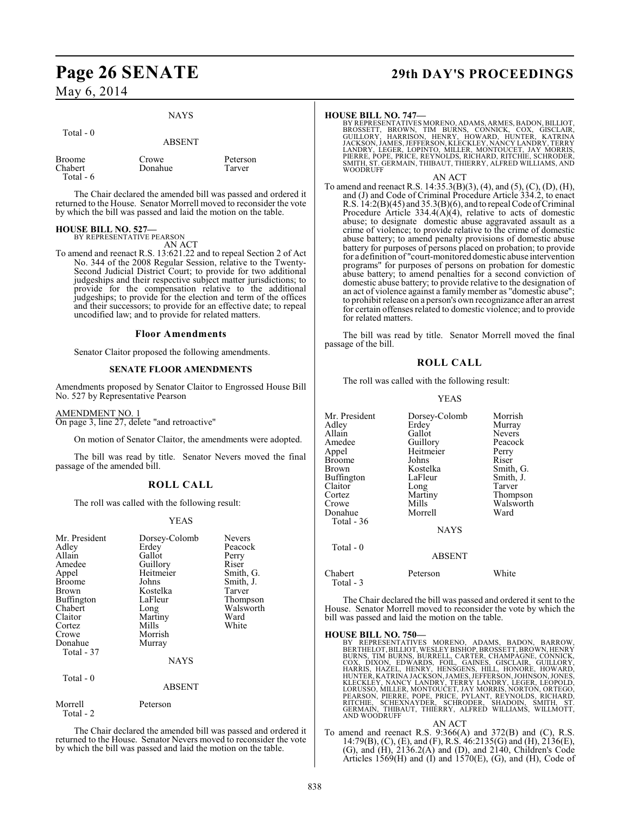### May 6, 2014

#### NAYS

| Total $-0$           | <b>ABSENT</b> |          |
|----------------------|---------------|----------|
| <b>Broome</b>        | Crowe         | Peterson |
| Chabert<br>Total - 6 | Donahue       | Tarver   |

The Chair declared the amended bill was passed and ordered it returned to the House. Senator Morrell moved to reconsider the vote by which the bill was passed and laid the motion on the table.

## **HOUSE BILL NO. 527—** BY REPRESENTATIVE PEARSON

AN ACT

To amend and reenact R.S. 13:621.22 and to repeal Section 2 of Act No. 344 of the 2008 Regular Session, relative to the Twenty-Second Judicial District Court; to provide for two additional judgeships and their respective subject matter jurisdictions; to provide for the compensation relative to the additional judgeships; to provide for the election and term of the offices and their successors; to provide for an effective date; to repeal uncodified law; and to provide for related matters.

#### **Floor Amendments**

Senator Claitor proposed the following amendments.

#### **SENATE FLOOR AMENDMENTS**

Amendments proposed by Senator Claitor to Engrossed House Bill No. 527 by Representative Pearson

#### AMENDMENT NO. 1

On page 3, line 27, delete "and retroactive"

On motion of Senator Claitor, the amendments were adopted.

The bill was read by title. Senator Nevers moved the final passage of the amended bill.

#### **ROLL CALL**

The roll was called with the following result:

#### YEAS

| Mr. President<br>Adley<br>Allain<br>Amedee<br>Appel<br><b>Broome</b><br>Brown<br>Buffington<br>Chabert<br>Claitor<br>Cortez<br>Crowe<br>Donahue<br>Total - 37 | Dorsey-Colomb<br>Erdey<br>Gallot<br>Guillory<br>Heitmeier<br>Johns<br>Kostelka<br>LaFleur<br>Long<br>Martiny<br>Mills<br>Morrish<br>Murray | <b>Nevers</b><br>Peacock<br>Perry<br>Riser<br>Smith, G.<br>Smith, J.<br>Tarver<br>Thompson<br>Walsworth<br>Ward<br>White |
|---------------------------------------------------------------------------------------------------------------------------------------------------------------|--------------------------------------------------------------------------------------------------------------------------------------------|--------------------------------------------------------------------------------------------------------------------------|
|                                                                                                                                                               | NAYS                                                                                                                                       |                                                                                                                          |
| Total - 0                                                                                                                                                     | <b>ABSENT</b>                                                                                                                              |                                                                                                                          |
| Morrell<br>Total - 2                                                                                                                                          | Peterson                                                                                                                                   |                                                                                                                          |

The Chair declared the amended bill was passed and ordered it returned to the House. Senator Nevers moved to reconsider the vote by which the bill was passed and laid the motion on the table.

## **Page 26 SENATE 29th DAY'S PROCEEDINGS**

#### **HOUSE BILL NO. 747—**

BY REPRESENTATIVES MORENO, ADAMS, ARMES, BADON, BILLIOT,<br>BROSSETT, BROWN, TIM BURNS, CONNICK, COX, GISCLAIR,<br>GUILLORY, HARRISON, HENRY, HOWARD, HUNTER, KATRINA<br>JACKSON, JAMES, JEFFERSON, KLECKLEY, NA WOODRUFF

AN ACT

To amend and reenact R.S. 14:35.3(B)(3), (4), and (5), (C), (D), (H), and (J) and Code of Criminal Procedure Article 334.2, to enact R.S. 14:2(B)(45) and 35.3(B)(6), and to repeal Code of Criminal Procedure Article 334.4(A)(4), relative to acts of domestic abuse; to designate domestic abuse aggravated assault as a crime of violence; to provide relative to the crime of domestic abuse battery; to amend penalty provisions of domestic abuse battery for purposes of persons placed on probation; to provide for a definition of "court-monitored domestic abuse intervention programs" for purposes of persons on probation for domestic abuse battery; to amend penalties for a second conviction of domestic abuse battery; to provide relative to the designation of an act of violence against a family member as "domestic abuse"; to prohibit release on a person's own recognizance after an arrest for certain offenses related to domestic violence; and to provide for related matters.

The bill was read by title. Senator Morrell moved the final passage of the bill.

#### **ROLL CALL**

The roll was called with the following result:

#### YEAS

| Mr. President<br>Adlev<br>Allain<br>Amedee<br>Appel<br><b>Broome</b><br>Brown<br>Buffington<br>Claitor<br>Cortez<br>Crowe<br>Donahue<br>Total - 36<br>Total $-0$ | Dorsey-Colomb<br>Erdey<br>Gallot<br>Guillory<br>Heitmeier<br>Johns<br>Kostelka<br>LaFleur<br>Long<br>Martiny<br>Mills<br>Morrell<br><b>NAYS</b><br><b>ABSENT</b> | Morrish<br>Murray<br><b>Nevers</b><br>Peacock<br>Perry<br>Riser<br>Smith, G.<br>Smith, J.<br>Tarver<br>Thompson<br>Walsworth<br>Ward |
|------------------------------------------------------------------------------------------------------------------------------------------------------------------|------------------------------------------------------------------------------------------------------------------------------------------------------------------|--------------------------------------------------------------------------------------------------------------------------------------|
| Chabert<br>Total - 3                                                                                                                                             | Peterson                                                                                                                                                         | White                                                                                                                                |

The Chair declared the bill was passed and ordered it sent to the House. Senator Morrell moved to reconsider the vote by which the bill was passed and laid the motion on the table.

HOUSE BILL NO. 750—<br>BY REPRESENTATIVES MORENO, ADAMS, BADON, BARROW, BERTHELOT, BILLIOT, WESLEY BISHOP, BROSSETT, BROWN, HENRY BURNS, TIM BURNS, BURRELL, CARTER, CHAMPAGNE, CONNICK,<br>COX, DIXON, EDWARDS, FOIL, GAINES, GISCL

AN ACT To amend and reenact R.S. 9:366(A) and 372(B) and (C), R.S. 14:79(B), (C), (E), and (F), R.S. 46:2135(G) and (H), 2136(E), (G), and (H), 2136.2(A) and (D), and 2140, Children's Code Articles  $1569$ (H) and  $(I)$  and  $1570$ (E), (G), and (H), Code of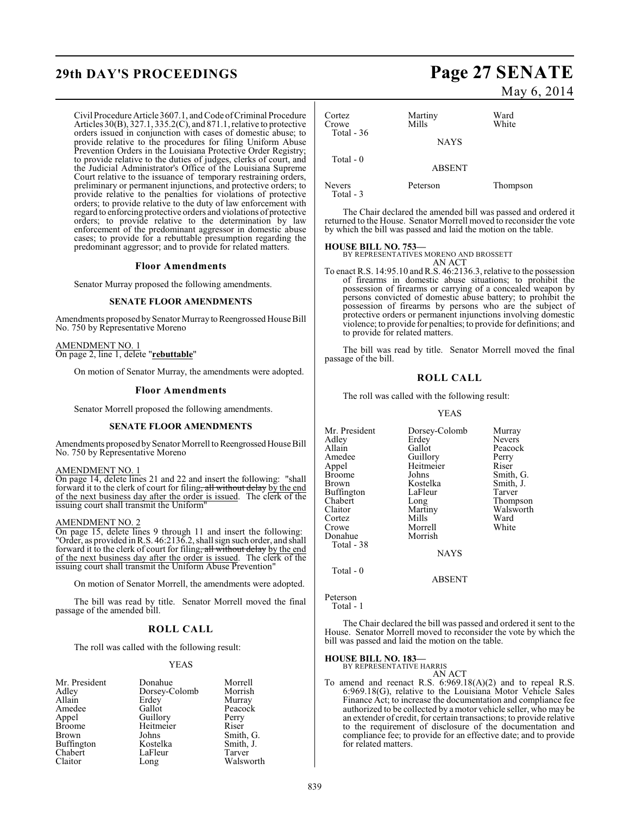## **29th DAY'S PROCEEDINGS Page 27 SENATE**

Civil Procedure Article 3607.1, and Code of Criminal Procedure Articles  $30(B)$ ,  $327.1$ ,  $335.2(C)$ , and  $871.1$ , relative to protective orders issued in conjunction with cases of domestic abuse; to provide relative to the procedures for filing Uniform Abuse Prevention Orders in the Louisiana Protective Order Registry; to provide relative to the duties of judges, clerks of court, and the Judicial Administrator's Office of the Louisiana Supreme Court relative to the issuance of temporary restraining orders, preliminary or permanent injunctions, and protective orders; to provide relative to the penalties for violations of protective orders; to provide relative to the duty of law enforcement with regard to enforcing protective orders and violations of protective orders; to provide relative to the determination by law enforcement of the predominant aggressor in domestic abuse cases; to provide for a rebuttable presumption regarding the predominant aggressor; and to provide for related matters.

#### **Floor Amendments**

Senator Murray proposed the following amendments.

#### **SENATE FLOOR AMENDMENTS**

Amendments proposed by Senator Murray to Reengrossed House Bill No. 750 by Representative Moreno

AMENDMENT NO. 1 On page 2, line 1, delete "**rebuttable**"

On motion of Senator Murray, the amendments were adopted.

#### **Floor Amendments**

Senator Morrell proposed the following amendments.

#### **SENATE FLOOR AMENDMENTS**

Amendments proposed by Senator Morrell to Reengrossed House Bill No. 750 by Representative Moreno

#### AMENDMENT NO. 1

On page 14, delete lines 21 and 22 and insert the following: "shall forward it to the clerk of court for filing, all without delay by the end of the next business day after the order is issued. The clerk of the issuing court shall transmit the Uniform"

#### AMENDMENT NO. 2

On page 15, delete lines 9 through 11 and insert the following: "Order, as provided in R.S. 46:2136.2, shall sign such order, and shall forward it to the clerk of court for filing, all without delay by the end of the next business day after the order is issued. The clerk of the issuing court shall transmit the Uniform Abuse Prevention"

On motion of Senator Morrell, the amendments were adopted.

The bill was read by title. Senator Morrell moved the final passage of the amended bill.

#### **ROLL CALL**

The roll was called with the following result:

#### YEAS

| Mr. President | Donahue       | Morrell   |
|---------------|---------------|-----------|
| Adley         | Dorsey-Colomb | Morrish   |
| Allain        | Erdey         | Murray    |
| Amedee        | Gallot        | Peacock   |
| Appel         | Guillory      | Perry     |
| <b>Broome</b> | Heitmeier     | Riser     |
| Brown         | Johns         | Smith, G. |
| Buffington    | Kostelka      | Smith, J. |
| Chabert       | LaFleur       | Tarver    |
| Claitor       | Long          | Walsworth |

May 6, 2014

| Cortez<br>Crowe<br>Total $-36$ | Martiny<br>Mills | Ward<br>White |
|--------------------------------|------------------|---------------|
|                                | <b>NAYS</b>      |               |
| Total - 0                      | <b>ABSENT</b>    |               |
| <b>Nevers</b><br>Total - 3     | Peterson         | Thompson      |

The Chair declared the amended bill was passed and ordered it returned to the House. Senator Morrell moved to reconsider the vote by which the bill was passed and laid the motion on the table.

**HOUSE BILL NO. 753—** BY REPRESENTATIVES MORENO AND BROSSETT AN ACT

To enact R.S. 14:95.10 and R.S. 46:2136.3, relative to the possession of firearms in domestic abuse situations; to prohibit the possession of firearms or carrying of a concealed weapon by persons convicted of domestic abuse battery; to prohibit the possession of firearms by persons who are the subject of protective orders or permanent injunctions involving domestic violence; to provide for penalties; to provide for definitions; and to provide for related matters.

The bill was read by title. Senator Morrell moved the final passage of the bill.

#### **ROLL CALL**

The roll was called with the following result:

#### YEAS

| Mr. President<br>Adley<br>Allain<br>Amedee<br>Appel<br>Broome<br>Brown<br>Buffington<br>Chabert<br>Claitor<br>Cortez<br>Crowe<br>Donahue | Dorsey-Colomb<br>Erdey<br>Gallot<br>Guillory<br>Heitmeier<br>Johns<br>Kostelka<br>LaFleur<br>Long<br>Martiny<br>Mills<br>Morrell<br>Morrish | Murray<br>Nevers<br>Peacock<br>Perry<br>Riser<br>Smith, G.<br>Smith, J.<br>Tarver<br>Thompson<br>Walsworth<br>Ward<br>White |
|------------------------------------------------------------------------------------------------------------------------------------------|---------------------------------------------------------------------------------------------------------------------------------------------|-----------------------------------------------------------------------------------------------------------------------------|
|                                                                                                                                          |                                                                                                                                             |                                                                                                                             |
| Total - 38                                                                                                                               | <b>NAYS</b>                                                                                                                                 |                                                                                                                             |
| Total - 0                                                                                                                                |                                                                                                                                             |                                                                                                                             |

Peterson Total - 1

The Chair declared the bill was passed and ordered it sent to the House. Senator Morrell moved to reconsider the vote by which the bill was passed and laid the motion on the table.

ABSENT

## **HOUSE BILL NO. 183—** BY REPRESENTATIVE HARRIS

- AN ACT
- To amend and reenact R.S. 6:969.18(A)(2) and to repeal R.S. 6:969.18(G), relative to the Louisiana Motor Vehicle Sales Finance Act; to increase the documentation and compliance fee authorized to be collected by a motor vehicle seller, who may be an extender of credit, for certain transactions; to provide relative to the requirement of disclosure of the documentation and compliance fee; to provide for an effective date; and to provide for related matters.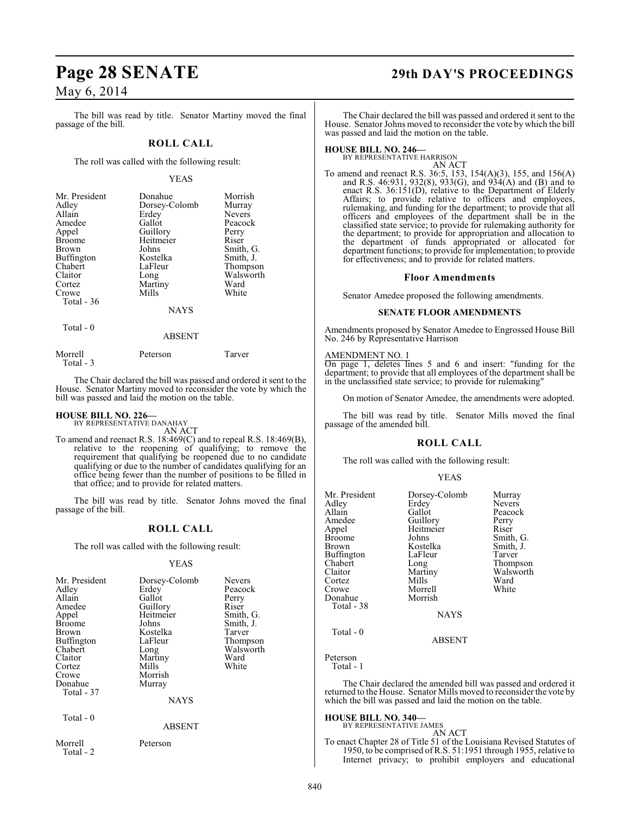### May 6, 2014

The bill was read by title. Senator Martiny moved the final passage of the bill.

#### **ROLL CALL**

The roll was called with the following result:

#### YEAS

| Mr. President<br>Adley<br>Allain<br>Amedee<br>Appel<br><b>Broome</b><br><b>Brown</b><br>Buffington<br>Chabert<br>Claitor<br>Cortez<br>Crowe<br>Total - 36 | Donahue<br>Dorsey-Colomb<br>Erdey<br>Gallot<br>Guillory<br>Heitmeier<br>Johns<br>Kostelka<br>LaFleur<br>Long<br>Martiny<br>Mills | Morrish<br>Murray<br><b>Nevers</b><br>Peacock<br>Perry<br>Riser<br>Smith, G.<br>Smith, J.<br>Thompson<br>Walsworth<br>Ward<br>White |
|-----------------------------------------------------------------------------------------------------------------------------------------------------------|----------------------------------------------------------------------------------------------------------------------------------|-------------------------------------------------------------------------------------------------------------------------------------|
|                                                                                                                                                           | <b>NAYS</b>                                                                                                                      |                                                                                                                                     |
| Total - 0                                                                                                                                                 | ABSENT                                                                                                                           |                                                                                                                                     |

| Morrell   | Peterson | Tarver |
|-----------|----------|--------|
| Total - 3 |          |        |

The Chair declared the bill was passed and ordered it sent to the House. Senator Martiny moved to reconsider the vote by which the bill was passed and laid the motion on the table.

#### **HOUSE BILL NO. 226—** BY REPRESENTATIVE DANAHAY

AN ACT

To amend and reenact R.S. 18:469(C) and to repeal R.S. 18:469(B), relative to the reopening of qualifying; to remove the requirement that qualifying be reopened due to no candidate qualifying or due to the number of candidates qualifying for an office being fewer than the number of positions to be filled in that office; and to provide for related matters.

The bill was read by title. Senator Johns moved the final passage of the bill.

#### **ROLL CALL**

The roll was called with the following result:

#### YEAS

| Mr. President<br>Adley<br>Allain<br>Amedee<br>Appel<br><b>Broome</b><br>Brown<br>Buffington<br>Chabert<br>Claitor<br>Cortez<br>Crowe<br>Donahue<br>Total - 37<br>Total - 0 | Dorsey-Colomb<br>Erdey<br>Gallot<br>Guillory<br>Heitmeier<br>Johns<br>Kostelka<br>LaFleur<br>Long<br>Martiny<br>Mills<br>Morrish<br>Murray<br><b>NAYS</b> | Nevers<br>Peacock<br>Perry<br>Riser<br>Smith, G.<br>Smith, J.<br>Tarver<br>Thompson<br>Walsworth<br>Ward<br>White |
|----------------------------------------------------------------------------------------------------------------------------------------------------------------------------|-----------------------------------------------------------------------------------------------------------------------------------------------------------|-------------------------------------------------------------------------------------------------------------------|
|                                                                                                                                                                            | <b>ABSENT</b>                                                                                                                                             |                                                                                                                   |
| Morrell<br>Total - 2                                                                                                                                                       | Peterson                                                                                                                                                  |                                                                                                                   |

## **Page 28 SENATE 29th DAY'S PROCEEDINGS**

The Chair declared the bill was passed and ordered it sent to the House. Senator Johns moved to reconsider the vote by which the bill was passed and laid the motion on the table.

#### **HOUSE BILL NO. 246—**

BY REPRESENTATIVE HARRISON AN ACT

To amend and reenact R.S. 36:5, 153, 154(A)(3), 155, and 156(A) and R.S. 46:931, 932(8), 933(G), and 934(A) and (B) and to enact R.S. 36:151(D), relative to the Department of Elderly Affairs; to provide relative to officers and employees, rulemaking, and funding for the department; to provide that all officers and employees of the department shall be in the classified state service; to provide for rulemaking authority for the department; to provide for appropriation and allocation to the department of funds appropriated or allocated for department functions; to provide for implementation; to provide for effectiveness; and to provide for related matters.

#### **Floor Amendments**

Senator Amedee proposed the following amendments.

#### **SENATE FLOOR AMENDMENTS**

Amendments proposed by Senator Amedee to Engrossed House Bill No. 246 by Representative Harrison

#### AMENDMENT NO. 1

On page 1, deletes lines 5 and 6 and insert: "funding for the department; to provide that all employees of the department shall be in the unclassified state service; to provide for rulemaking"

On motion of Senator Amedee, the amendments were adopted.

The bill was read by title. Senator Mills moved the final passage of the amended bill.

#### **ROLL CALL**

The roll was called with the following result:

#### YEAS

| Mr. President<br>Adlev<br>Allain<br>Amedee<br>Appel<br>Broome<br>Brown<br>Buffington<br>Chabert<br>Claitor<br>Cortez<br>Crowe<br>Donahue<br>Total - 38 | Dorsey-Colomb<br>Erdey<br>Gallot<br>Guillory<br>Heitmeier<br>Johns<br>Kostelka<br>LaFleur<br>Long<br>Martiny<br>Mills<br>Morrell<br>Morrish<br><b>NAYS</b> | Murray<br>Nevers<br>Peacock<br>Perry<br>Riser<br>Smith, G.<br>Smith, J.<br>Tarver<br>Thompson<br>Walsworth<br>Ward<br>White |
|--------------------------------------------------------------------------------------------------------------------------------------------------------|------------------------------------------------------------------------------------------------------------------------------------------------------------|-----------------------------------------------------------------------------------------------------------------------------|
| Total - 0                                                                                                                                              | ABSENT                                                                                                                                                     |                                                                                                                             |

Peterson Total - 1

The Chair declared the amended bill was passed and ordered it returned to the House. Senator Mills moved to reconsider the vote by which the bill was passed and laid the motion on the table.

## **HOUSE BILL NO. 340—** BY REPRESENTATIVE JAMES

AN ACT To enact Chapter 28 of Title 51 of the Louisiana Revised Statutes of 1950, to be comprised of R.S. 51:1951 through 1955, relative to Internet privacy; to prohibit employers and educational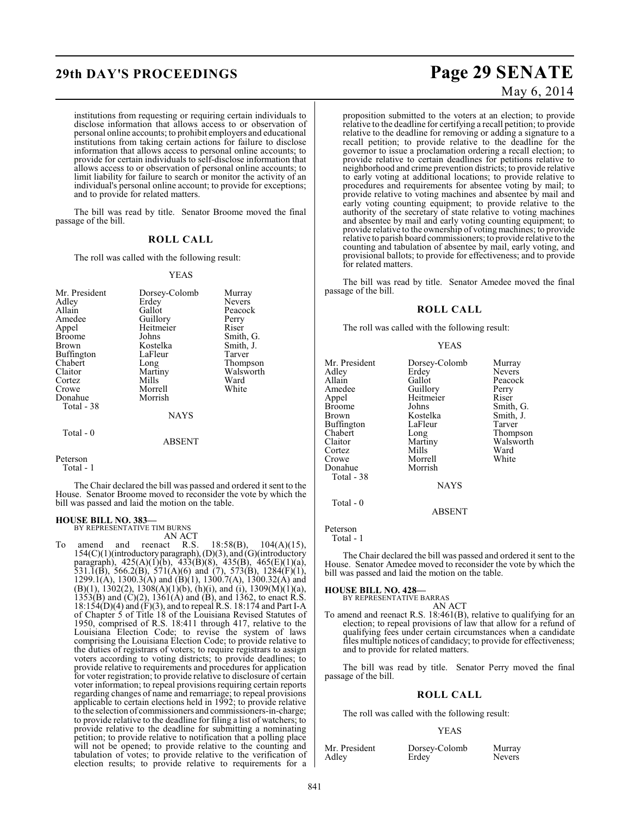## **29th DAY'S PROCEEDINGS Page 29 SENATE**

institutions from requesting or requiring certain individuals to disclose information that allows access to or observation of personal online accounts; to prohibit employers and educational institutions from taking certain actions for failure to disclose information that allows access to personal online accounts; to provide for certain individuals to self-disclose information that allows access to or observation of personal online accounts; to limit liability for failure to search or monitor the activity of an individual's personal online account; to provide for exceptions; and to provide for related matters.

The bill was read by title. Senator Broome moved the final passage of the bill.

### **ROLL CALL**

The roll was called with the following result:

#### YEAS

| Mr. President<br>Adley<br>Allain<br>Amedee<br>Appel<br><b>Broome</b><br><b>Brown</b><br>Buffington<br>Chabert<br>Claitor | Dorsey-Colomb<br>Erdey<br>Gallot<br>Guillory<br>Heitmeier<br>Johns<br>Kostelka<br>LaFleur<br>Long<br>Martiny | Murray<br><b>Nevers</b><br>Peacock<br>Perry<br>Riser<br>Smith, G.<br>Smith, J.<br>Tarver<br>Thompson<br>Walsworth |
|--------------------------------------------------------------------------------------------------------------------------|--------------------------------------------------------------------------------------------------------------|-------------------------------------------------------------------------------------------------------------------|
| Cortez<br>Crowe<br>Donahue<br>Total - 38                                                                                 | Mills<br>Morrell<br>Morrish                                                                                  | Ward<br>White                                                                                                     |
| Total - 0                                                                                                                | <b>NAYS</b><br>ABSENT                                                                                        |                                                                                                                   |

Peterson Total - 1

The Chair declared the bill was passed and ordered it sent to the House. Senator Broome moved to reconsider the vote by which the bill was passed and laid the motion on the table.

#### **HOUSE BILL NO. 383—**

BY REPRESENTATIVE TIM BURNS

AN ACT<br>reenact R.S. To amend and reenact R.S.  $18:58(B)$ ,  $104(A)(15)$ , 154(C)(1)(introductory paragraph), (D)(3), and (G)(introductory paragraph), 425(A)(1)(b), 433(B)(8), 435(B), 465(E)(1)(a), 531.1(B), 566.2(B), 571(A)(6) and (7), 573(B), 1284(F)(1), 1299.1(A), 1300.3(A) and (B)(1), 1300.7(A), 1300.32(A) and  $(B)(1)$ , 1302(2), 1308(A)(1)(b), (h)(i), and (i), 1309(M)(1)(a), 1353(B) and (C)(2), 1361(A) and (B), and 1362, to enact R.S. 18:154(D)(4) and (F)(3), and to repeal R.S. 18:174 and Part I-A of Chapter 5 of Title 18 of the Louisiana Revised Statutes of 1950, comprised of R.S. 18:411 through 417, relative to the Louisiana Election Code; to revise the system of laws comprising the Louisiana Election Code; to provide relative to the duties of registrars of voters; to require registrars to assign voters according to voting districts; to provide deadlines; to provide relative to requirements and procedures for application for voter registration; to provide relative to disclosure of certain voter information; to repeal provisions requiring certain reports regarding changes of name and remarriage; to repeal provisions applicable to certain elections held in 1992; to provide relative to the selection of commissioners and commissioners-in-charge; to provide relative to the deadline for filing a list of watchers; to provide relative to the deadline for submitting a nominating petition; to provide relative to notification that a polling place will not be opened; to provide relative to the counting and tabulation of votes; to provide relative to the verification of election results; to provide relative to requirements for a

# May 6, 2014

proposition submitted to the voters at an election; to provide relative to the deadline for certifying a recall petition; to provide relative to the deadline for removing or adding a signature to a recall petition; to provide relative to the deadline for the governor to issue a proclamation ordering a recall election; to provide relative to certain deadlines for petitions relative to neighborhood and crime prevention districts; to provide relative to early voting at additional locations; to provide relative to procedures and requirements for absentee voting by mail; to provide relative to voting machines and absentee by mail and early voting counting equipment; to provide relative to the authority of the secretary of state relative to voting machines and absentee by mail and early voting counting equipment; to provide relative to the ownership of voting machines; to provide relative to parish board commissioners; to provide relative to the counting and tabulation of absentee by mail, early voting, and

The bill was read by title. Senator Amedee moved the final passage of the bill.

provisional ballots; to provide for effectiveness; and to provide

#### **ROLL CALL**

The roll was called with the following result:

for related matters.

#### YEAS

| Mr. President<br>Adlev<br>Allain<br>Amedee<br>Appel<br>Broome<br>Brown<br>Buffington<br>Chabert<br>Claitor<br>Cortez<br>Crowe<br>Donahue<br>Total - 38 | Dorsey-Colomb<br>Erdey<br>Gallot<br>Guillory<br>Heitmeier<br>Johns<br>Kostelka<br>LaFleur<br>Long<br>Martiny<br>Mills<br>Morrell<br>Morrish<br><b>NAYS</b> | Murray<br><b>Nevers</b><br>Peacock<br>Perry<br>Riser<br>Smith, G.<br>Smith, J.<br>Tarver<br>Thompson<br>Walsworth<br>Ward<br>White |
|--------------------------------------------------------------------------------------------------------------------------------------------------------|------------------------------------------------------------------------------------------------------------------------------------------------------------|------------------------------------------------------------------------------------------------------------------------------------|
| Total - 0                                                                                                                                              |                                                                                                                                                            |                                                                                                                                    |

ABSENT

Peterson

Total - 1

The Chair declared the bill was passed and ordered it sent to the House. Senator Amedee moved to reconsider the vote by which the bill was passed and laid the motion on the table.

**HOUSE BILL NO. 428—** BY REPRESENTATIVE BARRAS AN ACT

To amend and reenact R.S. 18:461(B), relative to qualifying for an election; to repeal provisions of law that allow for a refund of qualifying fees under certain circumstances when a candidate files multiple notices of candidacy; to provide for effectiveness; and to provide for related matters.

The bill was read by title. Senator Perry moved the final passage of the bill.

### **ROLL CALL**

The roll was called with the following result:

#### YEAS

| Mr. President |  |
|---------------|--|
| Adley         |  |

Dorsey-Colomb Murray<br>Erdey Nevers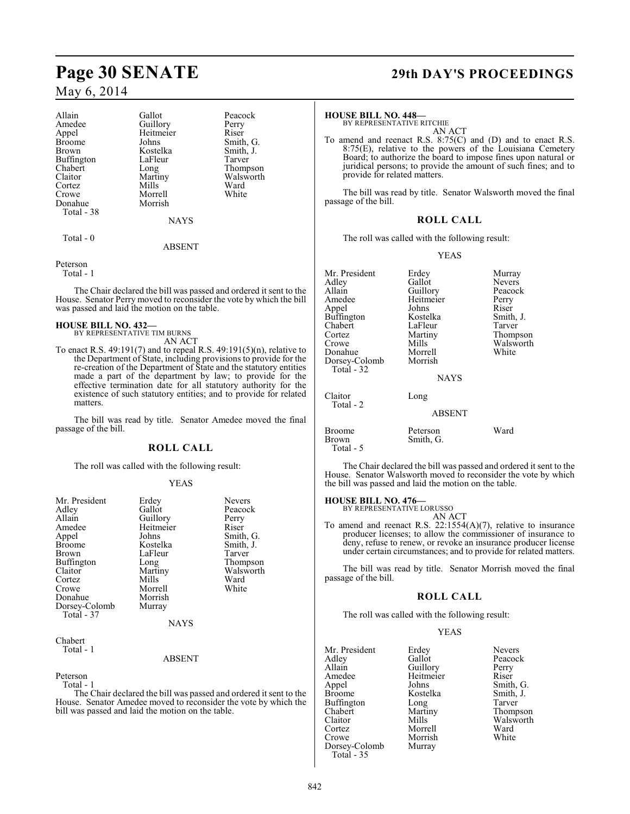### May 6, 2014

| Allain            | Gallot      | Peacock   |
|-------------------|-------------|-----------|
| Amedee            | Guillory    | Perry     |
| Appel             | Heitmeier   | Riser     |
| <b>Broome</b>     | Johns       | Smith, G. |
| <b>Brown</b>      | Kostelka    | Smith, J. |
| <b>Buffington</b> | LaFleur     | Tarver    |
| Chabert           | Long        | Thompson  |
| Claitor           | Martiny     | Walsworth |
| Cortez            | Mills       | Ward      |
| Crowe             | Morrell     | White     |
| Donahue           | Morrish     |           |
| Total - 38        |             |           |
|                   | <b>NAYS</b> |           |

Total - 0

#### ABSENT

Peterson

Total - 1

The Chair declared the bill was passed and ordered it sent to the House. Senator Perry moved to reconsider the vote by which the bill was passed and laid the motion on the table.

### **HOUSE BILL NO. 432—**

- BY REPRESENTATIVE TIM BURNS AN ACT
- To enact R.S.  $49:191(7)$  and to repeal R.S.  $49:191(5)(n)$ , relative to the Department of State, including provisions to provide for the re-creation of the Department of State and the statutory entities made a part of the department by law; to provide for the effective termination date for all statutory authority for the existence of such statutory entities; and to provide for related matters.

The bill was read by title. Senator Amedee moved the final passage of the bill.

#### **ROLL CALL**

The roll was called with the following result:

#### YEAS

| Mr. President               | Erdey     | <b>Nevers</b> |
|-----------------------------|-----------|---------------|
| Adley                       | Gallot    | Peacock       |
| Allain                      | Guillory  | Perry         |
| Amedee                      | Heitmeier | Riser         |
| Appel                       | Johns     | Smith, G.     |
| <b>Broome</b>               | Kostelka  | Smith, J.     |
| <b>Brown</b>                | LaFleur   | Tarver        |
| Buffington                  | Long      | Thompson      |
| Claitor                     | Martiny   | Walsworth     |
| Cortez                      | Mills     | Ward          |
| Crowe                       | Morrell   | White         |
| Donahue                     | Morrish   |               |
| Dorsey-Colomb<br>Total - 37 | Murray    |               |
|                             | NAYS      |               |
|                             |           |               |

#### Chabert Total - 1

ABSENT

Peterson

Total - 1

The Chair declared the bill was passed and ordered it sent to the House. Senator Amedee moved to reconsider the vote by which the bill was passed and laid the motion on the table.

## **Page 30 SENATE 29th DAY'S PROCEEDINGS**

**HOUSE BILL NO. 448—** BY REPRESENTATIVE RITCHIE AN ACT

To amend and reenact R.S. 8:75(C) and (D) and to enact R.S. 8:75(E), relative to the powers of the Louisiana Cemetery Board; to authorize the board to impose fines upon natural or juridical persons; to provide the amount of such fines; and to provide for related matters.

The bill was read by title. Senator Walsworth moved the final passage of the bill.

### **ROLL CALL**

The roll was called with the following result:

YEAS

| Mr. President               | Erdey         | Murray    |
|-----------------------------|---------------|-----------|
| Adley                       | Gallot        | Nevers    |
| Allain                      | Guillory      | Peacock   |
| Amedee                      | Heitmeier     | Perry     |
| Appel                       | Johns         | Riser     |
| <b>Buffington</b>           | Kostelka      | Smith, J. |
| Chabert                     | LaFleur       | Tarver    |
| Cortez                      | Martiny       | Thompson  |
| Crowe                       | Mills         | Walsworth |
| Donahue                     | Morrell       | White     |
| Dorsey-Colomb<br>Total - 32 | Morrish       |           |
|                             | <b>NAYS</b>   |           |
| Claitor                     | Long          |           |
| Total - 2                   |               |           |
|                             | <b>ABSENT</b> |           |
| <b>Broome</b>               | Peterson      | Ward      |
| Brown                       | Smith, G.     |           |
| Total - 5                   |               |           |

The Chair declared the bill was passed and ordered it sent to the House. Senator Walsworth moved to reconsider the vote by which the bill was passed and laid the motion on the table.

## **HOUSE BILL NO. 476—** BY REPRESENTATIVE LORUSSO

AN ACT

To amend and reenact R.S. 22:1554(A)(7), relative to insurance producer licenses; to allow the commissioner of insurance to deny, refuse to renew, or revoke an insurance producer license under certain circumstances; and to provide for related matters.

The bill was read by title. Senator Morrish moved the final passage of the bill.

#### **ROLL CALL**

The roll was called with the following result:

#### YEAS

| Mr. President | Erdey     | <b>Nevers</b> |
|---------------|-----------|---------------|
| Adlev         | Gallot    | Peacock       |
| Allain        | Guillory  | Perry         |
| Amedee        | Heitmeier | Riser         |
| Appel         | Johns     | Smith, G.     |
| Broome        | Kostelka  | Smith, J.     |
| Buffington    | Long      | Tarver        |
| Chabert       | Martiny   | Thompson      |
| Claitor       | Mills     | Walsworth     |
| Cortez        | Morrell   | Ward          |
| Crowe         | Morrish   | White         |
| Dorsey-Colomb | Murray    |               |
| $Total - 35$  |           |               |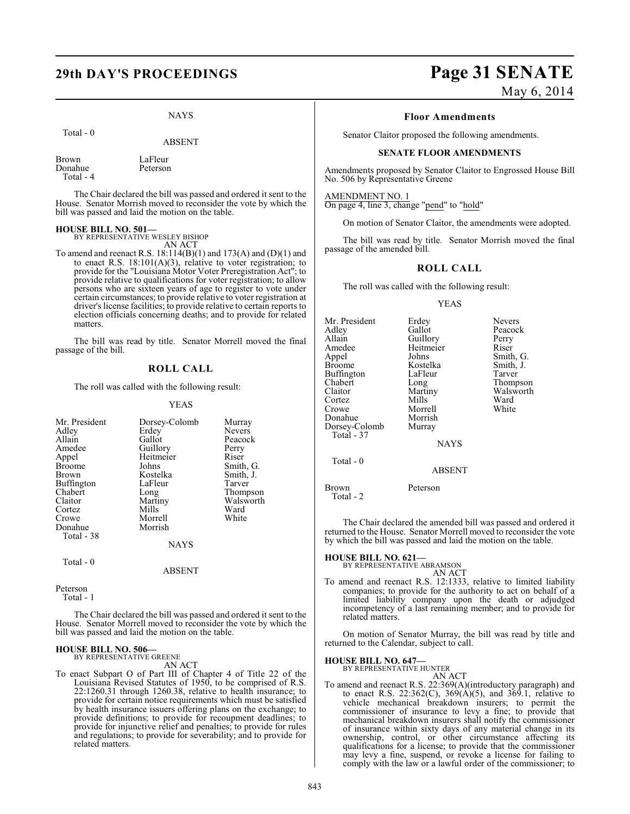#### NAYS

Total - 0

Donahue

ABSENT

Brown LaFleur<br>Donahue Peterson Total - 4

The Chair declared the bill was passed and ordered it sent to the House. Senator Morrish moved to reconsider the vote by which the bill was passed and laid the motion on the table.

## **HOUSE BILL NO. 501—** BY REPRESENTATIVE WESLEY BISHOP

AN ACT

To amend and reenact R.S. 18:114(B)(1) and 173(A) and (D)(1) and to enact R.S.  $18:101(A)(3)$ , relative to voter registration; to provide for the "Louisiana Motor Voter Preregistration Act"; to provide relative to qualifications for voter registration; to allow persons who are sixteen years of age to register to vote under certain circumstances; to provide relative to voter registration at driver's license facilities; to provide relative to certain reports to election officials concerning deaths; and to provide for related matters.

The bill was read by title. Senator Morrell moved the final passage of the bill.

#### **ROLL CALL**

The roll was called with the following result:

#### YEAS

| Mr. President | Dorsey-Colomb | Murray        |
|---------------|---------------|---------------|
| Adley         | Erdey         | <b>Nevers</b> |
| Allain        | Gallot        | Peacock       |
| Amedee        | Guillory      | Perry         |
| Appel         | Heitmeier     | Riser         |
| Broome        | Johns         | Smith, G.     |
| Brown         | Kostelka      | Smith, J.     |
| Buffington    | LaFleur       | Tarver        |
| Chabert       | Long          | Thompson      |
| Claitor       | Martiny       | Walsworth     |
| Cortez        | Mills         | Ward          |
| Crowe         | Morrell       | White         |
| Donahue       | Morrish       |               |
| Total - 38    |               |               |
|               | <b>NAYS</b>   |               |
| $Total - 0$   |               |               |

#### Peterson

Total - 1

The Chair declared the bill was passed and ordered it sent to the House. Senator Morrell moved to reconsider the vote by which the bill was passed and laid the motion on the table.

ABSENT

### **HOUSE BILL NO. 506—** BY REPRESENTATIVE GREENE

AN ACT

To enact Subpart O of Part III of Chapter 4 of Title 22 of the Louisiana Revised Statutes of 1950, to be comprised of R.S. 22:1260.31 through 1260.38, relative to health insurance; to provide for certain notice requirements which must be satisfied by health insurance issuers offering plans on the exchange; to provide definitions; to provide for recoupment deadlines; to provide for injunctive relief and penalties; to provide for rules and regulations; to provide for severability; and to provide for related matters.

# **29th DAY'S PROCEEDINGS Page 31 SENATE**

May 6, 2014

#### **Floor Amendments**

Senator Claitor proposed the following amendments.

#### **SENATE FLOOR AMENDMENTS**

Amendments proposed by Senator Claitor to Engrossed House Bill No. 506 by Representative Greene

AMENDMENT NO. 1 On page 4, line 3, change "pend" to "hold"

On motion of Senator Claitor, the amendments were adopted.

The bill was read by title. Senator Morrish moved the final passage of the amended bill.

### **ROLL CALL**

The roll was called with the following result:

#### YEAS

| Mr. President<br>Adley<br>Allain<br>Amedee<br>Appel<br><b>Broome</b><br><b>Buffington</b><br>Chabert | Erdey<br>Gallot<br>Guillory<br>Heitmeier<br>Johns<br>Kostelka<br>LaFleur<br>Long | Nevers<br>Peacock<br>Perry<br>Riser<br>Smith, G.<br>Smith, J.<br>Tarver |
|------------------------------------------------------------------------------------------------------|----------------------------------------------------------------------------------|-------------------------------------------------------------------------|
|                                                                                                      |                                                                                  |                                                                         |
| Claitor                                                                                              | Martiny                                                                          | Thompson<br>Walsworth                                                   |
| Cortez<br>Crowe<br>Donahue                                                                           | Mills<br>Morrell<br>Morrish                                                      | Ward<br>White                                                           |
| Dorsey-Colomb<br>Total - 37                                                                          | Murray                                                                           |                                                                         |
|                                                                                                      | <b>NAYS</b>                                                                      |                                                                         |
| Total - 0                                                                                            | <b>ABSENT</b>                                                                    |                                                                         |
| Brown<br>Total - 2                                                                                   | Peterson                                                                         |                                                                         |

The Chair declared the amended bill was passed and ordered it returned to the House. Senator Morrell moved to reconsider the vote by which the bill was passed and laid the motion on the table.

## **HOUSE BILL NO. 621—** BY REPRESENTATIVE ABRAMSON

AN ACT

To amend and reenact R.S. 12:1333, relative to limited liability companies; to provide for the authority to act on behalf of a limited liability company upon the death or adjudged incompetency of a last remaining member; and to provide for related matters.

On motion of Senator Murray, the bill was read by title and returned to the Calendar, subject to call.

## **HOUSE BILL NO. 647—** BY REPRESENTATIVE HUNTER

AN ACT

To amend and reenact R.S. 22:369(A)(introductory paragraph) and to enact R.S. 22:362(C),  $369(A)(5)$ , and  $369.1$ , relative to vehicle mechanical breakdown insurers; to permit the commissioner of insurance to levy a fine; to provide that mechanical breakdown insurers shall notify the commissioner of insurance within sixty days of any material change in its ownership, control, or other circumstance affecting its qualifications for a license; to provide that the commissioner may levy a fine, suspend, or revoke a license for failing to comply with the law or a lawful order of the commissioner; to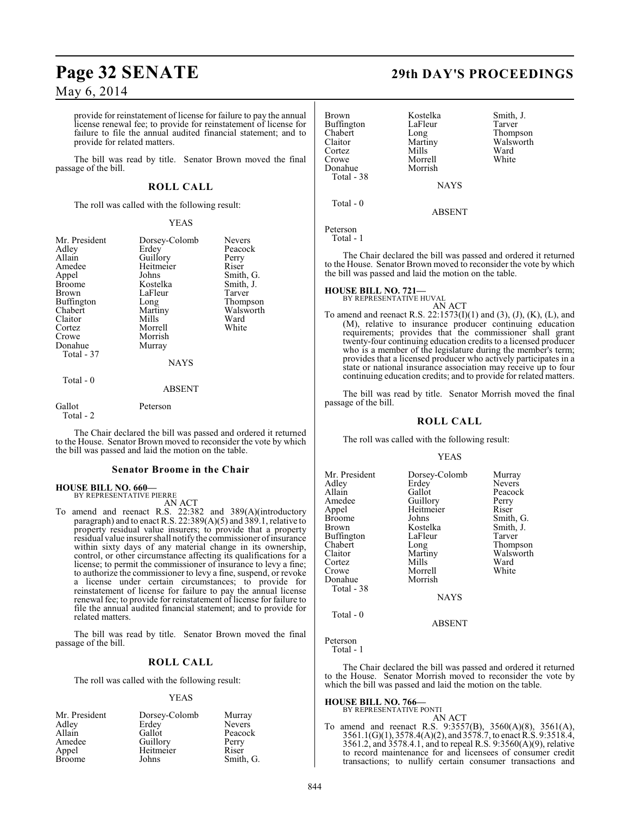## **Page 32 SENATE 29th DAY'S PROCEEDINGS**

May 6, 2014

provide for reinstatement of license for failure to pay the annual license renewal fee; to provide for reinstatement of license for failure to file the annual audited financial statement; and to provide for related matters.

The bill was read by title. Senator Brown moved the final passage of the bill.

### **ROLL CALL**

The roll was called with the following result:

#### YEAS

| Mr. President<br>Adley<br>Allain<br>Amedee<br>Appel<br><b>Broome</b><br>Brown<br><b>Buffington</b><br>Chabert<br>Claitor<br>Cortez<br>Crowe<br>Donahue<br>Total - 37 | Dorsey-Colomb<br>Erdey<br>Guillory<br>Heitmeier<br>Johns<br>Kostelka<br>LaFleur<br>Long<br>Martiny<br>Mills<br>Morrell<br>Morrish<br>Murray<br><b>NAYS</b> | <b>Nevers</b><br>Peacock<br>Perry<br>Riser<br>Smith, G.<br>Smith, J.<br>Tarver<br>Thompson<br>Walsworth<br>Ward<br>White |
|----------------------------------------------------------------------------------------------------------------------------------------------------------------------|------------------------------------------------------------------------------------------------------------------------------------------------------------|--------------------------------------------------------------------------------------------------------------------------|
| Total - 0                                                                                                                                                            | <b>ABSENT</b>                                                                                                                                              |                                                                                                                          |
| Gallot                                                                                                                                                               | Peterson                                                                                                                                                   |                                                                                                                          |

Total - 2

The Chair declared the bill was passed and ordered it returned to the House. Senator Brown moved to reconsider the vote by which the bill was passed and laid the motion on the table.

#### **Senator Broome in the Chair**

#### **HOUSE BILL NO. 660—** BY REPRESENTATIVE PIERRE

AN ACT

To amend and reenact R.S. 22:382 and 389(A)(introductory paragraph) and to enact R.S. 22:389(A)(5) and 389.1, relative to property residual value insurers; to provide that a property residual value insurer shall notify the commissioner of insurance within sixty days of any material change in its ownership, control, or other circumstance affecting its qualifications for a license; to permit the commissioner of insurance to levy a fine; to authorize the commissioner to levy a fine, suspend, or revoke a license under certain circumstances; to provide for reinstatement of license for failure to pay the annual license renewal fee; to provide for reinstatement of license for failure to file the annual audited financial statement; and to provide for related matters.

The bill was read by title. Senator Brown moved the final passage of the bill.

### **ROLL CALL**

The roll was called with the following result:

#### YEAS

| Mr. President | Dorsey-Colomb | Murray        |
|---------------|---------------|---------------|
| Adley         | Erdey         | <b>Nevers</b> |
| Allain        | Gallot        | Peacock       |
| Amedee        | Guillory      | Perry         |
| Appel         | Heitmeier     | Riser         |
| <b>Broome</b> | Johns         | Smith, G.     |

| <b>Brown</b> | Kostelka    | Smith, J. |
|--------------|-------------|-----------|
| Buffington   | LaFleur     | Tarver    |
| Chabert      | Long        | Thompson  |
| Claitor      | Martiny     | Walsworth |
| Cortez       | Mills       | Ward      |
| Crowe        | Morrell     | White     |
| Donahue      | Morrish     |           |
| Total - 38   |             |           |
|              | <b>NAYS</b> |           |

NAYS

ABSENT

Peterson

Total - 1

Total - 0

The Chair declared the bill was passed and ordered it returned to the House. Senator Brown moved to reconsider the vote by which the bill was passed and laid the motion on the table.

**HOUSE BILL NO. 721—**

BY REPRESENTATIVE HUVAL

AN ACT To amend and reenact R.S. 22:1573(I)(1) and (3), (J), (K), (L), and (M), relative to insurance producer continuing education requirements; provides that the commissioner shall grant twenty-four continuing education credits to a licensed producer who is a member of the legislature during the member's term; provides that a licensed producer who actively participates in a state or national insurance association may receive up to four continuing education credits; and to provide for related matters.

The bill was read by title. Senator Morrish moved the final passage of the bill.

### **ROLL CALL**

The roll was called with the following result:

#### YEAS

| Mr. President | Dorsey-Colomb | Murray    |
|---------------|---------------|-----------|
| Adlev         | Erdey         | Nevers    |
| Allain        | Gallot        | Peacock   |
| Amedee        | Guillory      | Perry     |
| Appel         | Heitmeier     | Riser     |
| Broome        | Johns         | Smith, G. |
| Brown         | Kostelka      | Smith, J. |
| Buffington    | LaFleur       | Tarver    |
| Chabert       | Long          | Thompson  |
| Claitor       | Martiny       | Walsworth |
| Cortez        | Mills         | Ward      |
| Crowe         | Morrell       | White     |
| Donahue       | Morrish       |           |
| Total - 38    |               |           |
|               | <b>NAYS</b>   |           |
| Total - 0     |               |           |

ABSENT

### Peterson

Total - 1

The Chair declared the bill was passed and ordered it returned to the House. Senator Morrish moved to reconsider the vote by which the bill was passed and laid the motion on the table.

#### **HOUSE BILL NO. 766—**

BY REPRESENTATIVE PONTI

AN ACT To amend and reenact R.S. 9:3557(B), 3560(A)(8), 3561(A), 3561.1(G)(1), 3578.4(A)(2), and 3578.7, to enact R.S. 9:3518.4, 3561.2, and 3578.4.1, and to repeal R.S. 9:3560(A)(9), relative to record maintenance for and licensees of consumer credit transactions; to nullify certain consumer transactions and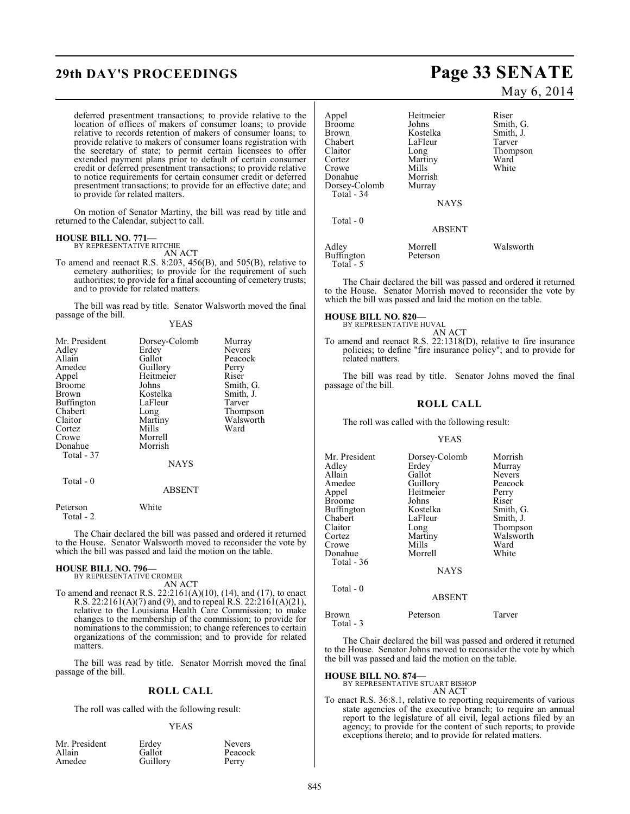deferred presentment transactions; to provide relative to the location of offices of makers of consumer loans; to provide relative to records retention of makers of consumer loans; to provide relative to makers of consumer loans registration with the secretary of state; to permit certain licensees to offer extended payment plans prior to default of certain consumer credit or deferred presentment transactions; to provide relative to notice requirements for certain consumer credit or deferred presentment transactions; to provide for an effective date; and to provide for related matters.

On motion of Senator Martiny, the bill was read by title and returned to the Calendar, subject to call.

#### **HOUSE BILL NO. 771—**

BY REPRESENTATIVE RITCHIE AN ACT

To amend and reenact R.S. 8:203, 456(B), and 505(B), relative to cemetery authorities; to provide for the requirement of such authorities; to provide for a final accounting of cemetery trusts; and to provide for related matters.

The bill was read by title. Senator Walsworth moved the final passage of the bill.

| $\sim$ |  | <b>YEAS</b> |
|--------|--|-------------|
|        |  |             |

| Mr. President<br>Adley<br>Allain<br>Amedee<br>Appel | Dorsey-Colomb<br>Erdey<br>Gallot<br>Guillory<br>Heitmeier | Murray<br><b>Nevers</b><br>Peacock<br>Perry<br>Riser |
|-----------------------------------------------------|-----------------------------------------------------------|------------------------------------------------------|
| <b>Broome</b>                                       | Johns                                                     | Smith, G.                                            |
| Brown                                               | Kostelka                                                  | Smith, J.                                            |
| Buffington                                          | LaFleur                                                   | Tarver                                               |
| Chabert                                             | Long                                                      | Thompson                                             |
| Claitor                                             | Martiny                                                   | Walsworth                                            |
| Cortez                                              | Mills                                                     | Ward                                                 |
| Crowe                                               | Morrell                                                   |                                                      |
| Donahue                                             | Morrish                                                   |                                                      |
| Total - 37                                          |                                                           |                                                      |
|                                                     | <b>NAYS</b>                                               |                                                      |
| Total - 0                                           | <b>ABSENT</b>                                             |                                                      |

Peterson White Total - 2

The Chair declared the bill was passed and ordered it returned to the House. Senator Walsworth moved to reconsider the vote by which the bill was passed and laid the motion on the table.

### **HOUSE BILL NO. 796—** BY REPRESENTATIVE CROMER

AN ACT

To amend and reenact R.S. 22:2161(A)(10), (14), and (17), to enact R.S. 22:2161(A)(7) and (9), and to repeal R.S. 22:2161(A)(21), relative to the Louisiana Health Care Commission; to make changes to the membership of the commission; to provide for nominations to the commission; to change references to certain organizations of the commission; and to provide for related matters.

The bill was read by title. Senator Morrish moved the final passage of the bill.

#### **ROLL CALL**

The roll was called with the following result:

#### YEAS

| Mr. President | Erdey    | Nevers |
|---------------|----------|--------|
| Allain        | Gallot   | Peacoc |
| Amedee        | Guillory | Perry  |

Gallot Peacock<br>Guillory Perry Guillory

## **29th DAY'S PROCEEDINGS Page 33 SENATE**

May 6, 2014

| Appel<br>Broome<br>Brown<br>Chabert<br>Claitor<br>Cortez<br>Crowe<br>Donahue<br>Dorsey-Colomb<br>Total - 34 | Heitmeier<br>Johns<br>Kostelka<br>LaFleur<br>Long<br>Martiny<br>Mills<br>Morrish<br>Murray<br><b>NAYS</b> | Riser<br>Smith, G.<br>Smith, J.<br>Tarver<br>Thompson<br>Ward<br>White |
|-------------------------------------------------------------------------------------------------------------|-----------------------------------------------------------------------------------------------------------|------------------------------------------------------------------------|
| Total $-0$                                                                                                  | <b>ABSENT</b>                                                                                             |                                                                        |
| Adley<br>Buffington<br>Total - 5                                                                            | Morrell<br>Peterson                                                                                       | Walsworth                                                              |

The Chair declared the bill was passed and ordered it returned to the House. Senator Morrish moved to reconsider the vote by which the bill was passed and laid the motion on the table.

#### **HOUSE BILL NO. 820—**

BY REPRESENTATIVE HUVAL AN ACT

To amend and reenact R.S. 22:1318(D), relative to fire insurance policies; to define "fire insurance policy"; and to provide for related matters.

The bill was read by title. Senator Johns moved the final passage of the bill.

#### **ROLL CALL**

The roll was called with the following result:

#### YEAS

| Mr. President | Dorsey-Colomb | Morrish       |
|---------------|---------------|---------------|
| Adley         | Erdey         | Murray        |
| Allain        | Gallot        | <b>Nevers</b> |
| Amedee        | Guillory      | Peacock       |
| Appel         | Heitmeier     | Perry         |
| Broome        | Johns         | Riser         |
| Buffington    | Kostelka      | Smith, G.     |
| Chabert       | LaFleur       | Smith, J.     |
| Claitor       | Long          | Thompson      |
| Cortez        | Martiny       | Walsworth     |
| Crowe         | Mills         | Ward          |
| Donahue       | Morrell       | White         |
| Total - 36    |               |               |
|               | <b>NAYS</b>   |               |
|               |               |               |

Total - 0

#### ABSENT

| Brown     | Peterson | Tarver |
|-----------|----------|--------|
| Total - 3 |          |        |

The Chair declared the bill was passed and ordered it returned to the House. Senator Johns moved to reconsider the vote by which the bill was passed and laid the motion on the table.

#### **HOUSE BILL NO. 874—**

BY REPRESENTATIVE STUART BISHOP AN ACT

To enact R.S. 36:8.1, relative to reporting requirements of various state agencies of the executive branch; to require an annual report to the legislature of all civil, legal actions filed by an agency; to provide for the content of such reports; to provide exceptions thereto; and to provide for related matters.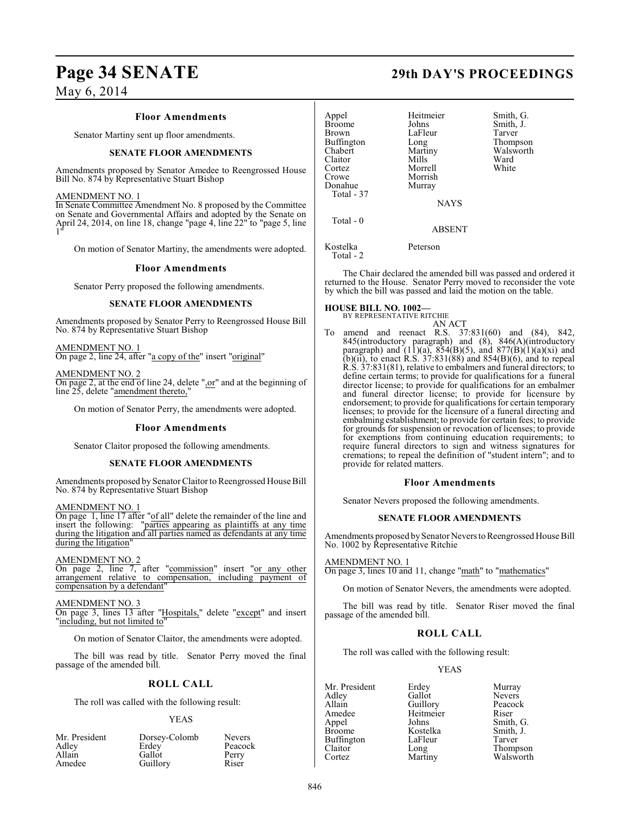## **Page 34 SENATE 29th DAY'S PROCEEDINGS**

May 6, 2014

#### **Floor Amendments**

Senator Martiny sent up floor amendments.

#### **SENATE FLOOR AMENDMENTS**

Amendments proposed by Senator Amedee to Reengrossed House Bill No. 874 by Representative Stuart Bishop

#### AMENDMENT NO. 1

In Senate Committee Amendment No. 8 proposed by the Committee on Senate and Governmental Affairs and adopted by the Senate on April 24, 2014, on line 18, change "page 4, line 22" to "page 5, line 1"

On motion of Senator Martiny, the amendments were adopted.

#### **Floor Amendments**

Senator Perry proposed the following amendments.

#### **SENATE FLOOR AMENDMENTS**

Amendments proposed by Senator Perry to Reengrossed House Bill No. 874 by Representative Stuart Bishop

AMENDMENT NO. 1 On page 2, line 24, after "a copy of the" insert "original"

AMENDMENT NO. 2 On page 2, at the end of line 24, delete ",or" and at the beginning of line 25, delete "amendment thereto,"

On motion of Senator Perry, the amendments were adopted.

#### **Floor Amendments**

Senator Claitor proposed the following amendments.

#### **SENATE FLOOR AMENDMENTS**

Amendments proposed by Senator Claitor to Reengrossed House Bill No. 874 by Representative Stuart Bishop

AMENDMENT NO. 1

On page 1, line 17 after "of all" delete the remainder of the line and insert the following: "parties appearing as plaintiffs at any time during the litigation and all parties named as defendants at any time during the litigation"

#### AMENDMENT NO. 2

On page 2, line 7, after "commission" insert "or any other arrangement relative to compensation, including payment of compensation by a defendant"

#### AMENDMENT NO. 3

On page 3, lines 13 after "Hospitals," delete "except" and insert "including, but not limited to"

On motion of Senator Claitor, the amendments were adopted.

The bill was read by title. Senator Perry moved the final passage of the amended bill.

#### **ROLL CALL**

The roll was called with the following result:

#### YEAS

| Mr. President<br>Adley | Dorsey-Colomb<br>Erdey | <b>Nevers</b><br>Peacock |
|------------------------|------------------------|--------------------------|
| Allain                 | Gallot                 | Perry                    |
| Amedee                 | Guillory               | Riser                    |

| Appel<br><b>Broome</b><br><b>Brown</b><br>Buffington<br>Chabert<br>Claitor<br>Cortez<br>Crowe<br>Donahue<br>Total - 37 | Heitmeier<br>Johns<br>LaFleur<br>Long<br>Martiny<br>Mills<br>Morrell<br>Morrish<br>Murray<br><b>NAYS</b> | Smith, G.<br>Smith, J.<br>Tarver<br>Thompson<br>Walsworth<br>Ward<br>White |
|------------------------------------------------------------------------------------------------------------------------|----------------------------------------------------------------------------------------------------------|----------------------------------------------------------------------------|
| Total $-0$                                                                                                             | <b>ABSENT</b>                                                                                            |                                                                            |
| Kostelka                                                                                                               | Peterson                                                                                                 |                                                                            |

Total - 2

The Chair declared the amended bill was passed and ordered it returned to the House. Senator Perry moved to reconsider the vote by which the bill was passed and laid the motion on the table.

### **HOUSE BILL NO. 1002—**

BY REPRESENTATIVE RITCHIE

AN ACT To amend and reenact R.S. 37:831(60) and (84), 842, 845(introductory paragraph) and (8), 846(A)(introductory paragraph) and  $(11)(a)$ ,  $854(B)(5)$ , and  $877(B)(1)(a)(xi)$  and (b)(ii), to enact R.S.  $37:831(88)$  and  $854(B)(6)$ , and to repeal R.S. 37:831(81), relative to embalmers and funeral directors; to define certain terms; to provide for qualifications for a funeral director license; to provide for qualifications for an embalmer and funeral director license; to provide for licensure by endorsement; to provide for qualifications for certain temporary licenses; to provide for the licensure of a funeral directing and embalming establishment; to provide for certain fees; to provide for grounds for suspension or revocation of licenses; to provide for exemptions from continuing education requirements; to require funeral directors to sign and witness signatures for cremations; to repeal the definition of "student intern"; and to provide for related matters.

#### **Floor Amendments**

Senator Nevers proposed the following amendments.

#### **SENATE FLOOR AMENDMENTS**

Amendments proposed by Senator Nevers to Reengrossed House Bill No. 1002 by Representative Ritchie

#### AMENDMENT NO. 1

On page 3, lines 10 and 11, change "math" to "mathematics"

On motion of Senator Nevers, the amendments were adopted.

The bill was read by title. Senator Riser moved the final passage of the amended bill.

### **ROLL CALL**

The roll was called with the following result:

#### YEAS

Mr. President Erdey Murray<br>Adley Gallot Nevers Adley Gallot Nevers Allain Guillory Peaco<br>
Amedee Heitmeier Riser Amedee Heitmeier<br>Appel Johns Broome Kostelka Smith, J.<br>Buffington LaFleur Tarver Buffington LaFle<br>Claitor Long Claitor Long Thompson<br>
Cortez Martiny Walsworth

Johns Smith, G.<br>Kostelka Smith, J. Walsworth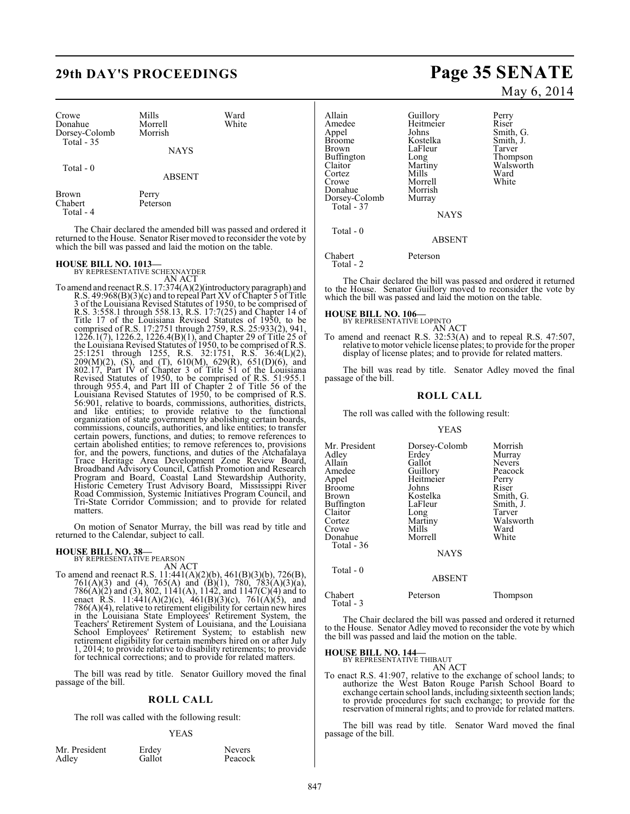## **29th DAY'S PROCEEDINGS Page 35 SENATE**

| Crowe                       | Mills              | Ward  |  |
|-----------------------------|--------------------|-------|--|
| Donahue                     | Morrell<br>Morrish | White |  |
| Dorsey-Colomb<br>Total - 35 |                    |       |  |
|                             | <b>NAYS</b>        |       |  |
| Total $-0$                  |                    |       |  |
|                             | <b>ABSENT</b>      |       |  |
| <b>Brown</b>                | Perry              |       |  |
| Chabert<br>Total - 4        | Peterson           |       |  |

The Chair declared the amended bill was passed and ordered it returned to the House. Senator Riser moved to reconsider the vote by which the bill was passed and laid the motion on the table.

### **HOUSE BILL NO. 1013—** BY REPRESENTATIVE SCHEXNAYDER

AN ACT

To amend and reenact R.S. 17:374(A)(2)(introductory paragraph) and R.S. 49:968(B)(3)(c) and to repeal Part XV of Chapter 5 of Title 3 of the Louisiana Revised Statutes of 1950, to be comprised of R.S. 3:558.1 through 558.13, R.S. 17:7(25) and Chapter 14 of Title 17 of the Louisiana Revised Statutes of 1950, to be comprised of R.S. 17:2751 through 2759, R.S. 25:933(2), 941, 1226.1(7), 1226.2, 1226.4(B)(1), and Chapter 29 of Title 25 of the Louisiana Revised Statutes of 1950, to be comprised of R.S. 25:1251 through 1255, R.S. 32:1751, R.S. 36:4(L)(2), 209(M)(2), (S), and (T), 610(M), 629(R), 651(D)(6), and 802.17, Part IV of Chapter 3 of Title 51 of the Louisiana Revised Statutes of 1950, to be comprised of R.S. 51:955.1 through 955.4, and Part III of Chapter 2 of Title 56 of the Louisiana Revised Statutes of 1950, to be comprised of R.S. 56:901, relative to boards, commissions, authorities, districts, and like entities; to provide relative to the functional organization of state government by abolishing certain boards, commissions, councils, authorities, and like entities; to transfer certain powers, functions, and duties; to remove references to certain abolished entities; to remove references to, provisions for, and the powers, functions, and duties of the Atchafalaya Trace Heritage Area Development Zone Review Board, Broadband Advisory Council, Catfish Promotion and Research Program and Board, Coastal Land Stewardship Authority, Historic Cemetery Trust Advisory Board, Mississippi River Road Commission, Systemic Initiatives Program Council, and Tri-State Corridor Commission; and to provide for related matters.

On motion of Senator Murray, the bill was read by title and returned to the Calendar, subject to call.

### **HOUSE BILL NO. 38—** BY REPRESENTATIVE PEARSON

AN ACT

To amend and reenact R.S. 11:441(A)(2)(b), 461(B)(3)(b), 726(B), 761(A)(3) and (4), 765(A) and (B)(1), 780, 783(A)(3)(a), 786(A)(2) and (3), 802, 1141(A), 1142, and 1147(C)(4) and to enact R.S. 11:441(A)(2)(c), 461(B)(3)(c), 761(A)(5), and 786(A)(4), relative to retirement eligibility for certain new hires in the Louisiana State Employees' Retirement System, the Teachers' Retirement System of Louisiana, and the Louisiana School Employees' Retirement System; to establish new retirement eligibility for certain members hired on or after July 1, 2014; to provide relative to disability retirements; to provide for technical corrections; and to provide for related matters.

The bill was read by title. Senator Guillory moved the final passage of the bill.

#### **ROLL CALL**

The roll was called with the following result:

#### YEAS

| Mr. President | Erdey  | Nevers |
|---------------|--------|--------|
| Adley         | Gallot | Peacoc |

Gallot Peacock

May 6, 2014

Allain Guillory Perry<br>Amedee Heitmeier Riser Amedee Heitmeier<br>Appel Johns Appel Johns Smith, G.<br>Broome Kostelka Smith, J. Broome Kostelka Smith,<br>Brown LaFleur Tarver LaFleur Tarver<br>
Long Thompson<br>
Martiny Walsworth Buffington<br>Claitor Martiny Walsworth<br>
Mills Ward Cortez Mills Ward<br>Crowe Morrell White Morrell<br>Morrish Donahue Morrish<br>Dorsey-Colomb Murray Dorsey-Colomb Total - 37 **NAYS** Total - 0

ABSENT

Chabert Peterson

Total - 2

The Chair declared the bill was passed and ordered it returned to the House. Senator Guillory moved to reconsider the vote by which the bill was passed and laid the motion on the table.

**HOUSE BILL NO. 106—** BY REPRESENTATIVE LOPINTO AN ACT

To amend and reenact R.S. 32:53(A) and to repeal R.S. 47:507, relative to motor vehicle license plates; to provide for the proper display of license plates; and to provide for related matters.

The bill was read by title. Senator Adley moved the final passage of the bill.

#### **ROLL CALL**

The roll was called with the following result:

#### YEAS

| Mr. President     | Dorsey-Colomb | Morrish       |
|-------------------|---------------|---------------|
| Adley             | Erdey         | Murray        |
| Allain            | Gallot        | <b>Nevers</b> |
| Amedee            | Guillory      | Peacock       |
| Appel             | Heitmeier     | Perry         |
| <b>Broome</b>     | Johns         | Riser         |
| Brown             | Kostelka      | Smith, G.     |
| <b>Buffington</b> | LaFleur       | Smith, J.     |
| Claitor           | Long          | Tarver        |
| Cortez            | Martiny       | Walsworth     |
| Crowe             | Mills         | Ward          |
| Donahue           | Morrell       | White         |
| Total - 36        |               |               |
|                   | <b>NAYS</b>   |               |
| Total - 0         |               |               |
|                   | <b>ABSENT</b> |               |
| Chabert           | Peterson      | Thompson      |

Total - 3

The Chair declared the bill was passed and ordered it returned to the House. Senator Adley moved to reconsider the vote by which the bill was passed and laid the motion on the table.

### **HOUSE BILL NO. 144—** BY REPRESENTATIVE THIBAUT

AN ACT

To enact R.S. 41:907, relative to the exchange of school lands; to authorize the West Baton Rouge Parish School Board to exchange certain school lands, including sixteenth section lands; to provide procedures for such exchange; to provide for the reservation of mineral rights; and to provide for related matters.

The bill was read by title. Senator Ward moved the final passage of the bill.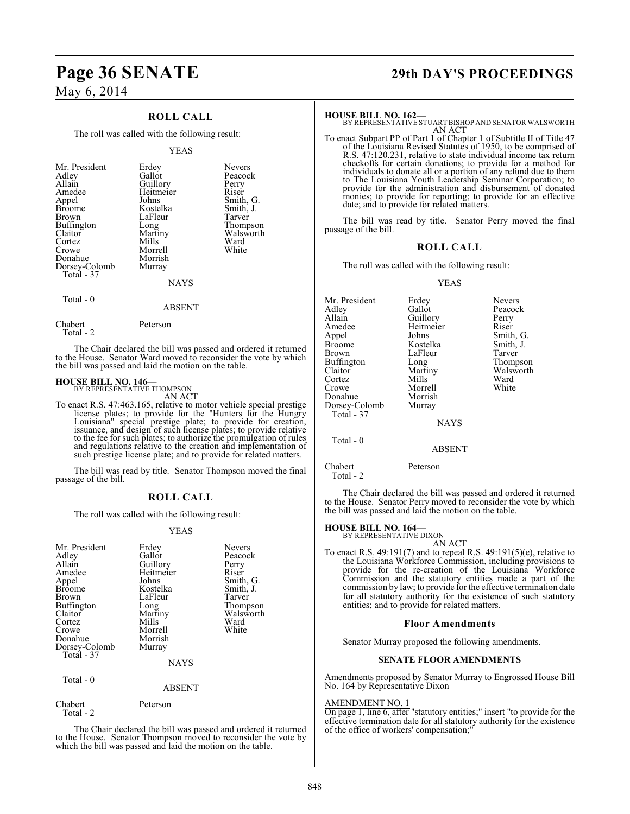May 6, 2014

### **ROLL CALL**

The roll was called with the following result:

#### YEAS

|  | Mr. President<br>Adley<br>Allain<br>Amedee<br>Appel<br><b>Broome</b><br>Brown<br>Buffington<br>Claitor<br>Cortez<br>Crowe<br>Donahue<br>Dorsey-Colomb<br>Total - 37 | Erdey<br>Gallot<br>Guillory<br>Heitmeier<br>Johns<br>Kostelka<br>LaFleur<br>Long<br>Martiny<br>Mills<br>Morrell<br>Morrish<br>Murray<br><b>NAYS</b> | <b>Nevers</b><br>Peacock<br>Perry<br>Riser<br>Smith, G.<br>Smith, J.<br>Tarver<br>Thompson<br>Walsworth<br>Ward<br>White |
|--|---------------------------------------------------------------------------------------------------------------------------------------------------------------------|-----------------------------------------------------------------------------------------------------------------------------------------------------|--------------------------------------------------------------------------------------------------------------------------|
|--|---------------------------------------------------------------------------------------------------------------------------------------------------------------------|-----------------------------------------------------------------------------------------------------------------------------------------------------|--------------------------------------------------------------------------------------------------------------------------|

Total - 0

Chabert Peterson Total - 2

The Chair declared the bill was passed and ordered it returned to the House. Senator Ward moved to reconsider the vote by which the bill was passed and laid the motion on the table.

ABSENT

### **HOUSE BILL NO. 146—** BY REPRESENTATIVE THOMPSON

AN ACT

To enact R.S. 47:463.165, relative to motor vehicle special prestige license plates; to provide for the "Hunters for the Hungry Louisiana" special prestige plate; to provide for creation, issuance, and design of such license plates; to provide relative to the fee for such plates; to authorize the promulgation of rules and regulations relative to the creation and implementation of such prestige license plate; and to provide for related matters.

The bill was read by title. Senator Thompson moved the final passage of the bill.

#### **ROLL CALL**

The roll was called with the following result:

#### YEAS

| Mr. President<br>Adley<br>Allain<br>Amedee<br>Appel<br><b>Broome</b><br>Brown<br>Buffington<br>Claitor<br>Cortez<br>Crowe<br>Donahue<br>Dorsey-Colomb<br>Total - 37 | Erdey<br>Gallot<br>Guillory<br>Heitmeier<br>Johns<br>Kostelka<br>LaFleur<br>Long<br>Martiny<br>Mills<br>Morrell<br>Morrish<br>Murray<br><b>NAYS</b> | <b>Nevers</b><br>Peacock<br>Perry<br>Riser<br>Smith, G.<br>Smith, J.<br>Tarver<br>Thompson<br>Walsworth<br>Ward<br>White |
|---------------------------------------------------------------------------------------------------------------------------------------------------------------------|-----------------------------------------------------------------------------------------------------------------------------------------------------|--------------------------------------------------------------------------------------------------------------------------|
| Total - 0                                                                                                                                                           | ABSENT                                                                                                                                              |                                                                                                                          |

Chabert Peterson

Total - 2

The Chair declared the bill was passed and ordered it returned to the House. Senator Thompson moved to reconsider the vote by which the bill was passed and laid the motion on the table.

## **Page 36 SENATE 29th DAY'S PROCEEDINGS**

**HOUSE BILL NO. 162—** BY REPRESENTATIVE STUART BISHOP AND SENATOR WALSWORTH AN ACT

To enact Subpart PP of Part 1 of Chapter 1 of Subtitle II of Title 47 of the Louisiana Revised Statutes of 1950, to be comprised of R.S. 47:120.231, relative to state individual income tax return checkoffs for certain donations; to provide for a method for individuals to donate all or a portion of any refund due to them to The Louisiana Youth Leadership Seminar Corporation; to provide for the administration and disbursement of donated monies; to provide for reporting; to provide for an effective date; and to provide for related matters.

The bill was read by title. Senator Perry moved the final passage of the bill.

#### **ROLL CALL**

The roll was called with the following result:

#### YEAS

| Erdey       | <b>Nevers</b> |
|-------------|---------------|
| Gallot      | Peacock       |
|             | Perry         |
| Heitmeier   | Riser         |
| Johns       | Smith, G.     |
| Kostelka    | Smith, J.     |
| LaFleur     | Tarver        |
| Long        | Thompson      |
| Martiny     | Walsworth     |
| Mills       | Ward          |
| Morrell     | White         |
| Morrish     |               |
| Murray      |               |
|             |               |
| <b>NAYS</b> |               |
|             |               |
| ABSENT      |               |
|             | Guillory      |

Chabert Peterson

Total - 2

The Chair declared the bill was passed and ordered it returned to the House. Senator Perry moved to reconsider the vote by which the bill was passed and laid the motion on the table.

## **HOUSE BILL NO. 164—** BY REPRESENTATIVE DIXON

AN ACT To enact R.S. 49:191(7) and to repeal R.S. 49:191(5)(e), relative to the Louisiana Workforce Commission, including provisions to provide for the re-creation of the Louisiana Workforce Commission and the statutory entities made a part of the commission by law; to provide for the effective termination date for all statutory authority for the existence of such statutory entities; and to provide for related matters.

#### **Floor Amendments**

Senator Murray proposed the following amendments.

#### **SENATE FLOOR AMENDMENTS**

Amendments proposed by Senator Murray to Engrossed House Bill No. 164 by Representative Dixon

#### AMENDMENT NO. 1

On page 1, line 6, after "statutory entities;" insert "to provide for the effective termination date for all statutory authority for the existence of the office of workers' compensation;"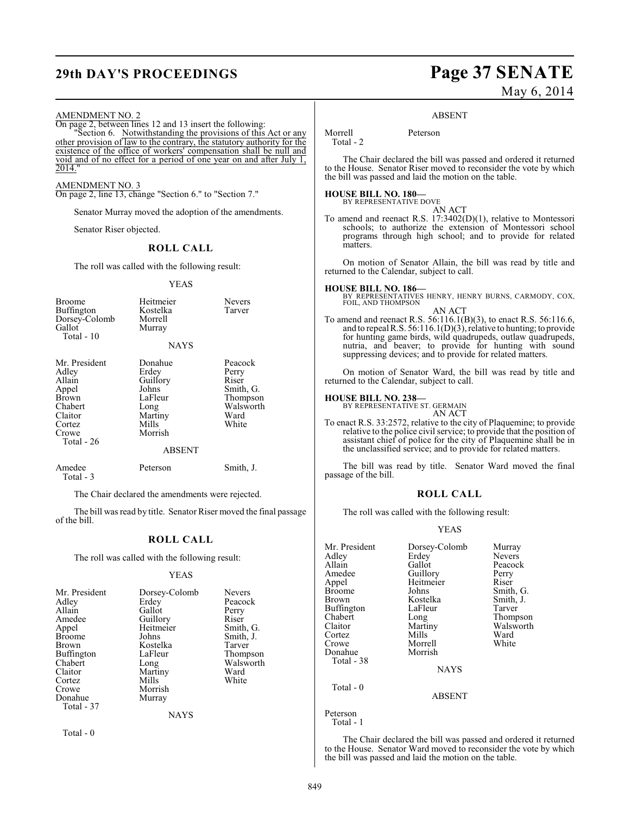## **29th DAY'S PROCEEDINGS Page 37 SENATE**

# May 6, 2014

#### ABSENT

AMENDMENT NO. 2 On page 2, between lines 12 and 13 insert the following: "Section 6. Notwithstanding the provisions of this Act or any other provision of law to the contrary, the statutory authority for the existence of the office of workers' compensation shall be null and void and of no effect for a period of one year on and after July 1, 2014. AMENDMENT NO. 3 On page 2, line 13, change "Section 6." to "Section 7." Senator Murray moved the adoption of the amendments. Senator Riser objected. **ROLL CALL** The roll was called with the following result: YEAS Broome Heitmeier Nevers<br>Buffington Kostelka Tarver Buffington Kostelk<br>Dorsey-Colomb Morrell Dorsey-Colomb<br>Gallot Murray Total - 10 **NAYS** Mr. President Donahue Peacock<br>Adley Erdey Perry Adley Erdey Perry<br>
Allain Guillory Riser Allain Guillory<br>
Appel Johns Appel Johns Smith, G.<br>Brown LaFleur Thompson Brown LaFleur Thompson<br>
Chabert Long Walsworth Chabert Long Walsworth Claitor Martiny Ward<br>Cortez Mills White Cortez Mills White Crowe Morrish Total - 26 ABSENT Amedee Peterson Smith, J. Total - 3 Morrell Peterson Total - 2 matters.

The Chair declared the amendments were rejected.

The bill was read by title. Senator Riser moved the final passage of the bill.

#### **ROLL CALL**

The roll was called with the following result:

#### YEAS

| Mr. President<br>Adlev<br>Allain<br>Amedee<br>Appel | Dorsey-Colomb<br>Erdey<br>Gallot<br>Guillory<br>Heitmeier | <b>Nevers</b><br>Peacock<br>Perry<br>Riser<br>Smith, G. |
|-----------------------------------------------------|-----------------------------------------------------------|---------------------------------------------------------|
| Broome                                              | Johns                                                     | Smith, J.                                               |
| Brown                                               | Kostelka                                                  | Tarver                                                  |
| Buffington                                          | LaFleur                                                   | Thompson                                                |
| Chabert                                             | Long                                                      | Walsworth                                               |
| Claitor                                             | Martiny                                                   | Ward                                                    |
| Cortez                                              | Mills                                                     | White                                                   |
| Crowe                                               | Morrish                                                   |                                                         |
| Donahue                                             | Murray                                                    |                                                         |
| Total - 37                                          |                                                           |                                                         |
|                                                     | <b>NAYS</b>                                               |                                                         |

Total - 0

The Chair declared the bill was passed and ordered it returned to the House. Senator Riser moved to reconsider the vote by which the bill was passed and laid the motion on the table.

#### **HOUSE BILL NO. 180—** BY REPRESENTATIVE DOVE

- AN ACT
- To amend and reenact R.S. 17:3402(D)(1), relative to Montessori schools; to authorize the extension of Montessori school programs through high school; and to provide for related

On motion of Senator Allain, the bill was read by title and returned to the Calendar, subject to call.

#### **HOUSE BILL NO. 186—**

- BY REPRESENTATIVES HENRY, HENRY BURNS, CARMODY, COX, FOIL, AND THOMPSON AN ACT
- To amend and reenact R.S. 56:116.1(B)(3), to enact R.S. 56:116.6, and to repeal R.S.  $56:116.1(D)(3)$ , relative to hunting; to provide for hunting game birds, wild quadrupeds, outlaw quadrupeds, nutria, and beaver; to provide for hunting with sound suppressing devices; and to provide for related matters.

On motion of Senator Ward, the bill was read by title and returned to the Calendar, subject to call.

#### **HOUSE BILL NO. 238—**

BY REPRESENTATIVE ST. GERMAIN

AN ACT To enact R.S. 33:2572, relative to the city of Plaquemine; to provide relative to the police civil service; to provide that the position of assistant chief of police for the city of Plaquemine shall be in the unclassified service; and to provide for related matters.

The bill was read by title. Senator Ward moved the final passage of the bill.

#### **ROLL CALL**

The roll was called with the following result:

#### YEAS

| Mr. President<br>Adley<br>Allain<br>Amedee<br>Appel<br><b>Broome</b><br><b>Brown</b><br>Buffington<br>Chabert<br>Claitor<br>Cortez<br>Crowe<br>Donahue<br>Total - 38 | Dorsey-Colomb<br>Erdey<br>Gallot<br>Guillory<br>Heitmeier<br>Johns<br>Kostelka<br>LaFleur<br>Long<br>Martiny<br>Mills<br>Morrell<br>Morrish<br><b>NAYS</b> | Murray<br><b>Nevers</b><br>Peacock<br>Perry<br>Riser<br>Smith, G.<br>Smith, J.<br>Tarver<br>Thompson<br>Walsworth<br>Ward<br>White |
|----------------------------------------------------------------------------------------------------------------------------------------------------------------------|------------------------------------------------------------------------------------------------------------------------------------------------------------|------------------------------------------------------------------------------------------------------------------------------------|
| Total - 0                                                                                                                                                            | <b>ABSENT</b>                                                                                                                                              |                                                                                                                                    |
| Peterson                                                                                                                                                             |                                                                                                                                                            |                                                                                                                                    |

Total - 1

The Chair declared the bill was passed and ordered it returned to the House. Senator Ward moved to reconsider the vote by which the bill was passed and laid the motion on the table.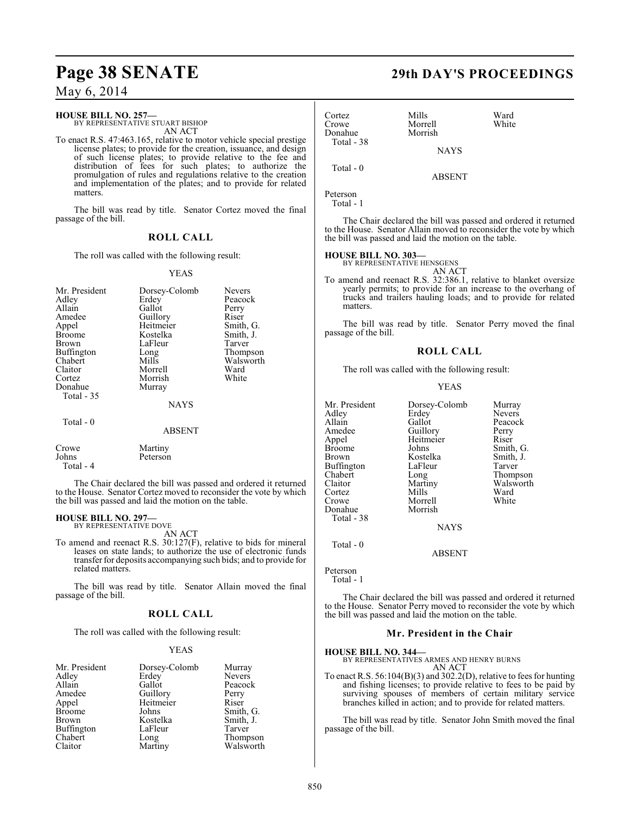## **Page 38 SENATE 29th DAY'S PROCEEDINGS**

May 6, 2014

### **HOUSE BILL NO. 257—**

BY REPRESENTATIVE STUART BISHOP AN ACT

To enact R.S. 47:463.165, relative to motor vehicle special prestige license plates; to provide for the creation, issuance, and design of such license plates; to provide relative to the fee and distribution of fees for such plates; to authorize the promulgation of rules and regulations relative to the creation and implementation of the plates; and to provide for related matters.

The bill was read by title. Senator Cortez moved the final passage of the bill.

### **ROLL CALL**

The roll was called with the following result:

#### YEAS

| Mr. President<br>Adley<br>Allain<br>Amedee<br>Appel<br><b>Broome</b><br>Brown<br><b>Buffington</b><br>Chabert<br>Claitor<br>Cortez | Dorsey-Colomb<br>Erdey<br>Gallot<br>Guillory<br>Heitmeier<br>Kostelka<br>LaFleur<br>Long<br>Mills<br>Morrell<br>Morrish | <b>Nevers</b><br>Peacock<br>Perry<br>Riser<br>Smith, G.<br>Smith, J.<br>Tarver<br>Thompson<br>Walsworth<br>Ward<br>White |
|------------------------------------------------------------------------------------------------------------------------------------|-------------------------------------------------------------------------------------------------------------------------|--------------------------------------------------------------------------------------------------------------------------|
| Donahue<br>Total - 35                                                                                                              | Murray<br><b>NAYS</b>                                                                                                   |                                                                                                                          |
| Total $-0$                                                                                                                         | <b>ABSENT</b>                                                                                                           |                                                                                                                          |
| $\sim$                                                                                                                             | $\mathbf{A}$ $\mathbf{A}$                                                                                               |                                                                                                                          |

Crowe Martiny<br>Johns Peterson Peterson Total - 4 The Chair declared the bill was passed and ordered it returned to the House. Senator Cortez moved to reconsider the vote by which

**HOUSE BILL NO. 297—**

BY REPRESENTATIVE DOVE

the bill was passed and laid the motion on the table.

AN ACT

To amend and reenact R.S. 30:127(F), relative to bids for mineral leases on state lands; to authorize the use of electronic funds transferfor deposits accompanying such bids; and to provide for related matters.

The bill was read by title. Senator Allain moved the final passage of the bill.

#### **ROLL CALL**

The roll was called with the following result:

#### YEAS

| Mr. President | Dorsey-Colomb         | Murray        |
|---------------|-----------------------|---------------|
| Adley         | Erdey                 | <b>Nevers</b> |
| Allain        | Gallot                | Peacock       |
| Amedee        | Guillory<br>Heitmeier | Perry         |
| Appel         |                       | Riser         |
| <b>Broome</b> | Johns                 | Smith, G.     |
| Brown         | Kostelka              | Smith, J.     |
| Buffington    | LaFleur               | Tarver        |
| Chabert       | Long                  | Thompson      |
| Claitor       | Martiny               | Walsworth     |

| Cortez<br>Crowe<br>Donahue | Mills<br>Morrell<br>Morrish | Ward<br>White                                                                                                                        |  |
|----------------------------|-----------------------------|--------------------------------------------------------------------------------------------------------------------------------------|--|
| Total - 38                 | <b>NAYS</b>                 |                                                                                                                                      |  |
| Total - 0                  | <b>ABSENT</b>               |                                                                                                                                      |  |
| Peterson<br>Total - 1      |                             |                                                                                                                                      |  |
|                            |                             | The Chair declared the bill was passed and ordered it returned<br>to the House. Senator Allain moved to reconsider the vote by which |  |

**HOUSE BILL NO. 303—** BY REPRESENTATIVE HENSGENS

the bill was passed and laid the motion on the table.

AN ACT To amend and reenact R.S. 32:386.1, relative to blanket oversize yearly permits; to provide for an increase to the overhang of trucks and trailers hauling loads; and to provide for related matters.

The bill was read by title. Senator Perry moved the final passage of the bill.

### **ROLL CALL**

The roll was called with the following result:

#### YEAS

| Mr. President | Dorsey-Colomb | Murray        |
|---------------|---------------|---------------|
| Adley         | Erdey         | <b>Nevers</b> |
| Allain        | Gallot        | Peacock       |
| Amedee        | Guillory      | Perry         |
| Appel         | Heitmeier     | Riser         |
| <b>Broome</b> | Johns         | Smith, G.     |
| Brown         | Kostelka      | Smith, J.     |
| Buffington    | LaFleur       | Tarver        |
| Chabert       | Long          | Thompson      |
| Claitor       | Martiny       | Walsworth     |
| Cortez        | Mills         | Ward          |
| Crowe         | Morrell       | White         |
| Donahue       | Morrish       |               |
| Total - 38    |               |               |
|               | <b>NAYS</b>   |               |
| Total - 0     |               |               |
|               | ABSENT        |               |

Peterson Total - 1

The Chair declared the bill was passed and ordered it returned to the House. Senator Perry moved to reconsider the vote by which the bill was passed and laid the motion on the table.

#### **Mr. President in the Chair**

**HOUSE BILL NO. 344—**

BY REPRESENTATIVES ARMES AND HENRY BURNS AN ACT

To enact R.S. 56:104(B)(3) and 302.2(D), relative to fees for hunting and fishing licenses; to provide relative to fees to be paid by surviving spouses of members of certain military service branches killed in action; and to provide for related matters.

The bill was read by title. Senator John Smith moved the final passage of the bill.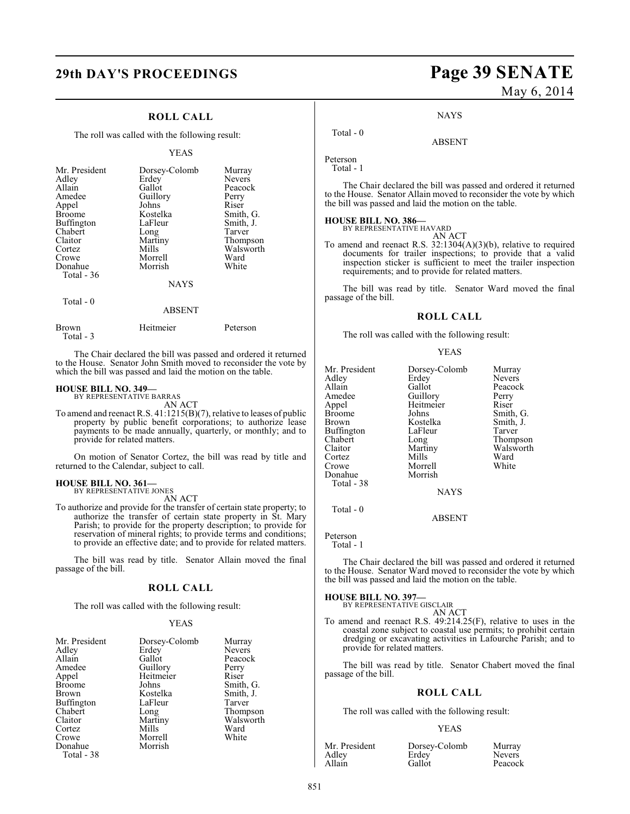#### **ROLL CALL**

The roll was called with the following result:

#### YEAS

| Mr. President<br>Adley<br>Allain<br>Amedee<br>Appel<br><b>Broome</b><br>Buffington<br>Chabert<br>Claitor<br>Cortez<br>Crowe<br>Donahue<br>Total $-36$ | Dorsey-Colomb<br>Erdey<br>Gallot<br>Guillory<br>Johns<br>Kostelka<br>LaFleur<br>Long<br>Martiny<br>Mills<br>Morrell<br>Morrish | Murray<br><b>Nevers</b><br>Peacock<br>Perry<br>Riser<br>Smith, G.<br>Smith, J.<br>Tarver<br>Thompson<br>Walsworth<br>Ward<br>White |
|-------------------------------------------------------------------------------------------------------------------------------------------------------|--------------------------------------------------------------------------------------------------------------------------------|------------------------------------------------------------------------------------------------------------------------------------|
|                                                                                                                                                       | <b>NAYS</b>                                                                                                                    |                                                                                                                                    |
| Total - 0                                                                                                                                             |                                                                                                                                |                                                                                                                                    |

### Brown Heitmeier Peterson Total - 3

The Chair declared the bill was passed and ordered it returned to the House. Senator John Smith moved to reconsider the vote by which the bill was passed and laid the motion on the table.

ABSENT

## **HOUSE BILL NO. 349—** BY REPRESENTATIVE BARRAS

AN ACT

To amend and reenact R.S. 41:1215(B)(7), relative to leases of public property by public benefit corporations; to authorize lease payments to be made annually, quarterly, or monthly; and to provide for related matters.

On motion of Senator Cortez, the bill was read by title and returned to the Calendar, subject to call.

## **HOUSE BILL NO. 361—** BY REPRESENTATIVE JONES

AN ACT

To authorize and provide for the transfer of certain state property; to authorize the transfer of certain state property in St. Mary Parish; to provide for the property description; to provide for reservation of mineral rights; to provide terms and conditions; to provide an effective date; and to provide for related matters.

The bill was read by title. Senator Allain moved the final passage of the bill.

#### **ROLL CALL**

The roll was called with the following result:

#### YEAS

| Mr. President     | Dorsey-Colomb | Murray        |
|-------------------|---------------|---------------|
| Adley             | Erdey         | <b>Nevers</b> |
| Allain            | Gallot        | Peacock       |
| Amedee            | Guillory      | Perry         |
| Appel             | Heitmeier     | Riser         |
| <b>Broome</b>     | Johns         | Smith, G.     |
| Brown             | Kostelka      | Smith, J.     |
| <b>Buffington</b> | LaFleur       | Tarver        |
| Chabert           | Long          | Thompson      |
| Claitor           | Martiny       | Walsworth     |
| Cortez            | Mills         | Ward          |
| Crowe             | Morrell       | White         |
| Donahue           | Morrish       |               |
| Total - 38        |               |               |

## **29th DAY'S PROCEEDINGS Page 39 SENATE** May 6, 2014

**NAYS** 

ABSENT

Peterson Total - 1

Total - 0

The Chair declared the bill was passed and ordered it returned to the House. Senator Allain moved to reconsider the vote by which the bill was passed and laid the motion on the table.

## **HOUSE BILL NO. 386—** BY REPRESENTATIVE HAVARD

AN ACT

To amend and reenact R.S. 32:1304(A)(3)(b), relative to required documents for trailer inspections; to provide that a valid inspection sticker is sufficient to meet the trailer inspection requirements; and to provide for related matters.

The bill was read by title. Senator Ward moved the final passage of the bill.

#### **ROLL CALL**

The roll was called with the following result:

#### YEAS

| Mr. President | Dorsey-Colomb | Murray        |
|---------------|---------------|---------------|
| Adley         | Erdey         | <b>Nevers</b> |
| Allain        | Gallot        | Peacock       |
| Amedee        | Guillory      | Perry         |
| Appel         | Heitmeier     | Riser         |
| Broome        | Johns         | Smith, G.     |
| Brown         | Kostelka      | Smith, J.     |
| Buffington    | LaFleur       | Tarver        |
| Chabert       | Long          | Thompson      |
| Claitor       | Martiny       | Walsworth     |
| Cortez        | Mills         | Ward          |
| Crowe         | Morrell       | White         |
| Donahue       | Morrish       |               |
| Total - 38    |               |               |
|               | <b>NAYS</b>   |               |
|               |               |               |

Total - 0

ABSENT

Peterson

Total - 1

The Chair declared the bill was passed and ordered it returned to the House. Senator Ward moved to reconsider the vote by which the bill was passed and laid the motion on the table.

**HOUSE BILL NO. 397—**

#### BY REPRESENTATIVE GISCLAIR AN ACT

To amend and reenact R.S. 49:214.25(F), relative to uses in the coastal zone subject to coastal use permits; to prohibit certain dredging or excavating activities in Lafourche Parish; and to provide for related matters.

The bill was read by title. Senator Chabert moved the final passage of the bill.

#### **ROLL CALL**

The roll was called with the following result:

#### YEAS

Adley Erdey Nevers<br>
Allain Gallot Peacocl

Mr. President Dorsey-Colomb Murray<br>Adley Erdev Nevers

Peacock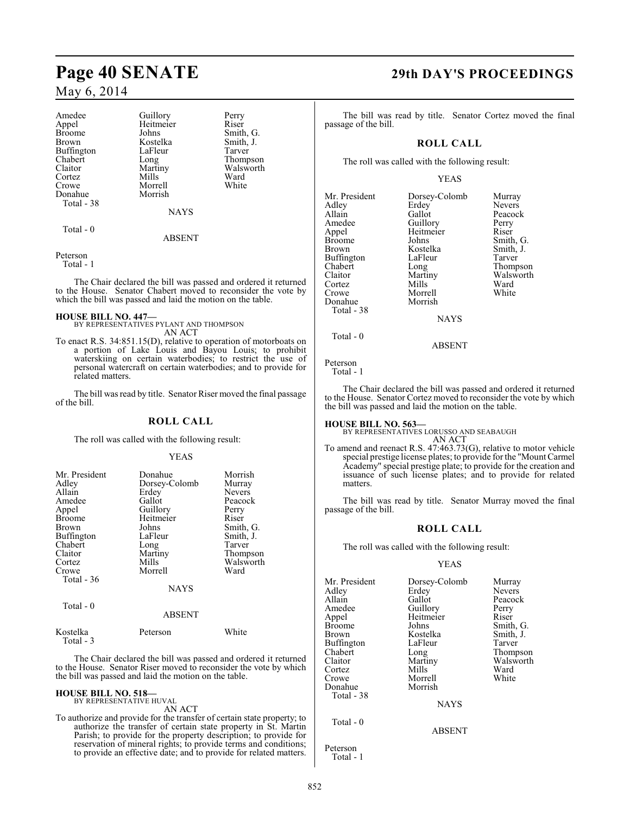### May 6, 2014

| Amedee<br>Appel<br><b>Broome</b><br>Brown<br><b>Buffington</b><br>Chabert<br>Claitor<br>Cortez<br>Crowe<br>Donahue | Guillory<br>Heitmeier<br>Johns<br>Kostelka<br>LaFleur<br>Long<br>Martiny<br>Mills<br>Morrell<br>Morrish | Perry<br>Riser<br>Smith, G.<br>Smith, J.<br>Tarver<br>Thompson<br>Walsworth<br>Ward<br>White |
|--------------------------------------------------------------------------------------------------------------------|---------------------------------------------------------------------------------------------------------|----------------------------------------------------------------------------------------------|
| Total - 38                                                                                                         | <b>NAYS</b>                                                                                             |                                                                                              |
| Total - 0                                                                                                          | ABSENT                                                                                                  |                                                                                              |

Peterson

Total - 1

The Chair declared the bill was passed and ordered it returned to the House. Senator Chabert moved to reconsider the vote by which the bill was passed and laid the motion on the table.

#### **HOUSE BILL NO. 447—**

BY REPRESENTATIVES PYLANT AND THOMPSON AN ACT

To enact R.S. 34:851.15(D), relative to operation of motorboats on a portion of Lake Louis and Bayou Louis; to prohibit waterskiing on certain waterbodies; to restrict the use of personal watercraft on certain waterbodies; and to provide for related matters.

The bill was read by title. Senator Riser moved the final passage of the bill.

### **ROLL CALL**

The roll was called with the following result:

#### YEAS

| Donahue       | Morrish     |
|---------------|-------------|
| Dorsey-Colomb | Murray      |
| Erdey         | Nevers      |
| Gallot        | Peacock     |
| Guillory      | Perry       |
| Heitmeier     | Riser       |
| Johns         | Smith, G.   |
| LaFleur       | Smith, J.   |
| Long          | Tarver      |
| Martiny       | Thompson    |
| Mills         | Walsworth   |
| Morrell       | Ward        |
|               |             |
|               |             |
|               |             |
| ABSENT        |             |
|               | <b>NAYS</b> |

| Kostelka  | Peterson | White |
|-----------|----------|-------|
| Total - 3 |          |       |

The Chair declared the bill was passed and ordered it returned to the House. Senator Riser moved to reconsider the vote by which the bill was passed and laid the motion on the table.

#### **HOUSE BILL NO. 518—** BY REPRESENTATIVE HUVAL

AN ACT

To authorize and provide for the transfer of certain state property; to authorize the transfer of certain state property in St. Martin Parish; to provide for the property description; to provide for reservation of mineral rights; to provide terms and conditions; to provide an effective date; and to provide for related matters.

## **Page 40 SENATE 29th DAY'S PROCEEDINGS**

The bill was read by title. Senator Cortez moved the final passage of the bill.

### **ROLL CALL**

The roll was called with the following result:

#### YEAS

| Mr. President | Dorsey-Colomb | Murray        |
|---------------|---------------|---------------|
|               |               |               |
| Adley         | Erdey         | <b>Nevers</b> |
| Allain        | Gallot        | Peacocl       |
| Amedee        | Guillory      | Perry         |
| Appel         | Heitmeier     | Riser         |
| <b>Broome</b> | Johns         | Smith,        |
| <b>Brown</b>  | Kostelka      | Smith, .      |
| Buffington    | LaFleur       | Tarver        |
| Chabert       | Long          | Thomps        |
| Claitor       | Martiny       | Walswo        |
| Cortez        | Mills         | Ward          |
| Crowe         | Morrell       | White         |
| Donahue       | Morrish       |               |
| Total - 38    |               |               |
|               | <b>NAYS</b>   |               |
|               |               |               |

Allain Gallot Peacock Perry Perry<br>American Guillor<br>Mercy Riser ns Smith, G.<br>telka Smith, J. stelka Smith, J.<br>Tarver leur Tarver<br>
ug Thomp<br>
ttiny Walsw Thompson Walsworth<br>Ward

ABSENT

### Total - 0

Peterson Total - 1

The Chair declared the bill was passed and ordered it returned to the House. Senator Cortez moved to reconsider the vote by which the bill was passed and laid the motion on the table.

**HOUSE BILL NO. 563—** BY REPRESENTATIVES LORUSSO AND SEABAUGH AN ACT

To amend and reenact R.S. 47:463.73(G), relative to motor vehicle special prestige license plates; to provide for the "Mount Carmel Academy" special prestige plate; to provide for the creation and issuance of such license plates; and to provide for related matters.

The bill was read by title. Senator Murray moved the final passage of the bill.

#### **ROLL CALL**

The roll was called with the following result:

### YEAS

ABSENT

| Mr. President | Dorsey-Colomb | Murray        |
|---------------|---------------|---------------|
| Adley         | Erdey         | <b>Nevers</b> |
| Allain        | Gallot        | Peacock       |
| Amedee        | Guillory      | Perry         |
| Appel         | Heitmeier     | Riser         |
| Broome        | Johns         | Smith, G.     |
| Brown         | Kostelka      | Smith, J.     |
| Buffington    | LaFleur       | Tarver        |
| Chabert       | Long          | Thompson      |
| Claitor       | Martiny       | Walsworth     |
| Cortez        | Mills         | Ward          |
| Crowe         | Morrell       | White         |
| Donahue       | Morrish       |               |
| Total - 38    |               |               |
|               | <b>NAYS</b>   |               |
| Total - 0     |               |               |

Peterson Total - 1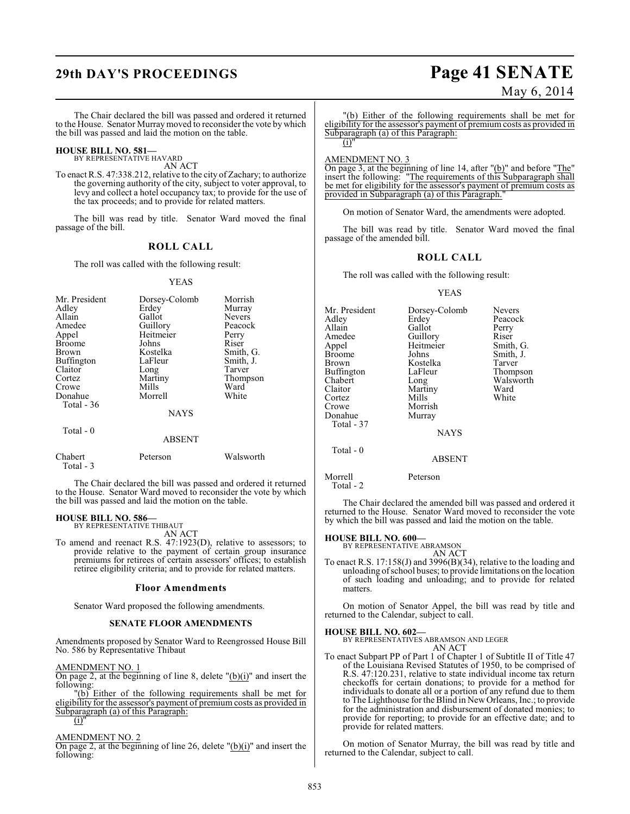# **29th DAY'S PROCEEDINGS Page 41 SENATE**

May 6, 2014

The Chair declared the bill was passed and ordered it returned to the House. Senator Murray moved to reconsider the vote by which the bill was passed and laid the motion on the table.

#### **HOUSE BILL NO. 581—**

BY REPRESENTATIVE HAVARD AN ACT

To enact R.S. 47:338.212, relative to the city of Zachary; to authorize the governing authority of the city, subject to voter approval, to levy and collect a hotel occupancy tax; to provide for the use of the tax proceeds; and to provide for related matters.

The bill was read by title. Senator Ward moved the final passage of the bill.

#### **ROLL CALL**

The roll was called with the following result:

#### YEAS

| Mr. President<br>Adley<br>Allain<br>Amedee<br>Appel<br><b>Broome</b><br>Brown<br>Buffington<br>Claitor<br>Cortez<br>Crowe<br>Donahue<br>Total $-36$ | Dorsey-Colomb<br>Erdey<br>Gallot<br>Guillory<br>Heitmeier<br>Johns<br>Kostelka<br>LaFleur<br>Long<br>Martiny<br>Mills<br>Morrell<br><b>NAYS</b> | Morrish<br>Murray<br><b>Nevers</b><br>Peacock<br>Perry<br>Riser<br>Smith, G.<br>Smith, J.<br>Tarver<br>Thompson<br>Ward<br>White |
|-----------------------------------------------------------------------------------------------------------------------------------------------------|-------------------------------------------------------------------------------------------------------------------------------------------------|----------------------------------------------------------------------------------------------------------------------------------|
| Total $-0$                                                                                                                                          | <b>ABSENT</b>                                                                                                                                   |                                                                                                                                  |
| Chabert                                                                                                                                             | Peterson                                                                                                                                        | Walsworth                                                                                                                        |

The Chair declared the bill was passed and ordered it returned to the House. Senator Ward moved to reconsider the vote by which the bill was passed and laid the motion on the table.

#### **HOUSE BILL NO. 586—**

Total - 3

BY REPRESENTATIVE THIBAUT AN ACT

To amend and reenact R.S. 47:1923(D), relative to assessors; to provide relative to the payment of certain group insurance premiums for retirees of certain assessors' offices; to establish retiree eligibility criteria; and to provide for related matters.

#### **Floor Amendments**

Senator Ward proposed the following amendments.

#### **SENATE FLOOR AMENDMENTS**

Amendments proposed by Senator Ward to Reengrossed House Bill No. 586 by Representative Thibaut

AMENDMENT NO. 1

On page 2, at the beginning of line 8, delete  $"(\mathbf{b})(i)"$  and insert the following:

"(b) Either of the following requirements shall be met for eligibility for the assessor's payment of premium costs as provided in Subparagraph (a) of this Paragraph:

 $(i)$ 

#### AMENDMENT NO. 2

On page 2, at the beginning of line 26, delete " $(b)(i)$ " and insert the following:

"(b) Either of the following requirements shall be met for eligibility for the assessor's payment of premium costs as provided in Subparagraph (a) of this Paragraph:

#### AMENDMENT NO. 3

 $(i)$ "

On page 3, at the beginning of line 14, after  $"({\bf b})"$  and before  $"The"$ insert the following: "The requirements of this Subparagraph shall be met for eligibility for the assessor's payment of premium costs as provided in Subparagraph (a) of this Paragraph."

On motion of Senator Ward, the amendments were adopted.

The bill was read by title. Senator Ward moved the final passage of the amended bill.

#### **ROLL CALL**

The roll was called with the following result:

#### YEAS

Mr. President Dorsey-Colomb Nevers<br>Adley Erdey Peacoc Adley Erdey Peacock Allain Gallot Perry<br>
Amedee Guillory Riser Amedee Guillory<br>Appel Heitmeier Heitmeier Smith, G.<br>Johns Smith, J. Broome Johns Smith,<br>Brown Kostelka Tarver Kostelka Tarver<br>LaFleur Thompson Buffington LaFle<br>Chabert Long Chabert Long Walsworth Martiny Ward<br>
Mills White Cortez<br>Crowe Morrish<br>Murray Donahue Total - 37 NAYS Total - 0 ABSENT

Morrell Peterson Total - 2

The Chair declared the amended bill was passed and ordered it returned to the House. Senator Ward moved to reconsider the vote by which the bill was passed and laid the motion on the table.

### **HOUSE BILL NO. 600—** BY REPRESENTATIVE ABRAMSON

AN ACT

To enact R.S. 17:158(J) and 3996(B)(34), relative to the loading and unloading of school buses; to provide limitations on the location of such loading and unloading; and to provide for related matters.

On motion of Senator Appel, the bill was read by title and returned to the Calendar, subject to call.

#### **HOUSE BILL NO. 602—**

BY REPRESENTATIVES ABRAMSON AND LEGER

AN ACT

To enact Subpart PP of Part 1 of Chapter 1 of Subtitle II of Title 47 of the Louisiana Revised Statutes of 1950, to be comprised of R.S. 47:120.231, relative to state individual income tax return checkoffs for certain donations; to provide for a method for individuals to donate all or a portion of any refund due to them to The Lighthouse for the Blind in New Orleans, Inc.; to provide for the administration and disbursement of donated monies; to provide for reporting; to provide for an effective date; and to provide for related matters.

On motion of Senator Murray, the bill was read by title and returned to the Calendar, subject to call.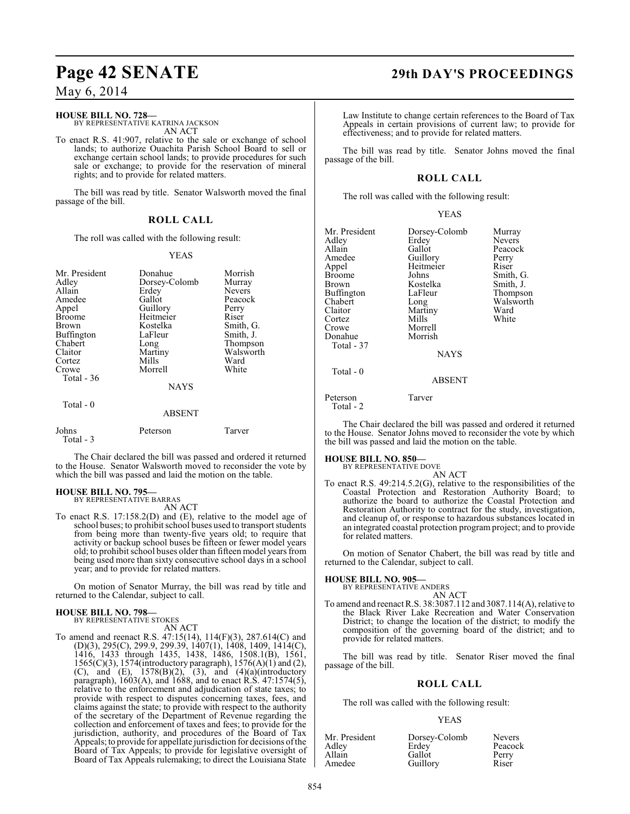## **Page 42 SENATE 29th DAY'S PROCEEDINGS**

### May 6, 2014

#### **HOUSE BILL NO. 728—**

BY REPRESENTATIVE KATRINA JACKSON AN ACT

To enact R.S. 41:907, relative to the sale or exchange of school lands; to authorize Ouachita Parish School Board to sell or exchange certain school lands; to provide procedures for such sale or exchange; to provide for the reservation of mineral rights; and to provide for related matters.

The bill was read by title. Senator Walsworth moved the final passage of the bill.

### **ROLL CALL**

The roll was called with the following result:

#### YEAS

| Mr. President<br>Adley<br>Allain<br>Amedee<br>Appel<br><b>Broome</b> | Donahue<br>Dorsey-Colomb<br>Erdey<br>Gallot<br>Guillory<br>Heitmeier | Morrish<br>Murray<br>Nevers<br>Peacock<br>Perry<br>Riser |
|----------------------------------------------------------------------|----------------------------------------------------------------------|----------------------------------------------------------|
| Brown                                                                | Kostelka                                                             | Smith, G.                                                |
| Buffington<br>Chabert<br>Claitor<br>Cortez<br>Crowe<br>Total $-36$   | LaFleur<br>Long<br>Martiny<br>Mills<br>Morrell<br><b>NAYS</b>        | Smith, J.<br>Thompson<br>Walsworth<br>Ward<br>White      |
| Total $-0$                                                           | <b>ABSENT</b>                                                        |                                                          |
| Johns<br>Total - 3                                                   | Peterson                                                             | Tarver                                                   |

The Chair declared the bill was passed and ordered it returned to the House. Senator Walsworth moved to reconsider the vote by which the bill was passed and laid the motion on the table.

#### **HOUSE BILL NO. 795—**

BY REPRESENTATIVE BARRAS AN ACT

To enact R.S. 17:158.2(D) and (E), relative to the model age of school buses; to prohibit school buses used to transport students from being more than twenty-five years old; to require that activity or backup school buses be fifteen or fewer model years old; to prohibit school buses older than fifteen model years from being used more than sixty consecutive school days in a school year; and to provide for related matters.

On motion of Senator Murray, the bill was read by title and returned to the Calendar, subject to call.

#### **HOUSE BILL NO. 798—** BY REPRESENTATIVE STOKES

AN ACT

To amend and reenact R.S. 47:15(14), 114(F)(3), 287.614(C) and (D)(3), 295(C), 299.9, 299.39, 1407(1), 1408, 1409, 1414(C), 1416, 1433 through 1435, 1438, 1486, 1508.1(B), 1561, 1565(C)(3), 1574(introductory paragraph), 1576(A)(1) and (2), (C), and (E),  $1578(B)(2)$ ,  $(3)$ , and  $(4)(a)$ (introductory paragraph), 1603(A), and 1688, and to enact R.S. 47:1574(5), relative to the enforcement and adjudication of state taxes; to provide with respect to disputes concerning taxes, fees, and claims against the state; to provide with respect to the authority of the secretary of the Department of Revenue regarding the collection and enforcement of taxes and fees; to provide for the jurisdiction, authority, and procedures of the Board of Tax Appeals; to provide for appellate jurisdiction for decisions of the Board of Tax Appeals; to provide for legislative oversight of Board of Tax Appeals rulemaking; to direct the Louisiana State

Law Institute to change certain references to the Board of Tax Appeals in certain provisions of current law; to provide for effectiveness; and to provide for related matters.

The bill was read by title. Senator Johns moved the final passage of the bill.

#### **ROLL CALL**

The roll was called with the following result:

| Mr. President<br>Adley<br>Allain<br>Amedee<br>Appel<br><b>Broome</b><br>Brown<br>Buffington<br>Chabert<br>Claitor<br>Cortez<br>Crowe<br>Donahue<br>Total - 37 | Dorsey-Colomb<br>Erdey<br>Gallot<br>Guillory<br>Heitmeier<br>Johns<br>Kostelka<br>LaFleur<br>Long<br>Martiny<br>Mills<br>Morrell<br>Morrish<br><b>NAYS</b> | Murray<br><b>Nevers</b><br>Peacock<br>Perry<br>Riser<br>Smith, G.<br>Smith, J.<br>Thompson<br>Walsworth<br>Ward<br>White |
|---------------------------------------------------------------------------------------------------------------------------------------------------------------|------------------------------------------------------------------------------------------------------------------------------------------------------------|--------------------------------------------------------------------------------------------------------------------------|
| $Total - 0$                                                                                                                                                   | <b>ABSENT</b>                                                                                                                                              |                                                                                                                          |
| Peterson                                                                                                                                                      | Tarver                                                                                                                                                     |                                                                                                                          |

Total - 2

The Chair declared the bill was passed and ordered it returned to the House. Senator Johns moved to reconsider the vote by which the bill was passed and laid the motion on the table.

**HOUSE BILL NO. 850—**

- BY REPRESENTATIVE DOVE AN ACT
- To enact R.S. 49:214.5.2(G), relative to the responsibilities of the Coastal Protection and Restoration Authority Board; to authorize the board to authorize the Coastal Protection and Restoration Authority to contract for the study, investigation, and cleanup of, or response to hazardous substances located in an integrated coastal protection program project; and to provide for related matters.

On motion of Senator Chabert, the bill was read by title and returned to the Calendar, subject to call.

#### **HOUSE BILL NO. 905—**

BY REPRESENTATIVE ANDERS

AN ACT To amend and reenactR.S. 38:3087.112 and 3087.114(A), relative to the Black River Lake Recreation and Water Conservation District; to change the location of the district; to modify the composition of the governing board of the district; and to provide for related matters.

The bill was read by title. Senator Riser moved the final passage of the bill.

#### **ROLL CALL**

The roll was called with the following result:

#### YEAS

| Mr. President | Dorsey-Colomb | <b>Nevers</b> |
|---------------|---------------|---------------|
| Adley         | Erdey         | Peacock       |
| Allain        | Gallot        | Perry         |
| Amedee        | Guillory      | Riser         |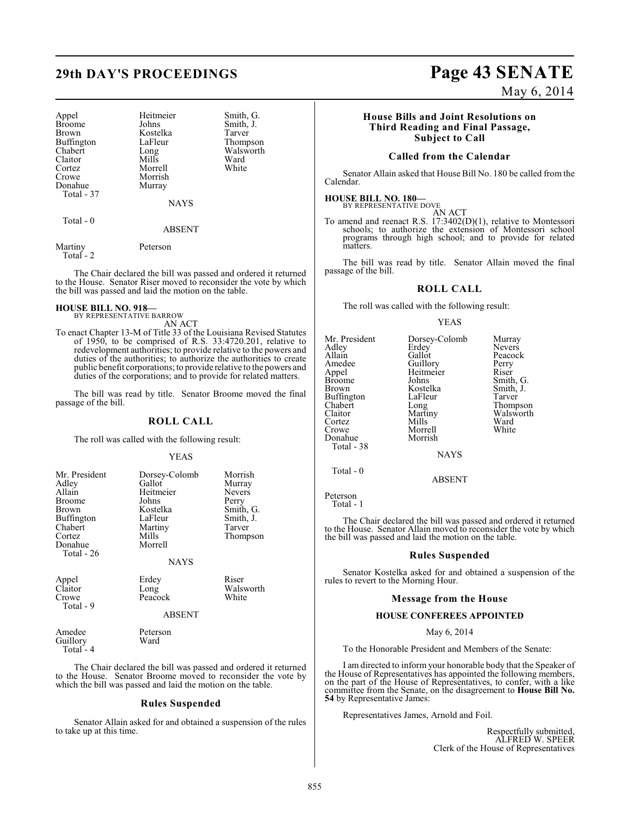Appel Heitmeier Smith, G.<br>Broome Johns Smith, J. Broome Johns Smith, J.<br>Brown Kostelka Tarver Buffington LaFle<br>Chabert Long Claitor Mills Ward<br>Cortez Morrell White Cortez Morrell<br>Crowe Morrish Donahue Total - 37

Kostelka Tarver<br>LaFleur Thompson Long Walsworth<br>Mills Ward Morrish<br>Murray

ABSENT

NAYS

Martiny Peterson

Total - 0

Total - 2

The Chair declared the bill was passed and ordered it returned to the House. Senator Riser moved to reconsider the vote by which the bill was passed and laid the motion on the table.

#### **HOUSE BILL NO. 918—** BY REPRESENTATIVE BARROW

AN ACT

To enact Chapter 13-M of Title 33 of the Louisiana Revised Statutes of 1950, to be comprised of R.S. 33:4720.201, relative to redevelopment authorities; to provide relative to the powers and duties of the authorities; to authorize the authorities to create public benefit corporations; to provide relative to the powers and duties of the corporations; and to provide for related matters.

The bill was read by title. Senator Broome moved the final passage of the bill.

#### **ROLL CALL**

The roll was called with the following result:

#### YEAS

| Mr. President<br>Adley<br>Allain<br><b>Broome</b><br>Brown<br><b>Buffington</b><br>Chabert<br>Cortez<br>Donahue<br>Total - 26 | Dorsey-Colomb<br>Gallot<br>Heitmeier<br>Johns<br>Kostelka<br>LaFleur<br>Martiny<br>Mills<br>Morrell<br><b>NAYS</b> | Morrish<br>Murray<br><b>Nevers</b><br>Perry<br>Smith, G.<br>Smith, J.<br>Tarver<br>Thompson |
|-------------------------------------------------------------------------------------------------------------------------------|--------------------------------------------------------------------------------------------------------------------|---------------------------------------------------------------------------------------------|
| Annal                                                                                                                         | $E_{\rm rad}$                                                                                                      | $\mathbf{D}$ isar                                                                           |

| Appel     | Erdey    | Riser     |
|-----------|----------|-----------|
| Claitor   | Long     | Walsworth |
| Crowe     | Peacock  | White     |
| Total - 9 |          |           |
|           | 1.00131T |           |

#### ABSENT

Amedee Peterson<br>Guillory Ward Guillory Total - 4

The Chair declared the bill was passed and ordered it returned to the House. Senator Broome moved to reconsider the vote by which the bill was passed and laid the motion on the table.

### **Rules Suspended**

Senator Allain asked for and obtained a suspension of the rules to take up at this time.

# **29th DAY'S PROCEEDINGS Page 43 SENATE**

Perry Riser Smith, G. Smith, J.<br>Tarver

Thompson Walsworth<br>Ward

May 6, 2014

### **House Bills and Joint Resolutions on Third Reading and Final Passage, Subject to Call**

### **Called from the Calendar**

Senator Allain asked that House Bill No. 180 be called from the Calendar.

### **HOUSE BILL NO. 180—**

BY REPRESENTATIVE DOVE AN ACT

To amend and reenact R.S. 17:3402(D)(1), relative to Montessori schools; to authorize the extension of Montessori school programs through high school; and to provide for related matters.

The bill was read by title. Senator Allain moved the final passage of the bill.

### **ROLL CALL**

The roll was called with the following result:

#### YEAS

| Mr. President | Dorsey-Colomb | Murray        |
|---------------|---------------|---------------|
| Adley         | Erdey         | Nevers        |
| Allain        | Gallot        | Peacock       |
| Amedee        | Guillory      | Perry         |
| Appel         | Heitmeier     | Riser         |
| <b>Broome</b> | Johns         | Smith, C      |
| <b>Brown</b>  | Kostelka      | Smith, J.     |
| Buffington    | LaFleur       | Tarver        |
| Chabert       | Long          | <b>Thomps</b> |
| Claitor       | Martiny       | Walswor       |
| Cortez        | Mills         | Ward          |
| Crowe         | Morrell       | White         |
| Donahue       | Morrish       |               |
| Total - 38    |               |               |
|               | NAYS          |               |

Total - 0

ABSENT

Peterson Total - 1

The Chair declared the bill was passed and ordered it returned to the House. Senator Allain moved to reconsider the vote by which the bill was passed and laid the motion on the table.

#### **Rules Suspended**

Senator Kostelka asked for and obtained a suspension of the rules to revert to the Morning Hour.

#### **Message from the House**

#### **HOUSE CONFEREES APPOINTED**

May 6, 2014

To the Honorable President and Members of the Senate:

I am directed to inform your honorable body that the Speaker of the House of Representatives has appointed the following members, on the part of the House of Representatives, to confer, with a like committee from the Senate, on the disagreement to **House Bill No. 54** by Representative James:

Representatives James, Arnold and Foil.

Respectfully submitted, ALFRED W. SPEER Clerk of the House of Representatives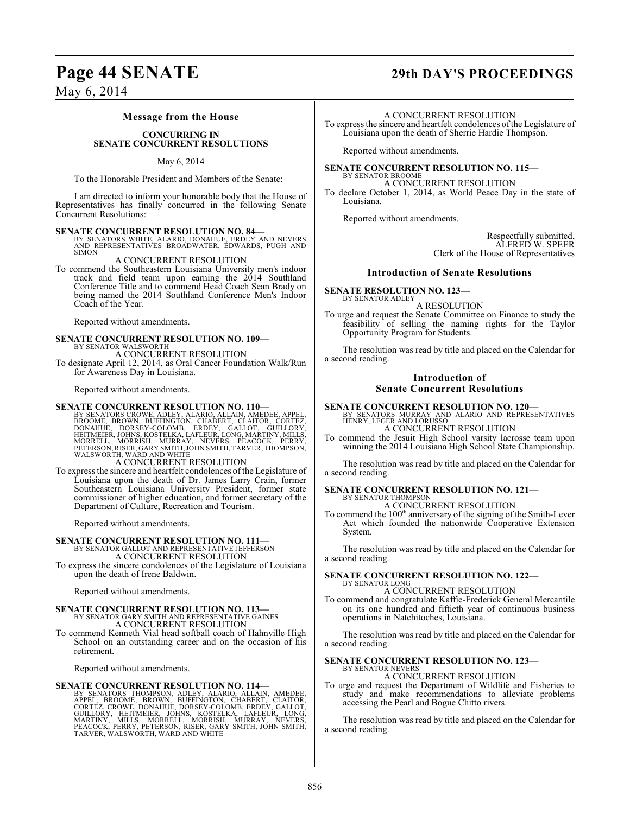## **Page 44 SENATE 29th DAY'S PROCEEDINGS**

May 6, 2014

#### **Message from the House**

#### **CONCURRING IN SENATE CONCURRENT RESOLUTIONS**

#### May 6, 2014

To the Honorable President and Members of the Senate:

I am directed to inform your honorable body that the House of Representatives has finally concurred in the following Senate Concurrent Resolutions:

**SENATE CONCURRENT RESOLUTION NO. 84—**<br>BY SENATORS WHITE, ALARIO, DONAHUE, ERDEY AND NEVERS<br>AND REPRESENTATIVES BROADWATER, EDWARDS, PUGH AND SIMON

#### A CONCURRENT RESOLUTION

To commend the Southeastern Louisiana University men's indoor track and field team upon earning the 2014 Southland Conference Title and to commend Head Coach Sean Brady on being named the 2014 Southland Conference Men's Indoor Coach of the Year.

Reported without amendments.

## **SENATE CONCURRENT RESOLUTION NO. 109—** BY SENATOR WALSWORTH

A CONCURRENT RESOLUTION

To designate April 12, 2014, as Oral Cancer Foundation Walk/Run for Awareness Day in Louisiana.

Reported without amendments.

#### **SENATE CONCURRENT RESOLUTION NO. 110—**

BY SENATORS CROWE, ADLEY, ALARIO, ALLAIN, AMEDEE, APPEL,<br>BROOME, BROWN, BUFFINGTON, CHABERT, CLAITOR, CORTEZ,<br>DONAHUE, DORSEY-COLOMB, ERDEY, GALLOT, GUILLORY,<br>HEITMEIER, JOHNS, KOSTELKA, LAFLEUR, LONG, MARTINY, MILLS,<br>MORR

To express the sincere and heartfelt condolences of the Legislature of Louisiana upon the death of Dr. James Larry Crain, former Southeastern Louisiana University President, former state commissioner of higher education, and former secretary of the Department of Culture, Recreation and Tourism.

Reported without amendments.

### **SENATE CONCURRENT RESOLUTION NO. 111—** BY SENATOR GALLOT AND REPRESENTATIVE JEFFERSON A CONCURRENT RESOLUTION

To express the sincere condolences of the Legislature of Louisiana upon the death of Irene Baldwin.

Reported without amendments.

### **SENATE CONCURRENT RESOLUTION NO. 113—BY SENATOR GARY SMITH AND REPRESENTATIVE GAINES** A CONCURRENT RESOLUTION

To commend Kenneth Vial head softball coach of Hahnville High School on an outstanding career and on the occasion of his retirement.

Reported without amendments.

**SENATE CONCURRENT RESOLUTION NO. 114—**<br>BY SENATORS THOMPSON, ADLEY, ALARIO, ALLAIN, AMEDEE, BROOME, BROWE, BROWEN, EUFFINGTON, CHABERT, CLAITOR,<br>CORTEZ, CROWE, DONAHUE, DORSEY-COLOMB, ERDEY, GALLOT,<br>GUILLORY, HEITMEIER, J

#### A CONCURRENT RESOLUTION

To express the sincere and heartfelt condolences of the Legislature of Louisiana upon the death of Sherrie Hardie Thompson.

Reported without amendments.

#### **SENATE CONCURRENT RESOLUTION NO. 115—** BY SENATOR BROOME

A CONCURRENT RESOLUTION To declare October 1, 2014, as World Peace Day in the state of Louisiana.

Reported without amendments.

Respectfully submitted, ALFRED W. SPEER Clerk of the House of Representatives

#### **Introduction of Senate Resolutions**

**SENATE RESOLUTION NO. 123—** BY SENATOR ADLEY

A RESOLUTION

To urge and request the Senate Committee on Finance to study the feasibility of selling the naming rights for the Taylor Opportunity Program for Students.

The resolution was read by title and placed on the Calendar for a second reading.

### **Introduction of Senate Concurrent Resolutions**

**SENATE CONCURRENT RESOLUTION NO. 120—** BY SENATORS MURRAY AND ALARIO AND REPRESENTATIVES HENRY, LEGER AND LORUSSO A CONCURRENT RESOLUTION

To commend the Jesuit High School varsity lacrosse team upon winning the 2014 Louisiana High School State Championship.

The resolution was read by title and placed on the Calendar for a second reading.

#### **SENATE CONCURRENT RESOLUTION NO. 121—** BY SENATOR THOMPSON A CONCURRENT RESOLUTION

To commend the 100<sup>th</sup> anniversary of the signing of the Smith-Lever Act which founded the nationwide Cooperative Extension System.

The resolution was read by title and placed on the Calendar for a second reading.

### **SENATE CONCURRENT RESOLUTION NO. 122—**

BY SENATOR LONG A CONCURRENT RESOLUTION

To commend and congratulate Kaffie-Frederick General Mercantile on its one hundred and fiftieth year of continuous business operations in Natchitoches, Louisiana.

The resolution was read by title and placed on the Calendar for a second reading.

#### **SENATE CONCURRENT RESOLUTION NO. 123—**

BY SENATOR NEVERS A CONCURRENT RESOLUTION

To urge and request the Department of Wildlife and Fisheries to study and make recommendations to alleviate problems accessing the Pearl and Bogue Chitto rivers.

The resolution was read by title and placed on the Calendar for a second reading.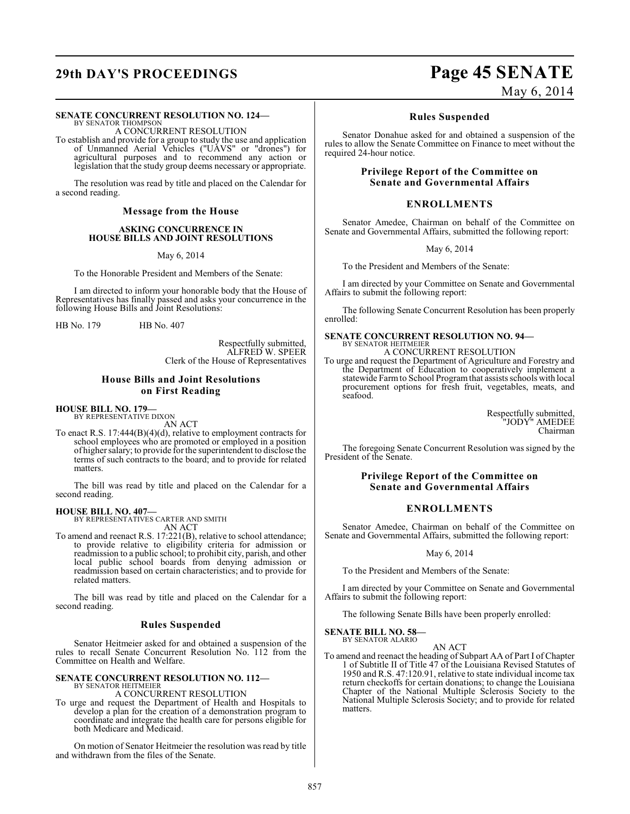## **29th DAY'S PROCEEDINGS Page 45 SENATE**

#### **SENATE CONCURRENT RESOLUTION NO. 124—**

BY SENATOR THOMPSON A CONCURRENT RESOLUTION

To establish and provide for a group to study the use and application of Unmanned Aerial Vehicles ("UAVS" or "drones") for agricultural purposes and to recommend any action or legislation that the study group deems necessary or appropriate.

The resolution was read by title and placed on the Calendar for a second reading.

#### **Message from the House**

#### **ASKING CONCURRENCE IN HOUSE BILLS AND JOINT RESOLUTIONS**

May 6, 2014

To the Honorable President and Members of the Senate:

I am directed to inform your honorable body that the House of Representatives has finally passed and asks your concurrence in the following House Bills and Joint Resolutions:

HB No. 179 HB No. 407

Respectfully submitted, ALFRED W. SPEER Clerk of the House of Representatives

#### **House Bills and Joint Resolutions on First Reading**

#### **HOUSE BILL NO. 179—**

BY REPRESENTATIVE DIXON AN ACT

To enact R.S. 17:444(B)(4)(d), relative to employment contracts for school employees who are promoted or employed in a position of higher salary; to provide for the superintendent to disclose the terms of such contracts to the board; and to provide for related matters.

The bill was read by title and placed on the Calendar for a second reading.

#### **HOUSE BILL NO. 407—**

BY REPRESENTATIVES CARTER AND SMITH

- AN ACT
- To amend and reenact R.S. 17:221(B), relative to school attendance; to provide relative to eligibility criteria for admission or readmission to a public school; to prohibit city, parish, and other local public school boards from denying admission or readmission based on certain characteristics; and to provide for related matters.

The bill was read by title and placed on the Calendar for a second reading.

#### **Rules Suspended**

Senator Heitmeier asked for and obtained a suspension of the rules to recall Senate Concurrent Resolution No. 112 from the Committee on Health and Welfare.

#### **SENATE CONCURRENT RESOLUTION NO. 112—** BY SENATOR HEITMEIER

A CONCURRENT RESOLUTION

To urge and request the Department of Health and Hospitals to develop a plan for the creation of a demonstration program to coordinate and integrate the health care for persons eligible for both Medicare and Medicaid.

On motion of Senator Heitmeier the resolution was read by title and withdrawn from the files of the Senate.

May 6, 2014

### **Rules Suspended**

Senator Donahue asked for and obtained a suspension of the rules to allow the Senate Committee on Finance to meet without the required 24-hour notice.

#### **Privilege Report of the Committee on Senate and Governmental Affairs**

### **ENROLLMENTS**

Senator Amedee, Chairman on behalf of the Committee on Senate and Governmental Affairs, submitted the following report:

May 6, 2014

To the President and Members of the Senate:

I am directed by your Committee on Senate and Governmental Affairs to submit the following report:

The following Senate Concurrent Resolution has been properly enrolled:

### **SENATE CONCURRENT RESOLUTION NO. 94—**

BY SENATOR HEITMEIER A CONCURRENT RESOLUTION

To urge and request the Department of Agriculture and Forestry and the Department of Education to cooperatively implement a statewide Farm to School Program that assists schools with local procurement options for fresh fruit, vegetables, meats, and seafood.

> Respectfully submitted, "JODY" AMEDEE Chairman

The foregoing Senate Concurrent Resolution was signed by the President of the Senate.

#### **Privilege Report of the Committee on Senate and Governmental Affairs**

### **ENROLLMENTS**

Senator Amedee, Chairman on behalf of the Committee on Senate and Governmental Affairs, submitted the following report:

#### May 6, 2014

To the President and Members of the Senate:

I am directed by your Committee on Senate and Governmental Affairs to submit the following report:

The following Senate Bills have been properly enrolled:

**SENATE BILL NO. 58—** BY SENATOR ALARIO

#### AN ACT

To amend and reenact the heading of Subpart AA of Part I of Chapter 1 of Subtitle II of Title 47 of the Louisiana Revised Statutes of 1950 and R.S. 47:120.91, relative to state individual income tax return checkoffs for certain donations; to change the Louisiana Chapter of the National Multiple Sclerosis Society to the National Multiple Sclerosis Society; and to provide for related matters.